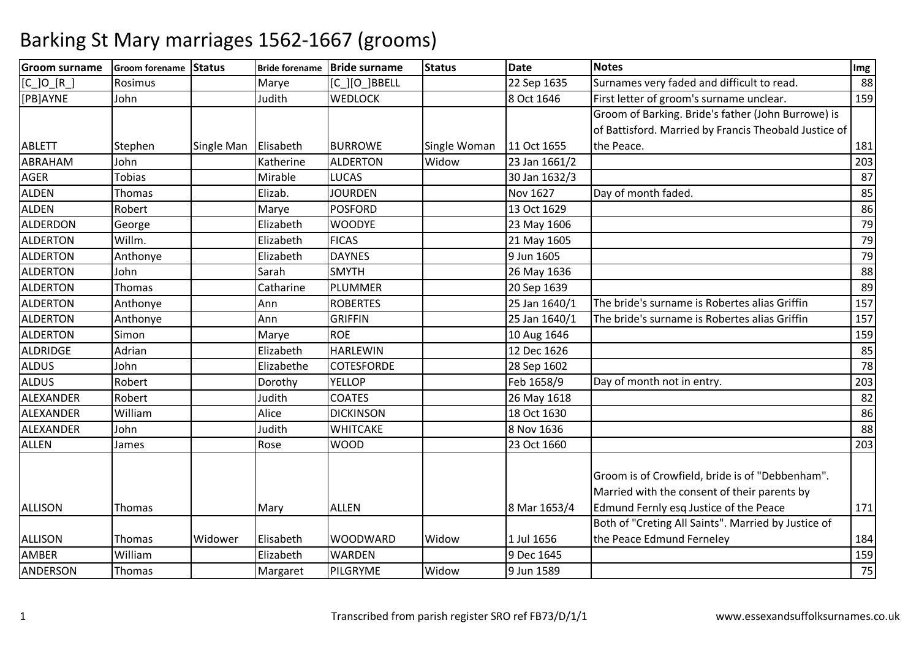| <b>Groom surname</b> | Groom forename Status |            |            | Bride forename Bride surname | <b>Status</b> | <b>Date</b>     | <b>Notes</b>                                                                                    | Img |
|----------------------|-----------------------|------------|------------|------------------------------|---------------|-----------------|-------------------------------------------------------------------------------------------------|-----|
| $[C]$ O $[R]$        | Rosimus               |            | Marye      | $[C]$ [O ]BBELL              |               | 22 Sep 1635     | Surnames very faded and difficult to read.                                                      | 88  |
| [PB]AYNE             | John                  |            | Judith     | <b>WEDLOCK</b>               |               | 8 Oct 1646      | First letter of groom's surname unclear.                                                        | 159 |
|                      |                       |            |            |                              |               |                 | Groom of Barking. Bride's father (John Burrowe) is                                              |     |
|                      |                       |            |            |                              |               |                 | of Battisford. Married by Francis Theobald Justice of                                           |     |
| <b>ABLETT</b>        | Stephen               | Single Man | Elisabeth  | <b>BURROWE</b>               | Single Woman  | 11 Oct 1655     | the Peace.                                                                                      | 181 |
| ABRAHAM              | John                  |            | Katherine  | <b>ALDERTON</b>              | Widow         | 23 Jan 1661/2   |                                                                                                 | 203 |
| <b>AGER</b>          | Tobias                |            | Mirable    | <b>LUCAS</b>                 |               | 30 Jan 1632/3   |                                                                                                 | 87  |
| <b>ALDEN</b>         | Thomas                |            | Elizab.    | <b>JOURDEN</b>               |               | <b>Nov 1627</b> | Day of month faded.                                                                             | 85  |
| <b>ALDEN</b>         | Robert                |            | Marye      | <b>POSFORD</b>               |               | 13 Oct 1629     |                                                                                                 | 86  |
| <b>ALDERDON</b>      | George                |            | Elizabeth  | <b>WOODYE</b>                |               | 23 May 1606     |                                                                                                 | 79  |
| <b>ALDERTON</b>      | Willm.                |            | Elizabeth  | <b>FICAS</b>                 |               | 21 May 1605     |                                                                                                 | 79  |
| <b>ALDERTON</b>      | Anthonye              |            | Elizabeth  | <b>DAYNES</b>                |               | 9 Jun 1605      |                                                                                                 | 79  |
| <b>ALDERTON</b>      | John                  |            | Sarah      | <b>SMYTH</b>                 |               | 26 May 1636     |                                                                                                 | 88  |
| <b>ALDERTON</b>      | Thomas                |            | Catharine  | <b>PLUMMER</b>               |               | 20 Sep 1639     |                                                                                                 | 89  |
| <b>ALDERTON</b>      | Anthonye              |            | Ann        | <b>ROBERTES</b>              |               | 25 Jan 1640/1   | The bride's surname is Robertes alias Griffin                                                   | 157 |
| <b>ALDERTON</b>      | Anthonye              |            | Ann        | <b>GRIFFIN</b>               |               | 25 Jan 1640/1   | The bride's surname is Robertes alias Griffin                                                   | 157 |
| <b>ALDERTON</b>      | Simon                 |            | Marye      | <b>ROE</b>                   |               | 10 Aug 1646     |                                                                                                 | 159 |
| ALDRIDGE             | Adrian                |            | Elizabeth  | <b>HARLEWIN</b>              |               | 12 Dec 1626     |                                                                                                 | 85  |
| <b>ALDUS</b>         | John                  |            | Elizabethe | <b>COTESFORDE</b>            |               | 28 Sep 1602     |                                                                                                 | 78  |
| <b>ALDUS</b>         | Robert                |            | Dorothy    | <b>YELLOP</b>                |               | Feb 1658/9      | Day of month not in entry.                                                                      | 203 |
| ALEXANDER            | Robert                |            | Judith     | <b>COATES</b>                |               | 26 May 1618     |                                                                                                 | 82  |
| ALEXANDER            | William               |            | Alice      | <b>DICKINSON</b>             |               | 18 Oct 1630     |                                                                                                 | 86  |
| ALEXANDER            | John                  |            | Judith     | <b>WHITCAKE</b>              |               | 8 Nov 1636      |                                                                                                 | 88  |
| <b>ALLEN</b>         | James                 |            | Rose       | <b>WOOD</b>                  |               | 23 Oct 1660     |                                                                                                 | 203 |
|                      |                       |            |            |                              |               |                 | Groom is of Crowfield, bride is of "Debbenham".<br>Married with the consent of their parents by |     |
| <b>ALLISON</b>       | Thomas                |            | Mary       | <b>ALLEN</b>                 |               | 8 Mar 1653/4    | Edmund Fernly esq Justice of the Peace                                                          | 171 |
|                      |                       |            |            |                              |               |                 | Both of "Creting All Saints". Married by Justice of                                             |     |
| <b>ALLISON</b>       | <b>Thomas</b>         | Widower    | Elisabeth  | <b>WOODWARD</b>              | Widow         | 1 Jul 1656      | the Peace Edmund Ferneley                                                                       | 184 |
| <b>AMBER</b>         | William               |            | Elizabeth  | <b>WARDEN</b>                |               | 9 Dec 1645      |                                                                                                 | 159 |
| <b>ANDERSON</b>      | Thomas                |            | Margaret   | PILGRYME                     | Widow         | 9 Jun 1589      |                                                                                                 | 75  |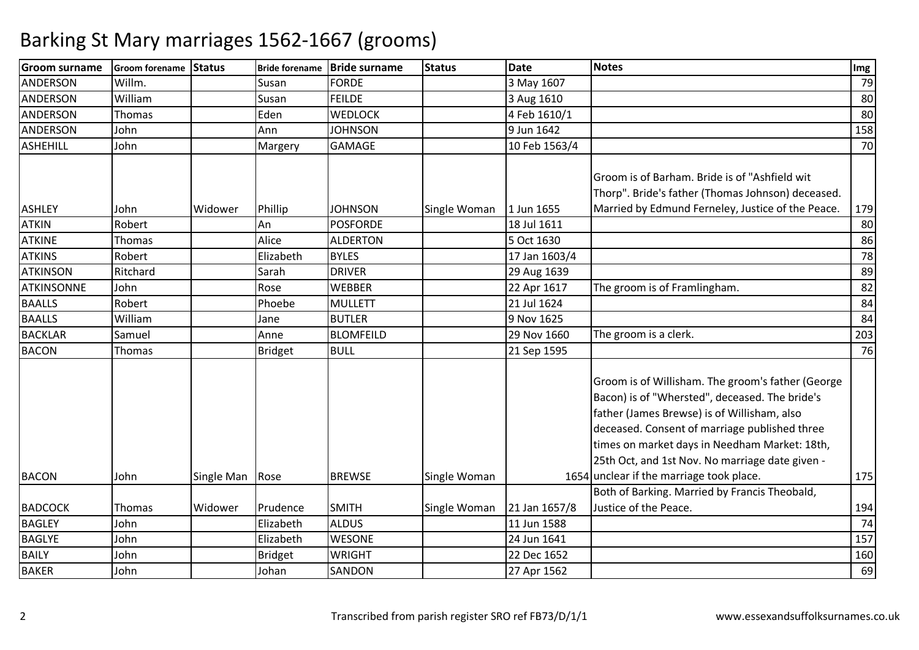| <b>Groom surname</b> | Groom forename Status |            |                | Bride forename   Bride surname | <b>Status</b> | <b>Date</b>   | <b>Notes</b>                                                                                                                                                                                                                                                                                                                                        | Img |
|----------------------|-----------------------|------------|----------------|--------------------------------|---------------|---------------|-----------------------------------------------------------------------------------------------------------------------------------------------------------------------------------------------------------------------------------------------------------------------------------------------------------------------------------------------------|-----|
| <b>ANDERSON</b>      | Willm.                |            | Susan          | <b>FORDE</b>                   |               | 3 May 1607    |                                                                                                                                                                                                                                                                                                                                                     | 79  |
| ANDERSON             | William               |            | Susan          | <b>FEILDE</b>                  |               | 3 Aug 1610    |                                                                                                                                                                                                                                                                                                                                                     | 80  |
| <b>ANDERSON</b>      | Thomas                |            | Eden           | <b>WEDLOCK</b>                 |               | 4 Feb 1610/1  |                                                                                                                                                                                                                                                                                                                                                     | 80  |
| ANDERSON             | John                  |            | Ann            | <b>JOHNSON</b>                 |               | 9 Jun 1642    |                                                                                                                                                                                                                                                                                                                                                     | 158 |
| <b>ASHEHILL</b>      | John                  |            | Margery        | <b>GAMAGE</b>                  |               | 10 Feb 1563/4 |                                                                                                                                                                                                                                                                                                                                                     | 70  |
| <b>ASHLEY</b>        | John                  | Widower    | Phillip        | <b>JOHNSON</b>                 | Single Woman  | 1 Jun 1655    | Groom is of Barham. Bride is of "Ashfield wit<br>Thorp". Bride's father (Thomas Johnson) deceased.<br>Married by Edmund Ferneley, Justice of the Peace.                                                                                                                                                                                             | 179 |
| <b>ATKIN</b>         | Robert                |            | An             | <b>POSFORDE</b>                |               | 18 Jul 1611   |                                                                                                                                                                                                                                                                                                                                                     | 80  |
| <b>ATKINE</b>        | Thomas                |            | Alice          | <b>ALDERTON</b>                |               | 5 Oct 1630    |                                                                                                                                                                                                                                                                                                                                                     | 86  |
| <b>ATKINS</b>        | Robert                |            | Elizabeth      | <b>BYLES</b>                   |               | 17 Jan 1603/4 |                                                                                                                                                                                                                                                                                                                                                     | 78  |
| <b>ATKINSON</b>      | Ritchard              |            | Sarah          | <b>DRIVER</b>                  |               | 29 Aug 1639   |                                                                                                                                                                                                                                                                                                                                                     | 89  |
| <b>ATKINSONNE</b>    | John                  |            | Rose           | <b>WEBBER</b>                  |               | 22 Apr 1617   | The groom is of Framlingham.                                                                                                                                                                                                                                                                                                                        | 82  |
| <b>BAALLS</b>        | Robert                |            | Phoebe         | <b>MULLETT</b>                 |               | 21 Jul 1624   |                                                                                                                                                                                                                                                                                                                                                     | 84  |
| <b>BAALLS</b>        | William               |            | Jane           | <b>BUTLER</b>                  |               | 9 Nov 1625    |                                                                                                                                                                                                                                                                                                                                                     | 84  |
| <b>BACKLAR</b>       | Samuel                |            | Anne           | <b>BLOMFEILD</b>               |               | 29 Nov 1660   | The groom is a clerk.                                                                                                                                                                                                                                                                                                                               | 203 |
| <b>BACON</b>         | Thomas                |            | <b>Bridget</b> | <b>BULL</b>                    |               | 21 Sep 1595   |                                                                                                                                                                                                                                                                                                                                                     | 76  |
| <b>BACON</b>         | John                  | Single Man | Rose           | <b>BREWSE</b>                  | Single Woman  |               | Groom is of Willisham. The groom's father (George<br>Bacon) is of "Whersted", deceased. The bride's<br>father (James Brewse) is of Willisham, also<br>deceased. Consent of marriage published three<br>times on market days in Needham Market: 18th,<br>25th Oct, and 1st Nov. No marriage date given -<br>1654 unclear if the marriage took place. | 175 |
|                      |                       |            |                |                                |               |               | Both of Barking. Married by Francis Theobald,                                                                                                                                                                                                                                                                                                       |     |
| <b>BADCOCK</b>       | Thomas                | Widower    | Prudence       | <b>SMITH</b>                   | Single Woman  | 21 Jan 1657/8 | Justice of the Peace.                                                                                                                                                                                                                                                                                                                               | 194 |
| <b>BAGLEY</b>        | John                  |            | Elizabeth      | <b>ALDUS</b>                   |               | 11 Jun 1588   |                                                                                                                                                                                                                                                                                                                                                     | 74  |
| <b>BAGLYE</b>        | John                  |            | Elizabeth      | <b>WESONE</b>                  |               | 24 Jun 1641   |                                                                                                                                                                                                                                                                                                                                                     | 157 |
| <b>BAILY</b>         | John                  |            | <b>Bridget</b> | <b>WRIGHT</b>                  |               | 22 Dec 1652   |                                                                                                                                                                                                                                                                                                                                                     | 160 |
| <b>BAKER</b>         | John                  |            | Johan          | SANDON                         |               | 27 Apr 1562   |                                                                                                                                                                                                                                                                                                                                                     | 69  |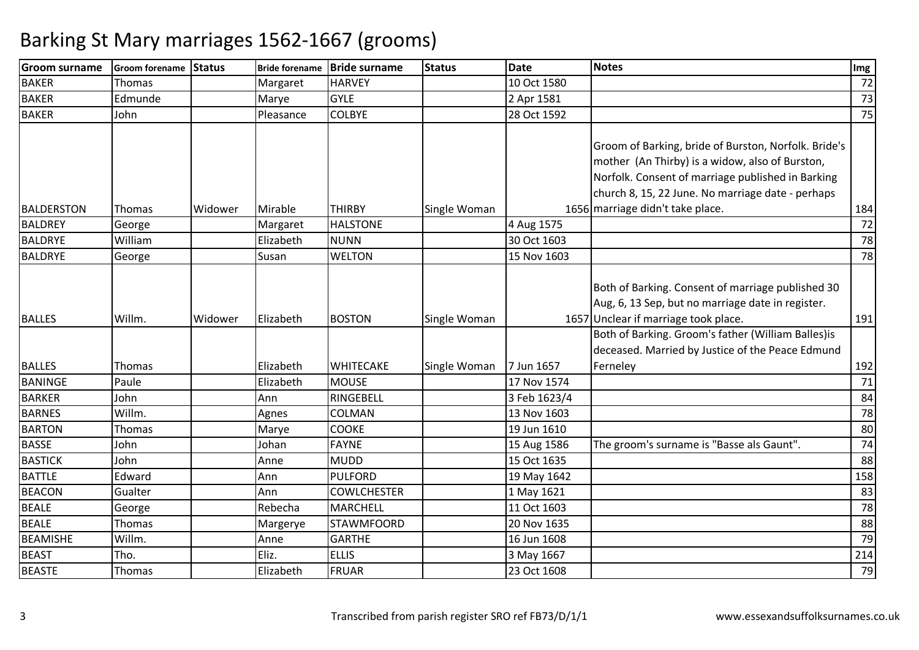| <b>Groom surname</b> | Groom forename Status |         | <b>Bride forename</b> | <b>Bride surname</b> | <b>Status</b> | <b>Date</b>  | <b>Notes</b>                                                                                                                                                                                                      | Img |
|----------------------|-----------------------|---------|-----------------------|----------------------|---------------|--------------|-------------------------------------------------------------------------------------------------------------------------------------------------------------------------------------------------------------------|-----|
| <b>BAKER</b>         | Thomas                |         | Margaret              | <b>HARVEY</b>        |               | 10 Oct 1580  |                                                                                                                                                                                                                   | 72  |
| <b>BAKER</b>         | Edmunde               |         | Marye                 | <b>GYLE</b>          |               | 2 Apr 1581   |                                                                                                                                                                                                                   | 73  |
| <b>BAKER</b>         | John                  |         | Pleasance             | <b>COLBYE</b>        |               | 28 Oct 1592  |                                                                                                                                                                                                                   | 75  |
|                      |                       |         |                       |                      |               |              | Groom of Barking, bride of Burston, Norfolk. Bride's<br>mother (An Thirby) is a widow, also of Burston,<br>Norfolk. Consent of marriage published in Barking<br>church 8, 15, 22 June. No marriage date - perhaps |     |
| BALDERSTON           | Thomas                | Widower | Mirable               | <b>THIRBY</b>        | Single Woman  |              | 1656 marriage didn't take place.                                                                                                                                                                                  | 184 |
| <b>BALDREY</b>       | George                |         | Margaret              | <b>HALSTONE</b>      |               | 4 Aug 1575   |                                                                                                                                                                                                                   | 72  |
| <b>BALDRYE</b>       | William               |         | Elizabeth             | <b>NUNN</b>          |               | 30 Oct 1603  |                                                                                                                                                                                                                   | 78  |
| <b>BALDRYE</b>       | George                |         | Susan                 | <b>WELTON</b>        |               | 15 Nov 1603  |                                                                                                                                                                                                                   | 78  |
| <b>BALLES</b>        | Willm.                | Widower | Elizabeth             | <b>BOSTON</b>        | Single Woman  |              | Both of Barking. Consent of marriage published 30<br>Aug, 6, 13 Sep, but no marriage date in register.<br>1657 Unclear if marriage took place.                                                                    | 191 |
| <b>BALLES</b>        | Thomas                |         | Elizabeth             | <b>WHITECAKE</b>     | Single Woman  | 7 Jun 1657   | Both of Barking. Groom's father (William Balles)is<br>deceased. Married by Justice of the Peace Edmund<br>Ferneley                                                                                                | 192 |
| <b>BANINGE</b>       | Paule                 |         | Elizabeth             | <b>MOUSE</b>         |               | 17 Nov 1574  |                                                                                                                                                                                                                   | 71  |
| <b>BARKER</b>        | John                  |         | Ann                   | RINGEBELL            |               | 3 Feb 1623/4 |                                                                                                                                                                                                                   | 84  |
| <b>BARNES</b>        | Willm.                |         | Agnes                 | COLMAN               |               | 13 Nov 1603  |                                                                                                                                                                                                                   | 78  |
| <b>BARTON</b>        | Thomas                |         | Marye                 | <b>COOKE</b>         |               | 19 Jun 1610  |                                                                                                                                                                                                                   | 80  |
| <b>BASSE</b>         | John                  |         | Johan                 | <b>FAYNE</b>         |               | 15 Aug 1586  | The groom's surname is "Basse als Gaunt".                                                                                                                                                                         | 74  |
| <b>BASTICK</b>       | John                  |         | Anne                  | <b>MUDD</b>          |               | 15 Oct 1635  |                                                                                                                                                                                                                   | 88  |
| <b>BATTLE</b>        | Edward                |         | Ann                   | <b>PULFORD</b>       |               | 19 May 1642  |                                                                                                                                                                                                                   | 158 |
| <b>BEACON</b>        | Gualter               |         | Ann                   | <b>COWLCHESTER</b>   |               | 1 May 1621   |                                                                                                                                                                                                                   | 83  |
| <b>BEALE</b>         | George                |         | Rebecha               | <b>MARCHELL</b>      |               | 11 Oct 1603  |                                                                                                                                                                                                                   | 78  |
| <b>BEALE</b>         | Thomas                |         | Margerye              | <b>STAWMFOORD</b>    |               | 20 Nov 1635  |                                                                                                                                                                                                                   | 88  |
| <b>BEAMISHE</b>      | Willm.                |         | Anne                  | <b>GARTHE</b>        |               | 16 Jun 1608  |                                                                                                                                                                                                                   | 79  |
| <b>BEAST</b>         | Tho.                  |         | Eliz.                 | <b>ELLIS</b>         |               | 3 May 1667   |                                                                                                                                                                                                                   | 214 |
| <b>BEASTE</b>        | Thomas                |         | Elizabeth             | <b>FRUAR</b>         |               | 23 Oct 1608  |                                                                                                                                                                                                                   | 79  |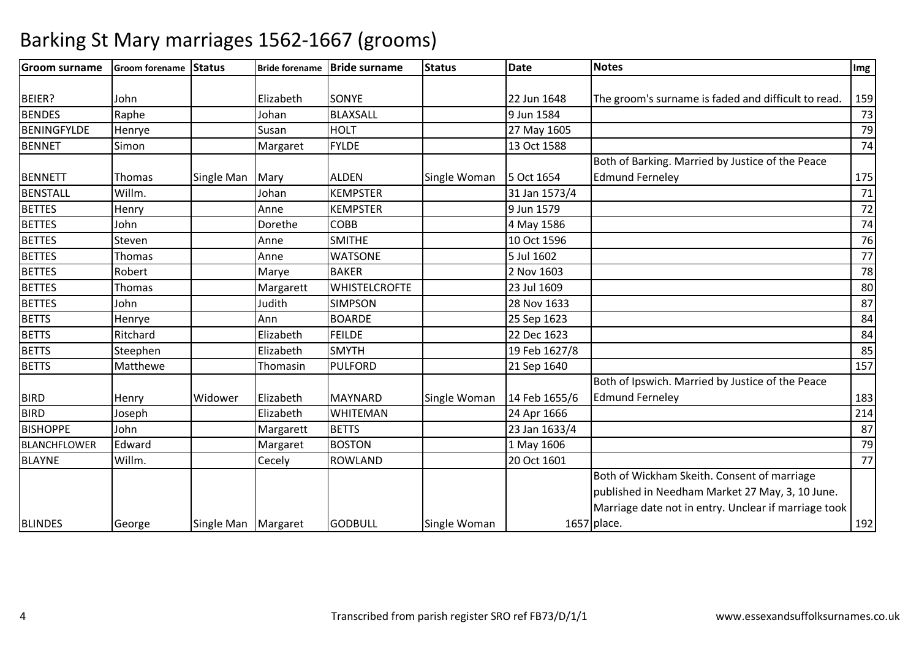| <b>Groom surname</b> | Groom forename Status |                       | <b>Bride forename</b> | <b>Bride surname</b> | <b>Status</b> | <b>Date</b>   | <b>Notes</b>                                         | Img |
|----------------------|-----------------------|-----------------------|-----------------------|----------------------|---------------|---------------|------------------------------------------------------|-----|
|                      |                       |                       |                       |                      |               |               |                                                      |     |
| BEIER?               | John                  |                       | Elizabeth             | SONYE                |               | 22 Jun 1648   | The groom's surname is faded and difficult to read.  | 159 |
| <b>BENDES</b>        | Raphe                 |                       | Johan                 | <b>BLAXSALL</b>      |               | 9 Jun 1584    |                                                      | 73  |
| BENINGFYLDE          | Henrye                |                       | Susan                 | <b>HOLT</b>          |               | 27 May 1605   |                                                      | 79  |
| <b>BENNET</b>        | Simon                 |                       | Margaret              | <b>FYLDE</b>         |               | 13 Oct 1588   |                                                      | 74  |
|                      |                       |                       |                       |                      |               |               | Both of Barking. Married by Justice of the Peace     |     |
| <b>BENNETT</b>       | Thomas                | Single Man            | Mary                  | <b>ALDEN</b>         | Single Woman  | 5 Oct 1654    | <b>Edmund Ferneley</b>                               | 175 |
| <b>BENSTALL</b>      | Willm.                |                       | Johan                 | <b>KEMPSTER</b>      |               | 31 Jan 1573/4 |                                                      | 71  |
| <b>BETTES</b>        | Henry                 |                       | Anne                  | <b>KEMPSTER</b>      |               | 9 Jun 1579    |                                                      | 72  |
| <b>BETTES</b>        | John                  |                       | Dorethe               | <b>COBB</b>          |               | 4 May 1586    |                                                      | 74  |
| <b>BETTES</b>        | Steven                |                       | Anne                  | <b>SMITHE</b>        |               | 10 Oct 1596   |                                                      | 76  |
| <b>BETTES</b>        | Thomas                |                       | Anne                  | <b>WATSONE</b>       |               | 5 Jul 1602    |                                                      | 77  |
| <b>BETTES</b>        | Robert                |                       | Marye                 | <b>BAKER</b>         |               | 2 Nov 1603    |                                                      | 78  |
| <b>BETTES</b>        | Thomas                |                       | Margarett             | <b>WHISTELCROFTE</b> |               | 23 Jul 1609   |                                                      | 80  |
| <b>BETTES</b>        | John                  |                       | Judith                | <b>SIMPSON</b>       |               | 28 Nov 1633   |                                                      | 87  |
| <b>BETTS</b>         | Henrye                |                       | Ann                   | <b>BOARDE</b>        |               | 25 Sep 1623   |                                                      | 84  |
| <b>BETTS</b>         | Ritchard              |                       | Elizabeth             | <b>FEILDE</b>        |               | 22 Dec 1623   |                                                      | 84  |
| <b>BETTS</b>         | Steephen              |                       | Elizabeth             | <b>SMYTH</b>         |               | 19 Feb 1627/8 |                                                      | 85  |
| <b>BETTS</b>         | Matthewe              |                       | Thomasin              | <b>PULFORD</b>       |               | 21 Sep 1640   |                                                      | 157 |
|                      |                       |                       |                       |                      |               |               | Both of Ipswich. Married by Justice of the Peace     |     |
| <b>BIRD</b>          | Henry                 | Widower               | Elizabeth             | MAYNARD              | Single Woman  | 14 Feb 1655/6 | <b>Edmund Ferneley</b>                               | 183 |
| <b>BIRD</b>          | Joseph                |                       | Elizabeth             | <b>WHITEMAN</b>      |               | 24 Apr 1666   |                                                      | 214 |
| <b>BISHOPPE</b>      | John                  |                       | Margarett             | <b>BETTS</b>         |               | 23 Jan 1633/4 |                                                      | 87  |
| <b>BLANCHFLOWER</b>  | Edward                |                       | Margaret              | <b>BOSTON</b>        |               | 1 May 1606    |                                                      | 79  |
| <b>BLAYNE</b>        | Willm.                |                       | Cecely                | <b>ROWLAND</b>       |               | 20 Oct 1601   |                                                      | 77  |
|                      |                       |                       |                       |                      |               |               | Both of Wickham Skeith. Consent of marriage          |     |
|                      |                       |                       |                       |                      |               |               | published in Needham Market 27 May, 3, 10 June.      |     |
|                      |                       |                       |                       |                      |               |               | Marriage date not in entry. Unclear if marriage took |     |
| <b>BLINDES</b>       | George                | Single Man   Margaret |                       | <b>GODBULL</b>       | Single Woman  |               | 1657 place.                                          | 192 |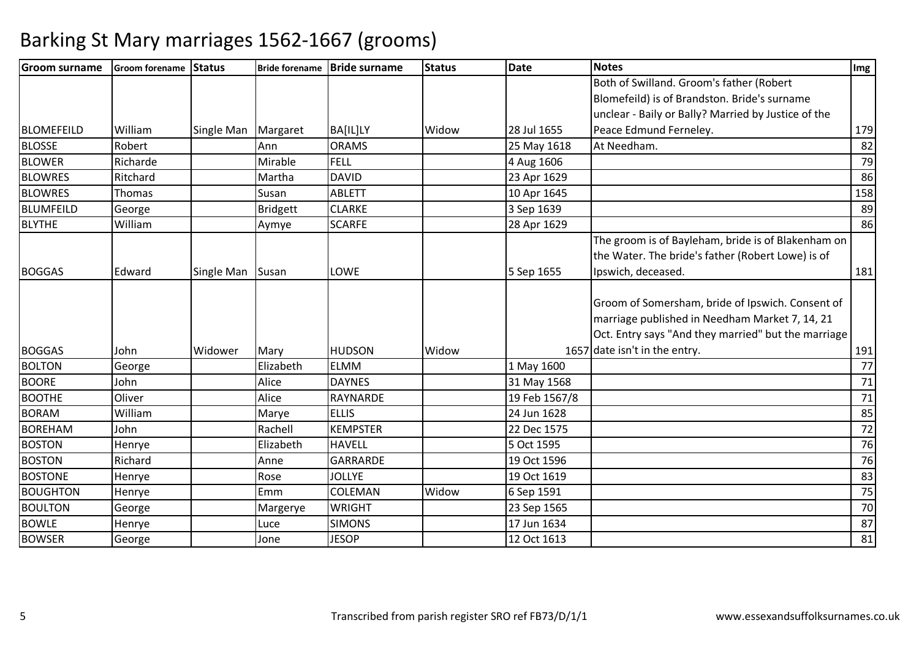| <b>Groom surname</b> | Groom forename Status |            |                 | Bride forename Bride surname | <b>Status</b> | <b>Date</b>   | <b>Notes</b>                                        | <b>Img</b> |
|----------------------|-----------------------|------------|-----------------|------------------------------|---------------|---------------|-----------------------------------------------------|------------|
|                      |                       |            |                 |                              |               |               | Both of Swilland. Groom's father (Robert            |            |
|                      |                       |            |                 |                              |               |               | Blomefeild) is of Brandston. Bride's surname        |            |
|                      |                       |            |                 |                              |               |               | unclear - Baily or Bally? Married by Justice of the |            |
| <b>BLOMEFEILD</b>    | William               | Single Man | Margaret        | <b>BA[IL]LY</b>              | Widow         | 28 Jul 1655   | Peace Edmund Ferneley.                              | 179        |
| <b>BLOSSE</b>        | Robert                |            | Ann             | <b>ORAMS</b>                 |               | 25 May 1618   | At Needham.                                         | 82         |
| <b>BLOWER</b>        | Richarde              |            | Mirable         | <b>FELL</b>                  |               | 4 Aug 1606    |                                                     | 79         |
| <b>BLOWRES</b>       | Ritchard              |            | Martha          | <b>DAVID</b>                 |               | 23 Apr 1629   |                                                     | 86         |
| <b>BLOWRES</b>       | Thomas                |            | Susan           | ABLETT                       |               | 10 Apr 1645   |                                                     | 158        |
| <b>BLUMFEILD</b>     | George                |            | <b>Bridgett</b> | <b>CLARKE</b>                |               | 3 Sep 1639    |                                                     | 89         |
| <b>BLYTHE</b>        | William               |            | Aymye           | <b>SCARFE</b>                |               | 28 Apr 1629   |                                                     | 86         |
|                      |                       |            |                 |                              |               |               | The groom is of Bayleham, bride is of Blakenham on  |            |
|                      |                       |            |                 |                              |               |               | the Water. The bride's father (Robert Lowe) is of   |            |
| <b>BOGGAS</b>        | Edward                | Single Man | Susan           | LOWE                         |               | 5 Sep 1655    | Ipswich, deceased.                                  | 181        |
|                      |                       |            |                 |                              |               |               |                                                     |            |
|                      |                       |            |                 |                              |               |               | Groom of Somersham, bride of Ipswich. Consent of    |            |
|                      |                       |            |                 |                              |               |               | marriage published in Needham Market 7, 14, 21      |            |
|                      |                       |            |                 |                              |               |               | Oct. Entry says "And they married" but the marriage |            |
| <b>BOGGAS</b>        | John                  | Widower    | Mary            | <b>HUDSON</b>                | Widow         |               | 1657 date isn't in the entry.                       | 191        |
| <b>BOLTON</b>        | George                |            | Elizabeth       | <b>ELMM</b>                  |               | 1 May 1600    |                                                     | 77         |
| <b>BOORE</b>         | John                  |            | Alice           | <b>DAYNES</b>                |               | 31 May 1568   |                                                     | 71         |
| <b>BOOTHE</b>        | Oliver                |            | Alice           | RAYNARDE                     |               | 19 Feb 1567/8 |                                                     | 71         |
| <b>BORAM</b>         | William               |            | Marye           | <b>ELLIS</b>                 |               | 24 Jun 1628   |                                                     | 85         |
| <b>BOREHAM</b>       | John                  |            | Rachell         | <b>KEMPSTER</b>              |               | 22 Dec 1575   |                                                     | 72         |
| <b>BOSTON</b>        | Henrye                |            | Elizabeth       | <b>HAVELL</b>                |               | 5 Oct 1595    |                                                     | 76         |
| <b>BOSTON</b>        | Richard               |            | Anne            | <b>GARRARDE</b>              |               | 19 Oct 1596   |                                                     | 76         |
| <b>BOSTONE</b>       | Henrye                |            | Rose            | <b>JOLLYE</b>                |               | 19 Oct 1619   |                                                     | 83         |
| <b>BOUGHTON</b>      | Henrye                |            | Emm             | COLEMAN                      | Widow         | 6 Sep 1591    |                                                     | 75         |
| <b>BOULTON</b>       | George                |            | Margerye        | <b>WRIGHT</b>                |               | 23 Sep 1565   |                                                     | 70         |
| <b>BOWLE</b>         | Henrye                |            | Luce            | <b>SIMONS</b>                |               | 17 Jun 1634   |                                                     | 87         |
| <b>BOWSER</b>        | George                |            | Jone            | <b>JESOP</b>                 |               | 12 Oct 1613   |                                                     | 81         |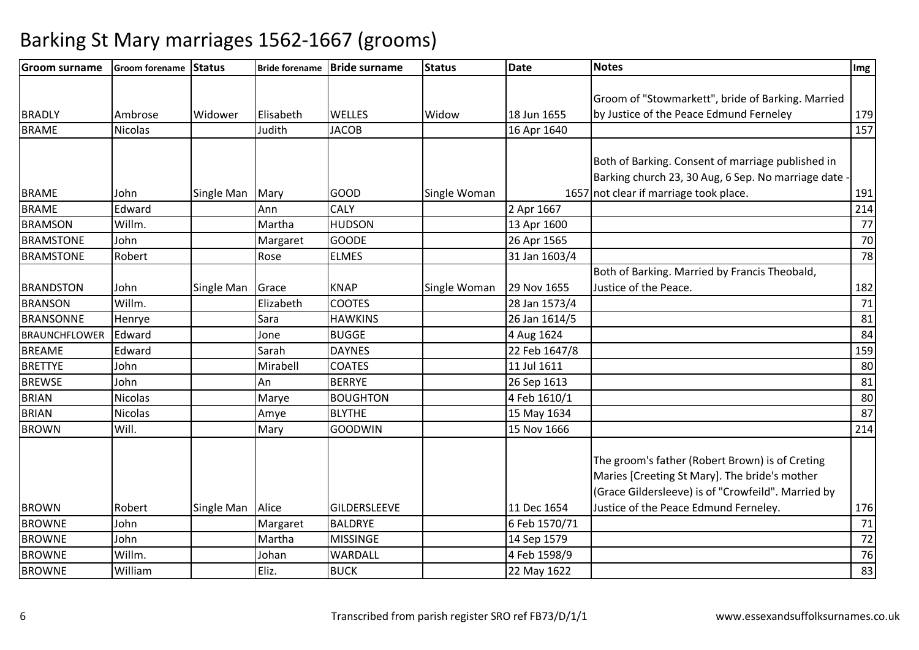| <b>Groom surname</b> | Groom forename Status |            | <b>Bride forename</b> | <b>Bride surname</b> | <b>Status</b> | <b>Date</b>   | <b>Notes</b>                                         | Img |
|----------------------|-----------------------|------------|-----------------------|----------------------|---------------|---------------|------------------------------------------------------|-----|
|                      |                       |            |                       |                      |               |               |                                                      |     |
|                      |                       |            |                       |                      |               |               | Groom of "Stowmarkett", bride of Barking. Married    |     |
| <b>BRADLY</b>        | Ambrose               | Widower    | Elisabeth             | <b>WELLES</b>        | Widow         | 18 Jun 1655   | by Justice of the Peace Edmund Ferneley              | 179 |
| <b>BRAME</b>         | <b>Nicolas</b>        |            | Judith                | <b>JACOB</b>         |               | 16 Apr 1640   |                                                      | 157 |
|                      |                       |            |                       |                      |               |               |                                                      |     |
|                      |                       |            |                       |                      |               |               | Both of Barking. Consent of marriage published in    |     |
|                      |                       |            |                       |                      |               |               | Barking church 23, 30 Aug, 6 Sep. No marriage date - |     |
| <b>BRAME</b>         | John                  | Single Man | Mary                  | <b>GOOD</b>          | Single Woman  |               | 1657 not clear if marriage took place.               | 191 |
| <b>BRAME</b>         | Edward                |            | Ann                   | <b>CALY</b>          |               | 2 Apr 1667    |                                                      | 214 |
| <b>BRAMSON</b>       | Willm.                |            | Martha                | <b>HUDSON</b>        |               | 13 Apr 1600   |                                                      | 77  |
| <b>BRAMSTONE</b>     | John                  |            | Margaret              | <b>GOODE</b>         |               | 26 Apr 1565   |                                                      | 70  |
| <b>BRAMSTONE</b>     | Robert                |            | Rose                  | <b>ELMES</b>         |               | 31 Jan 1603/4 |                                                      | 78  |
|                      |                       |            |                       |                      |               |               | Both of Barking. Married by Francis Theobald,        |     |
| <b>BRANDSTON</b>     | John                  | Single Man | Grace                 | <b>KNAP</b>          | Single Woman  | 29 Nov 1655   | Justice of the Peace.                                | 182 |
| <b>BRANSON</b>       | Willm.                |            | Elizabeth             | <b>COOTES</b>        |               | 28 Jan 1573/4 |                                                      | 71  |
| <b>BRANSONNE</b>     | Henrye                |            | Sara                  | <b>HAWKINS</b>       |               | 26 Jan 1614/5 |                                                      | 81  |
| <b>BRAUNCHFLOWER</b> | Edward                |            | Jone                  | <b>BUGGE</b>         |               | 4 Aug 1624    |                                                      | 84  |
| <b>BREAME</b>        | Edward                |            | Sarah                 | <b>DAYNES</b>        |               | 22 Feb 1647/8 |                                                      | 159 |
| <b>BRETTYE</b>       | John                  |            | Mirabell              | <b>COATES</b>        |               | 11 Jul 1611   |                                                      | 80  |
| <b>BREWSE</b>        | John                  |            | An                    | <b>BERRYE</b>        |               | 26 Sep 1613   |                                                      | 81  |
| <b>BRIAN</b>         | <b>Nicolas</b>        |            | Marye                 | <b>BOUGHTON</b>      |               | 4 Feb 1610/1  |                                                      | 80  |
| <b>BRIAN</b>         | <b>Nicolas</b>        |            | Amye                  | <b>BLYTHE</b>        |               | 15 May 1634   |                                                      | 87  |
| <b>BROWN</b>         | Will.                 |            | Mary                  | <b>GOODWIN</b>       |               | 15 Nov 1666   |                                                      | 214 |
|                      |                       |            |                       |                      |               |               |                                                      |     |
|                      |                       |            |                       |                      |               |               | The groom's father (Robert Brown) is of Creting      |     |
|                      |                       |            |                       |                      |               |               | Maries [Creeting St Mary]. The bride's mother        |     |
|                      |                       |            |                       |                      |               |               | (Grace Gildersleeve) is of "Crowfeild". Married by   |     |
| <b>BROWN</b>         | Robert                | Single Man | Alice                 | GILDERSLEEVE         |               | 11 Dec 1654   | Justice of the Peace Edmund Ferneley.                | 176 |
| <b>BROWNE</b>        | John                  |            | Margaret              | <b>BALDRYE</b>       |               | 6 Feb 1570/71 |                                                      | 71  |
| <b>BROWNE</b>        | John                  |            | Martha                | <b>MISSINGE</b>      |               | 14 Sep 1579   |                                                      | 72  |
| <b>BROWNE</b>        | Willm.                |            | Johan                 | WARDALL              |               | 4 Feb 1598/9  |                                                      | 76  |
| <b>BROWNE</b>        | William               |            | Eliz.                 | <b>BUCK</b>          |               | 22 May 1622   |                                                      | 83  |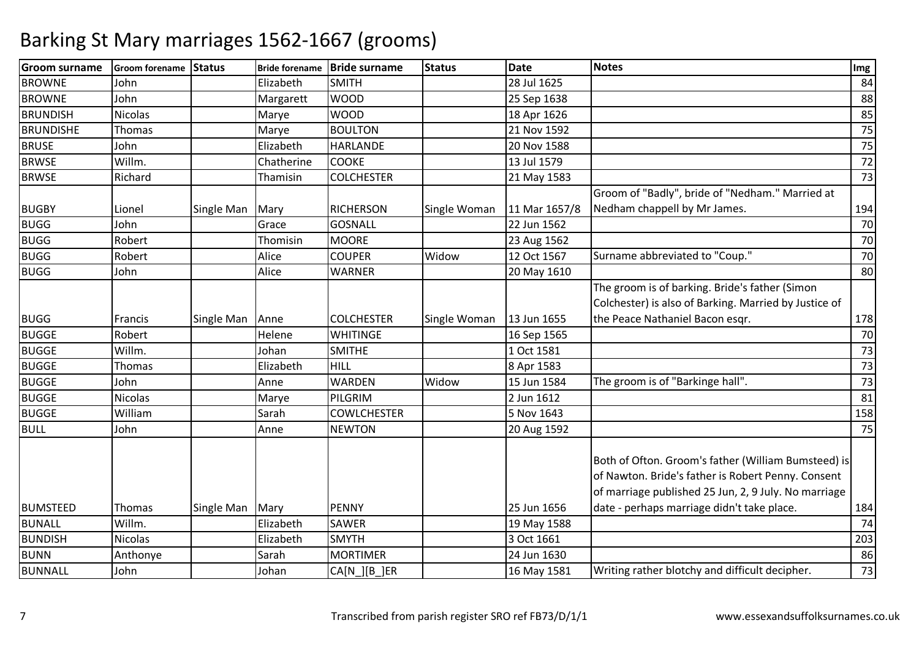| <b>Groom surname</b> | <b>Groom forename</b> | Status     |            | Bride forename Bride surname | <b>Status</b> | <b>Date</b>   | Notes                                                                                                                                                             | Img |
|----------------------|-----------------------|------------|------------|------------------------------|---------------|---------------|-------------------------------------------------------------------------------------------------------------------------------------------------------------------|-----|
| <b>BROWNE</b>        | John                  |            | Elizabeth  | <b>SMITH</b>                 |               | 28 Jul 1625   |                                                                                                                                                                   | 84  |
| <b>BROWNE</b>        | John                  |            | Margarett  | <b>WOOD</b>                  |               | 25 Sep 1638   |                                                                                                                                                                   | 88  |
| <b>BRUNDISH</b>      | <b>Nicolas</b>        |            | Marye      | <b>WOOD</b>                  |               | 18 Apr 1626   |                                                                                                                                                                   | 85  |
| <b>BRUNDISHE</b>     | Thomas                |            | Marye      | <b>BOULTON</b>               |               | 21 Nov 1592   |                                                                                                                                                                   | 75  |
| <b>BRUSE</b>         | John                  |            | Elizabeth  | <b>HARLANDE</b>              |               | 20 Nov 1588   |                                                                                                                                                                   | 75  |
| <b>BRWSE</b>         | Willm.                |            | Chatherine | <b>COOKE</b>                 |               | 13 Jul 1579   |                                                                                                                                                                   | 72  |
| <b>BRWSE</b>         | Richard               |            | Thamisin   | <b>COLCHESTER</b>            |               | 21 May 1583   |                                                                                                                                                                   | 73  |
|                      |                       |            |            |                              |               |               | Groom of "Badly", bride of "Nedham." Married at                                                                                                                   |     |
| <b>BUGBY</b>         | Lionel                | Single Man | Mary       | <b>RICHERSON</b>             | Single Woman  | 11 Mar 1657/8 | Nedham chappell by Mr James.                                                                                                                                      | 194 |
| <b>BUGG</b>          | John                  |            | Grace      | <b>GOSNALL</b>               |               | 22 Jun 1562   |                                                                                                                                                                   | 70  |
| <b>BUGG</b>          | Robert                |            | Thomisin   | <b>MOORE</b>                 |               | 23 Aug 1562   |                                                                                                                                                                   | 70  |
| <b>BUGG</b>          | Robert                |            | Alice      | <b>COUPER</b>                | Widow         | 12 Oct 1567   | Surname abbreviated to "Coup."                                                                                                                                    | 70  |
| <b>BUGG</b>          | John                  |            | Alice      | <b>WARNER</b>                |               | 20 May 1610   |                                                                                                                                                                   | 80  |
|                      |                       |            |            |                              |               |               | The groom is of barking. Bride's father (Simon                                                                                                                    |     |
|                      |                       |            |            |                              |               |               | Colchester) is also of Barking. Married by Justice of                                                                                                             |     |
| <b>BUGG</b>          | Francis               | Single Man | Anne       | <b>COLCHESTER</b>            | Single Woman  | 13 Jun 1655   | the Peace Nathaniel Bacon esgr.                                                                                                                                   | 178 |
| <b>BUGGE</b>         | Robert                |            | Helene     | <b>WHITINGE</b>              |               | 16 Sep 1565   |                                                                                                                                                                   | 70  |
| <b>BUGGE</b>         | Willm.                |            | Johan      | <b>SMITHE</b>                |               | 1 Oct 1581    |                                                                                                                                                                   | 73  |
| <b>BUGGE</b>         | <b>Thomas</b>         |            | Elizabeth  | <b>HILL</b>                  |               | 8 Apr 1583    |                                                                                                                                                                   | 73  |
| <b>BUGGE</b>         | John                  |            | Anne       | WARDEN                       | Widow         | 15 Jun 1584   | The groom is of "Barkinge hall".                                                                                                                                  | 73  |
| <b>BUGGE</b>         | <b>Nicolas</b>        |            | Marye      | PILGRIM                      |               | 2 Jun 1612    |                                                                                                                                                                   | 81  |
| <b>BUGGE</b>         | William               |            | Sarah      | <b>COWLCHESTER</b>           |               | 5 Nov 1643    |                                                                                                                                                                   | 158 |
| <b>BULL</b>          | John                  |            | Anne       | <b>NEWTON</b>                |               | 20 Aug 1592   |                                                                                                                                                                   | 75  |
|                      |                       |            |            |                              |               |               | Both of Ofton. Groom's father (William Bumsteed) is<br>of Nawton. Bride's father is Robert Penny. Consent<br>of marriage published 25 Jun, 2, 9 July. No marriage |     |
| <b>BUMSTEED</b>      | Thomas                | Single Man | Mary       | <b>PENNY</b>                 |               | 25 Jun 1656   | date - perhaps marriage didn't take place.                                                                                                                        | 184 |
| BUNALL               | Willm.                |            | Elizabeth  | <b>SAWER</b>                 |               | 19 May 1588   |                                                                                                                                                                   | 74  |
| <b>BUNDISH</b>       | Nicolas               |            | Elizabeth  | <b>SMYTH</b>                 |               | 3 Oct 1661    |                                                                                                                                                                   | 203 |
| <b>BUNN</b>          | Anthonye              |            | Sarah      | <b>MORTIMER</b>              |               | 24 Jun 1630   |                                                                                                                                                                   | 86  |
| <b>BUNNALL</b>       | John                  |            | Johan      | CA[N_][B_]ER                 |               | 16 May 1581   | Writing rather blotchy and difficult decipher.                                                                                                                    | 73  |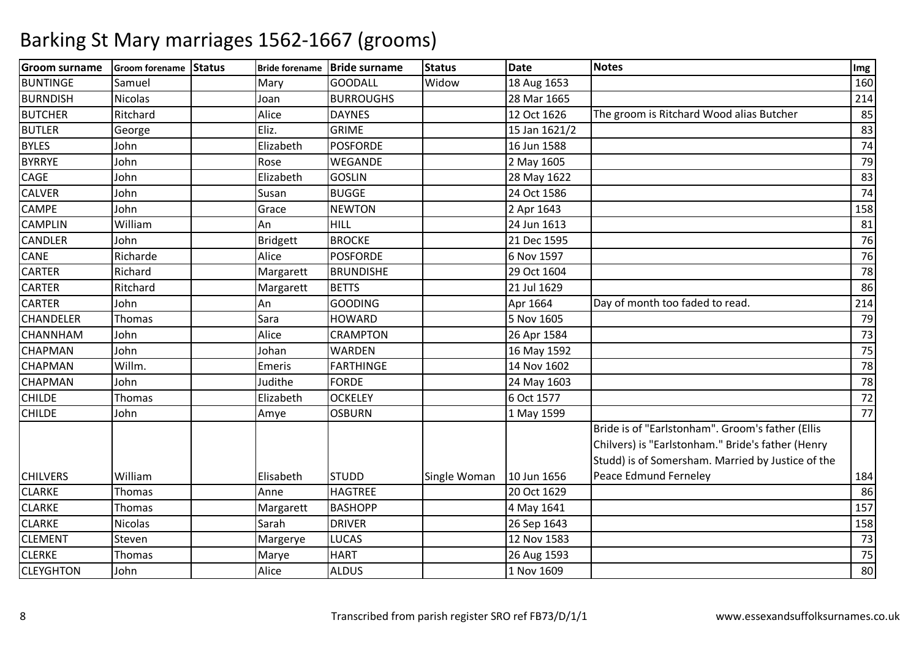| <b>Groom surname</b> | Groom forename Status |                 | Bride forename   Bride surname | <b>Status</b> | <b>Date</b>   | <b>Notes</b>                                      | Img |
|----------------------|-----------------------|-----------------|--------------------------------|---------------|---------------|---------------------------------------------------|-----|
| <b>BUNTINGE</b>      | Samuel                | Mary            | <b>GOODALL</b>                 | Widow         | 18 Aug 1653   |                                                   | 160 |
| <b>BURNDISH</b>      | <b>Nicolas</b>        | Joan            | <b>BURROUGHS</b>               |               | 28 Mar 1665   |                                                   | 214 |
| <b>BUTCHER</b>       | Ritchard              | Alice           | <b>DAYNES</b>                  |               | 12 Oct 1626   | The groom is Ritchard Wood alias Butcher          | 85  |
| <b>BUTLER</b>        | George                | Eliz.           | <b>GRIME</b>                   |               | 15 Jan 1621/2 |                                                   | 83  |
| <b>BYLES</b>         | John                  | Elizabeth       | <b>POSFORDE</b>                |               | 16 Jun 1588   |                                                   | 74  |
| <b>BYRRYE</b>        | John                  | Rose            | WEGANDE                        |               | 2 May 1605    |                                                   | 79  |
| <b>CAGE</b>          | John                  | Elizabeth       | <b>GOSLIN</b>                  |               | 28 May 1622   |                                                   | 83  |
| <b>CALVER</b>        | John                  | Susan           | <b>BUGGE</b>                   |               | 24 Oct 1586   |                                                   | 74  |
| <b>CAMPE</b>         | John                  | Grace           | <b>NEWTON</b>                  |               | 2 Apr 1643    |                                                   | 158 |
| <b>CAMPLIN</b>       | William               | An              | <b>HILL</b>                    |               | 24 Jun 1613   |                                                   | 81  |
| <b>CANDLER</b>       | John                  | <b>Bridgett</b> | <b>BROCKE</b>                  |               | 21 Dec 1595   |                                                   | 76  |
| CANE                 | Richarde              | Alice           | <b>POSFORDE</b>                |               | 6 Nov 1597    |                                                   | 76  |
| <b>CARTER</b>        | Richard               | Margarett       | <b>BRUNDISHE</b>               |               | 29 Oct 1604   |                                                   | 78  |
| <b>CARTER</b>        | Ritchard              | Margarett       | <b>BETTS</b>                   |               | 21 Jul 1629   |                                                   | 86  |
| <b>CARTER</b>        | John                  | An              | <b>GOODING</b>                 |               | Apr 1664      | Day of month too faded to read.                   | 214 |
| <b>CHANDELER</b>     | Thomas                | Sara            | <b>HOWARD</b>                  |               | 5 Nov 1605    |                                                   | 79  |
| <b>CHANNHAM</b>      | John                  | Alice           | <b>CRAMPTON</b>                |               | 26 Apr 1584   |                                                   | 73  |
| <b>CHAPMAN</b>       | John                  | Johan           | <b>WARDEN</b>                  |               | 16 May 1592   |                                                   | 75  |
| <b>CHAPMAN</b>       | Willm.                | Emeris          | <b>FARTHINGE</b>               |               | 14 Nov 1602   |                                                   | 78  |
| <b>CHAPMAN</b>       | John                  | Judithe         | <b>FORDE</b>                   |               | 24 May 1603   |                                                   | 78  |
| <b>CHILDE</b>        | Thomas                | Elizabeth       | <b>OCKELEY</b>                 |               | 6 Oct 1577    |                                                   | 72  |
| <b>CHILDE</b>        | John                  | Amye            | <b>OSBURN</b>                  |               | 1 May 1599    |                                                   | 77  |
|                      |                       |                 |                                |               |               | Bride is of "Earlstonham". Groom's father (Ellis  |     |
|                      |                       |                 |                                |               |               | Chilvers) is "Earlstonham." Bride's father (Henry |     |
|                      |                       |                 |                                |               |               | Studd) is of Somersham. Married by Justice of the |     |
| <b>CHILVERS</b>      | William               | Elisabeth       | <b>STUDD</b>                   | Single Woman  | 10 Jun 1656   | Peace Edmund Ferneley                             | 184 |
| <b>CLARKE</b>        | Thomas                | Anne            | <b>HAGTREE</b>                 |               | 20 Oct 1629   |                                                   | 86  |
| <b>CLARKE</b>        | Thomas                | Margarett       | <b>BASHOPP</b>                 |               | 4 May 1641    |                                                   | 157 |
| <b>CLARKE</b>        | Nicolas               | Sarah           | <b>DRIVER</b>                  |               | 26 Sep 1643   |                                                   | 158 |
| <b>CLEMENT</b>       | Steven                | Margerye        | <b>LUCAS</b>                   |               | 12 Nov 1583   |                                                   | 73  |
| <b>CLERKE</b>        | Thomas                | Marye           | <b>HART</b>                    |               | 26 Aug 1593   |                                                   | 75  |
| <b>CLEYGHTON</b>     | John                  | Alice           | <b>ALDUS</b>                   |               | 1 Nov 1609    |                                                   | 80  |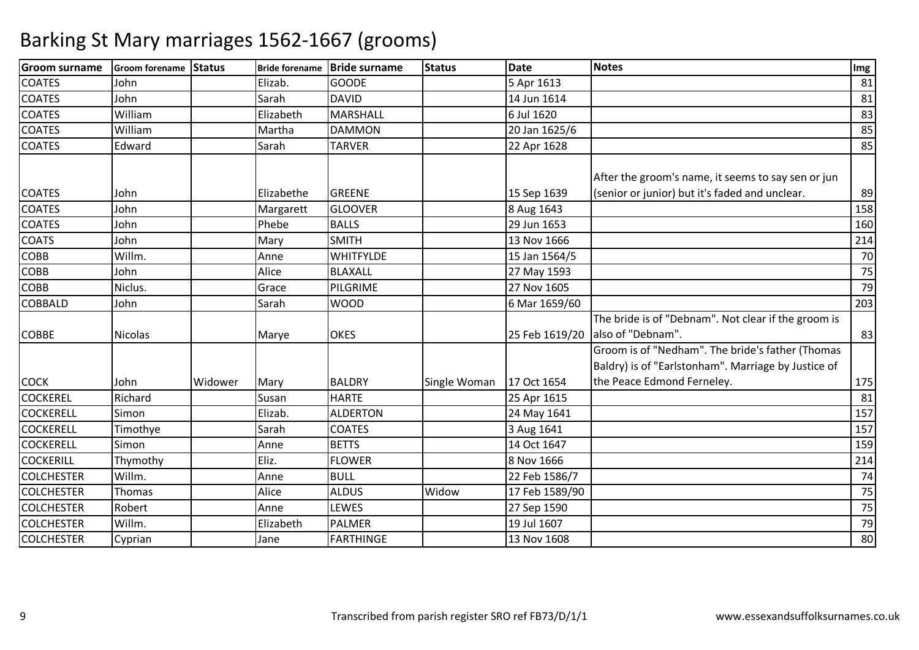| <b>Groom surname</b> | Groom forename Status |         |            | Bride forename Bride surname | <b>Status</b> | <b>Date</b>    | <b>Notes</b>                                                                                            | Img |
|----------------------|-----------------------|---------|------------|------------------------------|---------------|----------------|---------------------------------------------------------------------------------------------------------|-----|
| <b>COATES</b>        | John                  |         | Elizab.    | <b>GOODE</b>                 |               | 5 Apr 1613     |                                                                                                         | 81  |
| <b>COATES</b>        | John                  |         | Sarah      | <b>DAVID</b>                 |               | 14 Jun 1614    |                                                                                                         | 81  |
| <b>COATES</b>        | William               |         | Elizabeth  | MARSHALL                     |               | 6 Jul 1620     |                                                                                                         | 83  |
| <b>COATES</b>        | William               |         | Martha     | <b>DAMMON</b>                |               | 20 Jan 1625/6  |                                                                                                         | 85  |
| <b>COATES</b>        | Edward                |         | Sarah      | <b>TARVER</b>                |               | 22 Apr 1628    |                                                                                                         | 85  |
|                      |                       |         |            |                              |               |                | After the groom's name, it seems to say sen or jun                                                      |     |
| <b>COATES</b>        | John                  |         | Elizabethe | GREENE                       |               | 15 Sep 1639    | (senior or junior) but it's faded and unclear.                                                          | 89  |
| <b>COATES</b>        | John                  |         | Margarett  | <b>GLOOVER</b>               |               | 8 Aug 1643     |                                                                                                         | 158 |
| <b>COATES</b>        | John                  |         | Phebe      | <b>BALLS</b>                 |               | 29 Jun 1653    |                                                                                                         | 160 |
| <b>COATS</b>         | John                  |         | Mary       | <b>SMITH</b>                 |               | 13 Nov 1666    |                                                                                                         | 214 |
| <b>COBB</b>          | Willm.                |         | Anne       | <b>WHITFYLDE</b>             |               | 15 Jan 1564/5  |                                                                                                         | 70  |
| <b>COBB</b>          | John                  |         | Alice      | <b>BLAXALL</b>               |               | 27 May 1593    |                                                                                                         | 75  |
| <b>COBB</b>          | Niclus.               |         | Grace      | PILGRIME                     |               | 27 Nov 1605    |                                                                                                         | 79  |
| <b>COBBALD</b>       | John                  |         | Sarah      | <b>WOOD</b>                  |               | 6 Mar 1659/60  |                                                                                                         | 203 |
| <b>COBBE</b>         | <b>Nicolas</b>        |         | Marye      | <b>OKES</b>                  |               |                | The bride is of "Debnam". Not clear if the groom is<br>25 Feb 1619/20 also of "Debnam".                 | 83  |
|                      |                       |         |            |                              |               |                | Groom is of "Nedham". The bride's father (Thomas<br>Baldry) is of "Earlstonham". Marriage by Justice of |     |
| <b>COCK</b>          | John                  | Widower | Mary       | <b>BALDRY</b>                | Single Woman  | 17 Oct 1654    | the Peace Edmond Ferneley.                                                                              | 175 |
| <b>COCKEREL</b>      | Richard               |         | Susan      | <b>HARTE</b>                 |               | 25 Apr 1615    |                                                                                                         | 81  |
| <b>COCKERELL</b>     | Simon                 |         | Elizab.    | <b>ALDERTON</b>              |               | 24 May 1641    |                                                                                                         | 157 |
| <b>COCKERELL</b>     | Timothye              |         | Sarah      | <b>COATES</b>                |               | 3 Aug 1641     |                                                                                                         | 157 |
| <b>COCKERELL</b>     | Simon                 |         | Anne       | <b>BETTS</b>                 |               | 14 Oct 1647    |                                                                                                         | 159 |
| <b>COCKERILL</b>     | Thymothy              |         | Eliz.      | <b>FLOWER</b>                |               | 8 Nov 1666     |                                                                                                         | 214 |
| <b>COLCHESTER</b>    | Willm.                |         | Anne       | <b>BULL</b>                  |               | 22 Feb 1586/7  |                                                                                                         | 74  |
| <b>COLCHESTER</b>    | Thomas                |         | Alice      | <b>ALDUS</b>                 | Widow         | 17 Feb 1589/90 |                                                                                                         | 75  |
| <b>COLCHESTER</b>    | Robert                |         | Anne       | LEWES                        |               | 27 Sep 1590    |                                                                                                         | 75  |
| <b>COLCHESTER</b>    | Willm.                |         | Elizabeth  | PALMER                       |               | 19 Jul 1607    |                                                                                                         | 79  |
| <b>COLCHESTER</b>    | Cyprian               |         | Jane       | <b>FARTHINGE</b>             |               | 13 Nov 1608    |                                                                                                         | 80  |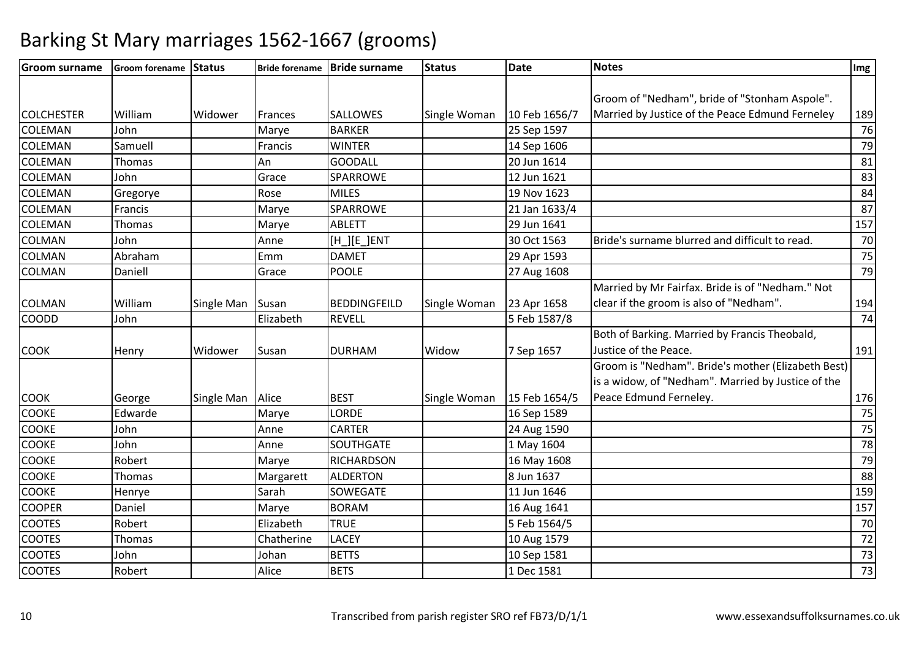| <b>Groom surname</b> | Groom forename Status |            | <b>Bride forename</b> | <b>Bride surname</b> | <b>Status</b> | <b>Date</b>   | <b>Notes</b>                                       | Img |
|----------------------|-----------------------|------------|-----------------------|----------------------|---------------|---------------|----------------------------------------------------|-----|
|                      |                       |            |                       |                      |               |               |                                                    |     |
|                      |                       |            |                       |                      |               |               | Groom of "Nedham", bride of "Stonham Aspole".      |     |
| <b>COLCHESTER</b>    | William               | Widower    | <b>Frances</b>        | <b>SALLOWES</b>      | Single Woman  | 10 Feb 1656/7 | Married by Justice of the Peace Edmund Ferneley    | 189 |
| COLEMAN              | John                  |            | Marye                 | <b>BARKER</b>        |               | 25 Sep 1597   |                                                    | 76  |
| <b>COLEMAN</b>       | Samuell               |            | Francis               | <b>WINTER</b>        |               | 14 Sep 1606   |                                                    | 79  |
| <b>COLEMAN</b>       | Thomas                |            | An                    | <b>GOODALL</b>       |               | 20 Jun 1614   |                                                    | 81  |
| <b>COLEMAN</b>       | John                  |            | Grace                 | <b>SPARROWE</b>      |               | 12 Jun 1621   |                                                    | 83  |
| COLEMAN              | Gregorye              |            | Rose                  | <b>MILES</b>         |               | 19 Nov 1623   |                                                    | 84  |
| <b>COLEMAN</b>       | Francis               |            | Marye                 | SPARROWE             |               | 21 Jan 1633/4 |                                                    | 87  |
| <b>COLEMAN</b>       | Thomas                |            | Marye                 | <b>ABLETT</b>        |               | 29 Jun 1641   |                                                    | 157 |
| <b>COLMAN</b>        | John                  |            | Anne                  | [H_][E_]ENT          |               | 30 Oct 1563   | Bride's surname blurred and difficult to read.     | 70  |
| <b>COLMAN</b>        | Abraham               |            | Emm                   | <b>DAMET</b>         |               | 29 Apr 1593   |                                                    | 75  |
| <b>COLMAN</b>        | Daniell               |            | Grace                 | <b>POOLE</b>         |               | 27 Aug 1608   |                                                    | 79  |
|                      |                       |            |                       |                      |               |               | Married by Mr Fairfax. Bride is of "Nedham." Not   |     |
| <b>COLMAN</b>        | William               | Single Man | Susan                 | <b>BEDDINGFEILD</b>  | Single Woman  | 23 Apr 1658   | clear if the groom is also of "Nedham".            | 194 |
| <b>COODD</b>         | John                  |            | Elizabeth             | <b>REVELL</b>        |               | 5 Feb 1587/8  |                                                    | 74  |
|                      |                       |            |                       |                      |               |               | Both of Barking. Married by Francis Theobald,      |     |
| <b>COOK</b>          | Henry                 | Widower    | Susan                 | <b>DURHAM</b>        | Widow         | 7 Sep 1657    | Justice of the Peace.                              | 191 |
|                      |                       |            |                       |                      |               |               | Groom is "Nedham". Bride's mother (Elizabeth Best) |     |
|                      |                       |            |                       |                      |               |               | is a widow, of "Nedham". Married by Justice of the |     |
| <b>COOK</b>          | George                | Single Man | Alice                 | <b>BEST</b>          | Single Woman  | 15 Feb 1654/5 | Peace Edmund Ferneley.                             | 176 |
| <b>COOKE</b>         | Edwarde               |            | Marye                 | LORDE                |               | 16 Sep 1589   |                                                    | 75  |
| <b>COOKE</b>         | John                  |            | Anne                  | <b>CARTER</b>        |               | 24 Aug 1590   |                                                    | 75  |
| <b>COOKE</b>         | John                  |            | Anne                  | SOUTHGATE            |               | 1 May 1604    |                                                    | 78  |
| <b>COOKE</b>         | Robert                |            | Marye                 | <b>RICHARDSON</b>    |               | 16 May 1608   |                                                    | 79  |
| <b>COOKE</b>         | Thomas                |            | Margarett             | <b>ALDERTON</b>      |               | 8 Jun 1637    |                                                    | 88  |
| <b>COOKE</b>         | Henrye                |            | Sarah                 | SOWEGATE             |               | 11 Jun 1646   |                                                    | 159 |
| <b>COOPER</b>        | Daniel                |            | Marye                 | <b>BORAM</b>         |               | 16 Aug 1641   |                                                    | 157 |
| <b>COOTES</b>        | Robert                |            | Elizabeth             | <b>TRUE</b>          |               | 5 Feb 1564/5  |                                                    | 70  |
| <b>COOTES</b>        | Thomas                |            | Chatherine            | <b>LACEY</b>         |               | 10 Aug 1579   |                                                    | 72  |
| <b>COOTES</b>        | John                  |            | Johan                 | <b>BETTS</b>         |               | 10 Sep 1581   |                                                    | 73  |
| <b>COOTES</b>        | Robert                |            | Alice                 | <b>BETS</b>          |               | 1 Dec 1581    |                                                    | 73  |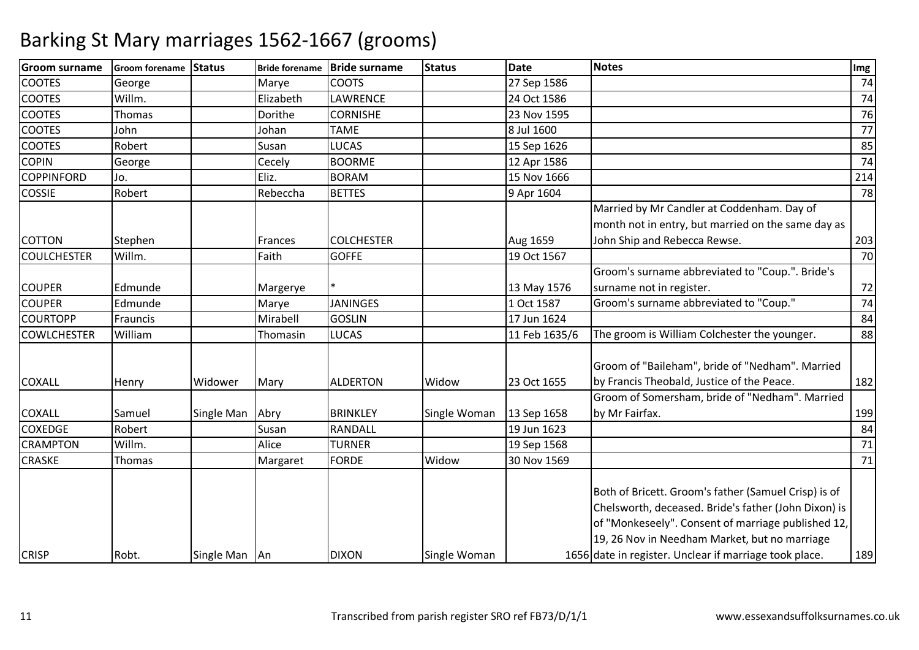| <b>Groom surname</b> | <b>Groom forename</b> | Status        | <b>Bride forename</b> | <b>Bride surname</b> | <b>Status</b> | <b>Date</b>   | <b>Notes</b>                                           | Img |
|----------------------|-----------------------|---------------|-----------------------|----------------------|---------------|---------------|--------------------------------------------------------|-----|
| <b>COOTES</b>        | George                |               | Marye                 | <b>COOTS</b>         |               | 27 Sep 1586   |                                                        | 74  |
| <b>COOTES</b>        | Willm.                |               | Elizabeth             | LAWRENCE             |               | 24 Oct 1586   |                                                        | 74  |
| <b>COOTES</b>        | Thomas                |               | Dorithe               | <b>CORNISHE</b>      |               | 23 Nov 1595   |                                                        | 76  |
| <b>COOTES</b>        | John                  |               | Johan                 | <b>TAME</b>          |               | 8 Jul 1600    |                                                        | 77  |
| <b>COOTES</b>        | Robert                |               | Susan                 | <b>LUCAS</b>         |               | 15 Sep 1626   |                                                        | 85  |
| <b>COPIN</b>         | George                |               | Cecely                | <b>BOORME</b>        |               | 12 Apr 1586   |                                                        | 74  |
| <b>COPPINFORD</b>    | Jo.                   |               | Eliz.                 | <b>BORAM</b>         |               | 15 Nov 1666   |                                                        | 214 |
| <b>COSSIE</b>        | Robert                |               | Rebeccha              | <b>BETTES</b>        |               | 9 Apr 1604    |                                                        | 78  |
|                      |                       |               |                       |                      |               |               | Married by Mr Candler at Coddenham. Day of             |     |
|                      |                       |               |                       |                      |               |               | month not in entry, but married on the same day as     |     |
| <b>COTTON</b>        | Stephen               |               | <b>Frances</b>        | <b>COLCHESTER</b>    |               | Aug 1659      | John Ship and Rebecca Rewse.                           | 203 |
| <b>COULCHESTER</b>   | Willm.                |               | Faith                 | <b>GOFFE</b>         |               | 19 Oct 1567   |                                                        | 70  |
|                      |                       |               |                       |                      |               |               | Groom's surname abbreviated to "Coup.". Bride's        |     |
| <b>COUPER</b>        | Edmunde               |               | Margerye              |                      |               | 13 May 1576   | surname not in register.                               | 72  |
| <b>COUPER</b>        | Edmunde               |               | Marye                 | <b>JANINGES</b>      |               | 1 Oct 1587    | Groom's surname abbreviated to "Coup."                 | 74  |
| <b>COURTOPP</b>      | Frauncis              |               | Mirabell              | <b>GOSLIN</b>        |               | 17 Jun 1624   |                                                        | 84  |
| <b>COWLCHESTER</b>   | William               |               | Thomasin              | <b>LUCAS</b>         |               | 11 Feb 1635/6 | The groom is William Colchester the younger.           | 88  |
|                      |                       |               |                       |                      |               |               |                                                        |     |
|                      |                       |               |                       |                      |               |               | Groom of "Baileham", bride of "Nedham". Married        |     |
| <b>COXALL</b>        | Henry                 | Widower       | Mary                  | <b>ALDERTON</b>      | Widow         | 23 Oct 1655   | by Francis Theobald, Justice of the Peace.             | 182 |
|                      |                       |               |                       |                      |               |               | Groom of Somersham, bride of "Nedham". Married         |     |
| <b>COXALL</b>        | Samuel                | Single Man    | Abry                  | <b>BRINKLEY</b>      | Single Woman  | 13 Sep 1658   | by Mr Fairfax.                                         | 199 |
| <b>COXEDGE</b>       | Robert                |               | Susan                 | RANDALL              |               | 19 Jun 1623   |                                                        | 84  |
| <b>CRAMPTON</b>      | Willm.                |               | Alice                 | <b>TURNER</b>        |               | 19 Sep 1568   |                                                        | 71  |
| <b>CRASKE</b>        | Thomas                |               | Margaret              | <b>FORDE</b>         | Widow         | 30 Nov 1569   |                                                        | 71  |
|                      |                       |               |                       |                      |               |               |                                                        |     |
|                      |                       |               |                       |                      |               |               | Both of Bricett. Groom's father (Samuel Crisp) is of   |     |
|                      |                       |               |                       |                      |               |               | Chelsworth, deceased. Bride's father (John Dixon) is   |     |
|                      |                       |               |                       |                      |               |               | of "Monkeseely". Consent of marriage published 12,     |     |
|                      |                       |               |                       |                      |               |               | 19, 26 Nov in Needham Market, but no marriage          |     |
| <b>CRISP</b>         | Robt.                 | Single Man An |                       | <b>DIXON</b>         | Single Woman  |               | 1656 date in register. Unclear if marriage took place. | 189 |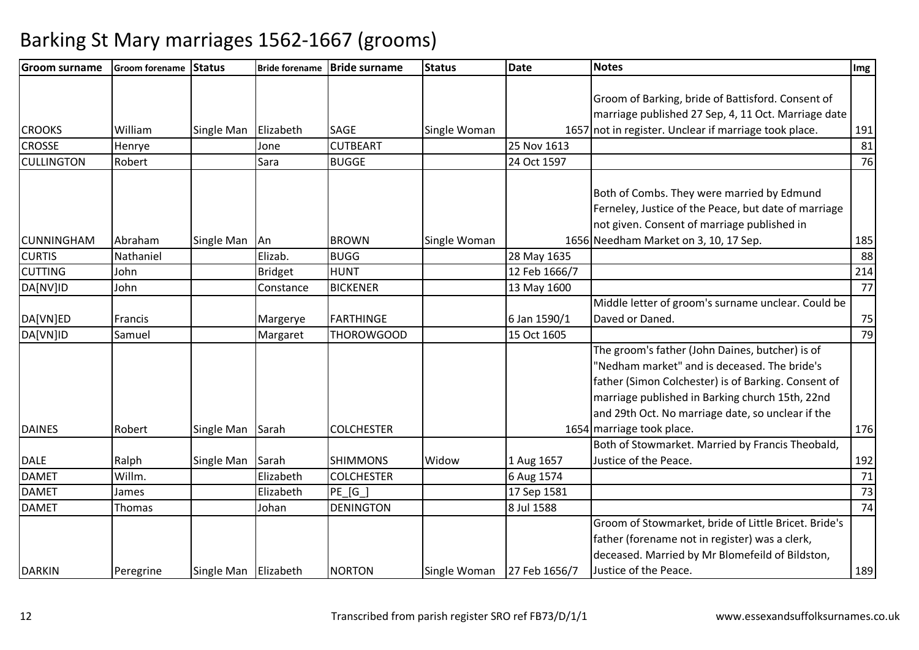| <b>Groom surname</b> | <b>Groom forename</b> | <b>Status</b>        |                | Bride forename Bride surname | <b>Status</b> | <b>Date</b>   | <b>Notes</b>                                          | Img             |
|----------------------|-----------------------|----------------------|----------------|------------------------------|---------------|---------------|-------------------------------------------------------|-----------------|
|                      |                       |                      |                |                              |               |               |                                                       |                 |
|                      |                       |                      |                |                              |               |               | Groom of Barking, bride of Battisford. Consent of     |                 |
|                      |                       |                      |                |                              |               |               | marriage published 27 Sep, 4, 11 Oct. Marriage date   |                 |
| <b>CROOKS</b>        | William               | Single Man           | Elizabeth      | <b>SAGE</b>                  | Single Woman  |               | 1657 not in register. Unclear if marriage took place. | 191             |
| <b>CROSSE</b>        | Henrye                |                      | Jone           | <b>CUTBEART</b>              |               | 25 Nov 1613   |                                                       | 81              |
| <b>CULLINGTON</b>    | Robert                |                      | Sara           | <b>BUGGE</b>                 |               | 24 Oct 1597   |                                                       | 76              |
|                      |                       |                      |                |                              |               |               |                                                       |                 |
|                      |                       |                      |                |                              |               |               | Both of Combs. They were married by Edmund            |                 |
|                      |                       |                      |                |                              |               |               | Ferneley, Justice of the Peace, but date of marriage  |                 |
|                      |                       |                      |                |                              |               |               | not given. Consent of marriage published in           |                 |
| <b>CUNNINGHAM</b>    | Abraham               | Single Man           | An             | <b>BROWN</b>                 | Single Woman  |               | 1656 Needham Market on 3, 10, 17 Sep.                 | 185             |
| <b>CURTIS</b>        | Nathaniel             |                      | Elizab.        | <b>BUGG</b>                  |               | 28 May 1635   |                                                       | 88              |
| <b>CUTTING</b>       | John                  |                      | <b>Bridget</b> | <b>HUNT</b>                  |               | 12 Feb 1666/7 |                                                       | 214             |
| DA[NV]ID             | John                  |                      | Constance      | <b>BICKENER</b>              |               | 13 May 1600   |                                                       | 77              |
|                      |                       |                      |                |                              |               |               | Middle letter of groom's surname unclear. Could be    |                 |
| DA[VN]ED             | Francis               |                      | Margerye       | <b>FARTHINGE</b>             |               | 6 Jan 1590/1  | Daved or Daned.                                       | 75              |
| DA[VN]ID             | Samuel                |                      | Margaret       | THOROWGOOD                   |               | 15 Oct 1605   |                                                       | 79              |
|                      |                       |                      |                |                              |               |               | The groom's father (John Daines, butcher) is of       |                 |
|                      |                       |                      |                |                              |               |               | "Nedham market" and is deceased. The bride's          |                 |
|                      |                       |                      |                |                              |               |               | father (Simon Colchester) is of Barking. Consent of   |                 |
|                      |                       |                      |                |                              |               |               | marriage published in Barking church 15th, 22nd       |                 |
|                      |                       |                      |                |                              |               |               | and 29th Oct. No marriage date, so unclear if the     |                 |
| <b>DAINES</b>        | Robert                | Single Man           | Sarah          | <b>COLCHESTER</b>            |               |               | 1654 marriage took place.                             | 176             |
|                      |                       |                      |                |                              |               |               | Both of Stowmarket. Married by Francis Theobald,      |                 |
| <b>DALE</b>          | Ralph                 | Single Man           | Sarah          | <b>SHIMMONS</b>              | Widow         | 1 Aug 1657    | Justice of the Peace.                                 | 192             |
| <b>DAMET</b>         | Willm.                |                      | Elizabeth      | <b>COLCHESTER</b>            |               | 6 Aug 1574    |                                                       | 71              |
| <b>DAMET</b>         | James                 |                      | Elizabeth      | PE[G]                        |               | 17 Sep 1581   |                                                       | $\overline{73}$ |
| <b>DAMET</b>         | Thomas                |                      | Johan          | <b>DENINGTON</b>             |               | 8 Jul 1588    |                                                       | 74              |
|                      |                       |                      |                |                              |               |               | Groom of Stowmarket, bride of Little Bricet. Bride's  |                 |
|                      |                       |                      |                |                              |               |               | father (forename not in register) was a clerk,        |                 |
|                      |                       |                      |                |                              |               |               | deceased. Married by Mr Blomefeild of Bildston,       |                 |
| <b>DARKIN</b>        | Peregrine             | Single Man Elizabeth |                | <b>NORTON</b>                | Single Woman  | 27 Feb 1656/7 | Justice of the Peace.                                 | 189             |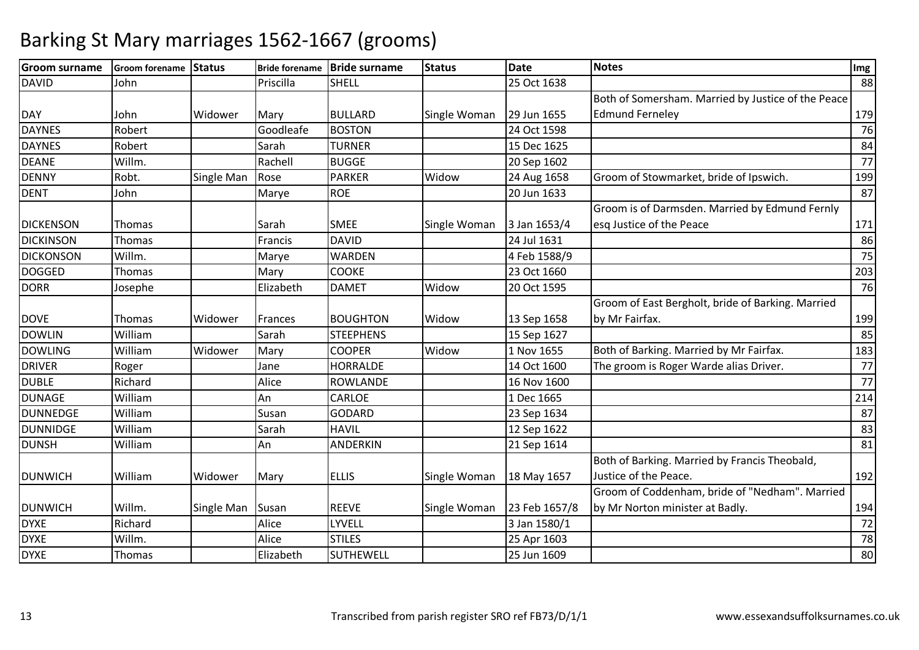| <b>Groom surname</b> | <b>Groom forename</b> | Status     | <b>Bride forename</b> | <b>Bride surname</b> | <b>Status</b> | <b>Date</b>   | <b>Notes</b>                                       | Img |
|----------------------|-----------------------|------------|-----------------------|----------------------|---------------|---------------|----------------------------------------------------|-----|
| <b>DAVID</b>         | John                  |            | Priscilla             | <b>SHELL</b>         |               | 25 Oct 1638   |                                                    | 88  |
|                      |                       |            |                       |                      |               |               | Both of Somersham. Married by Justice of the Peace |     |
| <b>DAY</b>           | John                  | Widower    | Mary                  | <b>BULLARD</b>       | Single Woman  | 29 Jun 1655   | <b>Edmund Ferneley</b>                             | 179 |
| <b>DAYNES</b>        | Robert                |            | Goodleafe             | <b>BOSTON</b>        |               | 24 Oct 1598   |                                                    | 76  |
| <b>DAYNES</b>        | Robert                |            | Sarah                 | <b>TURNER</b>        |               | 15 Dec 1625   |                                                    | 84  |
| <b>DEANE</b>         | Willm.                |            | Rachell               | <b>BUGGE</b>         |               | 20 Sep 1602   |                                                    | 77  |
| <b>DENNY</b>         | Robt.                 | Single Man | Rose                  | <b>PARKER</b>        | Widow         | 24 Aug 1658   | Groom of Stowmarket, bride of Ipswich.             | 199 |
| <b>DENT</b>          | John                  |            | Marye                 | <b>ROE</b>           |               | 20 Jun 1633   |                                                    | 87  |
|                      |                       |            |                       |                      |               |               | Groom is of Darmsden. Married by Edmund Fernly     |     |
| <b>DICKENSON</b>     | Thomas                |            | Sarah                 | <b>SMEE</b>          | Single Woman  | 3 Jan 1653/4  | esq Justice of the Peace                           | 171 |
| <b>DICKINSON</b>     | <b>Thomas</b>         |            | Francis               | <b>DAVID</b>         |               | 24 Jul 1631   |                                                    | 86  |
| <b>DICKONSON</b>     | Willm.                |            | Marye                 | WARDEN               |               | 4 Feb 1588/9  |                                                    | 75  |
| <b>DOGGED</b>        | Thomas                |            | Mary                  | <b>COOKE</b>         |               | 23 Oct 1660   |                                                    | 203 |
| <b>DORR</b>          | Josephe               |            | Elizabeth             | <b>DAMET</b>         | Widow         | 20 Oct 1595   |                                                    | 76  |
|                      |                       |            |                       |                      |               |               | Groom of East Bergholt, bride of Barking. Married  |     |
| <b>DOVE</b>          | Thomas                | Widower    | Frances               | <b>BOUGHTON</b>      | Widow         | 13 Sep 1658   | by Mr Fairfax.                                     | 199 |
| <b>DOWLIN</b>        | William               |            | Sarah                 | <b>STEEPHENS</b>     |               | 15 Sep 1627   |                                                    | 85  |
| <b>DOWLING</b>       | William               | Widower    | Mary                  | <b>COOPER</b>        | Widow         | 1 Nov 1655    | Both of Barking. Married by Mr Fairfax.            | 183 |
| <b>DRIVER</b>        | Roger                 |            | Jane                  | <b>HORRALDE</b>      |               | 14 Oct 1600   | The groom is Roger Warde alias Driver.             | 77  |
| <b>DUBLE</b>         | Richard               |            | Alice                 | <b>ROWLANDE</b>      |               | 16 Nov 1600   |                                                    | 77  |
| <b>DUNAGE</b>        | William               |            | An                    | CARLOE               |               | 1 Dec 1665    |                                                    | 214 |
| <b>DUNNEDGE</b>      | William               |            | Susan                 | <b>GODARD</b>        |               | 23 Sep 1634   |                                                    | 87  |
| <b>DUNNIDGE</b>      | William               |            | Sarah                 | <b>HAVIL</b>         |               | 12 Sep 1622   |                                                    | 83  |
| <b>DUNSH</b>         | William               |            | An                    | ANDERKIN             |               | 21 Sep 1614   |                                                    | 81  |
|                      |                       |            |                       |                      |               |               | Both of Barking. Married by Francis Theobald,      |     |
| <b>DUNWICH</b>       | William               | Widower    | Mary                  | <b>ELLIS</b>         | Single Woman  | 18 May 1657   | Justice of the Peace.                              | 192 |
|                      |                       |            |                       |                      |               |               | Groom of Coddenham, bride of "Nedham". Married     |     |
| <b>DUNWICH</b>       | Willm.                | Single Man | Susan                 | <b>REEVE</b>         | Single Woman  | 23 Feb 1657/8 | by Mr Norton minister at Badly.                    | 194 |
| <b>DYXE</b>          | Richard               |            | Alice                 | LYVELL               |               | 3 Jan 1580/1  |                                                    | 72  |
| <b>DYXE</b>          | Willm.                |            | Alice                 | <b>STILES</b>        |               | 25 Apr 1603   |                                                    | 78  |
| <b>DYXE</b>          | Thomas                |            | Elizabeth             | <b>SUTHEWELL</b>     |               | 25 Jun 1609   |                                                    | 80  |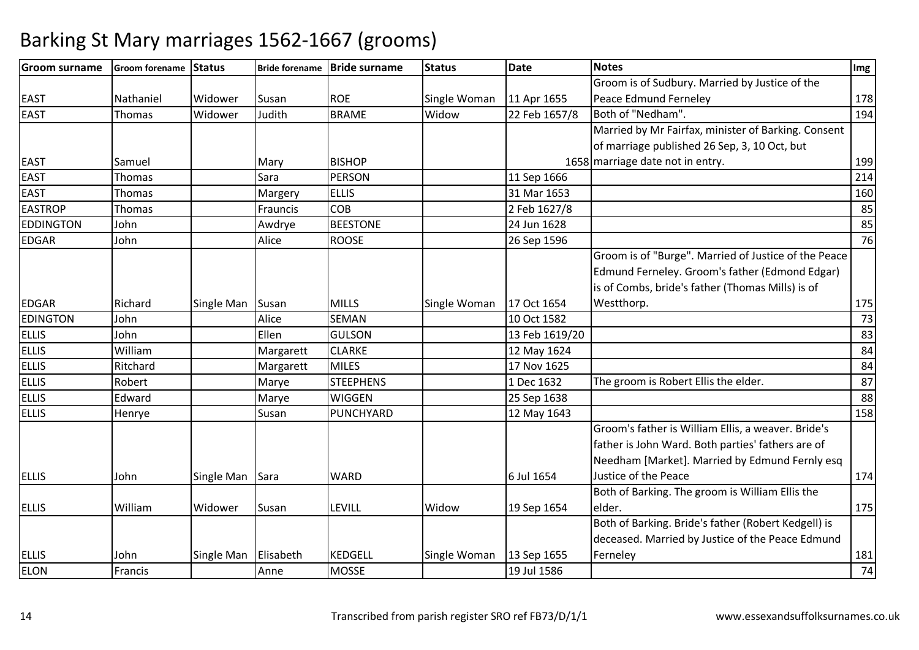#### **Groom surname Groom forename Status Bride forename Bride surname Status Date Notes Img** EAST Nathaniel Widower Susan ROE Single Woman 11 Apr 1655 22 Feb 1657/8 Groom is of Sudbury. Married by Justice of the Peace Edmund Ferneleyy 178 194 EAST Thomas Widower Judith BRAME Widoww 22 Feb 1657/8 Both of "Nedham". 194 EAST Samuel Mary BISHOP P 1658 Married by Mr Fairfax, minister of Barking. Consentof marriage published 26 Sep, 3, 10 Oct, but 1658 marriage date not in entry. . 199 214 EASTT Thomas Sara PERSON N 214 EAST **Thomas**  Margery ELLIS 31 Mar 1653<u>3</u> 160 EASTROPP Thomas Frauncis COB 2 Feb 1627/8 2 Feb 1627/8 85 EDDINGTONN John Awdrye BEESTONE 24 Jun 1628 20 Jun 1628 85 EDGARR John Alice ROOSE 26 Sep 1596 2000 100 100 176 EDGAR Richard Single Man Susan MILLS Single Woman 17 Oct 165410 Oct 1582 Groom is of "Burge". Married of Justice of the Peace Edmund Ferneley. Groom's father (Edmond Edgar) is of Combs, bride's father (Thomas Mills) is of Westthorp. 17573 EDINGTONN John Alice SEMAN 10 Oct 1582 73 ELLIS JohnEllen GULSON<br>Margarett CLARKE N 13 Feb 1619/20 33 ELLIS William Margarett CLARKE 12 May 1624 <sup>84</sup> ELLIS Ritchard Margarett MILES 17 Nov 1625 <sup>84</sup> ELLISS Robert Marye Marye STEEPHENS | 1 Dec 1632 The groom is Robert Ellis the elder. 27 ELLIS EdwardMarye WIGGEN<br>Susan PUNCHYARD N 25 Sep 1638 88 ELLIS Henrye Susan PUNCHYARD 12 May 1643 <sup>158</sup> ELLIS John Single Man Sara WARD 6 Jul 1654Groom's father is William Ellis, a weaver. Bride's father is John Ward. Both parties' fathers are of Needham [Market]. Married by Edmund Fernly esq Justice of the Peacee 174 ELLIS William Widower Susan LEVILL Widow 19 Sep 1654Both of Barking. The groom is William Ellis the elder. 175ELLIS John Single Man Elisabeth KEDGELL Single Woman 13 Sep 1655 19 Jul 1586 Both of Barking. Bride's father (Robert Kedgell) is deceased. Married by Justice of the Peace Edmund Ferneleyy 181 74 ELONN Francis Anne MOSSE 19 Jul 1586 74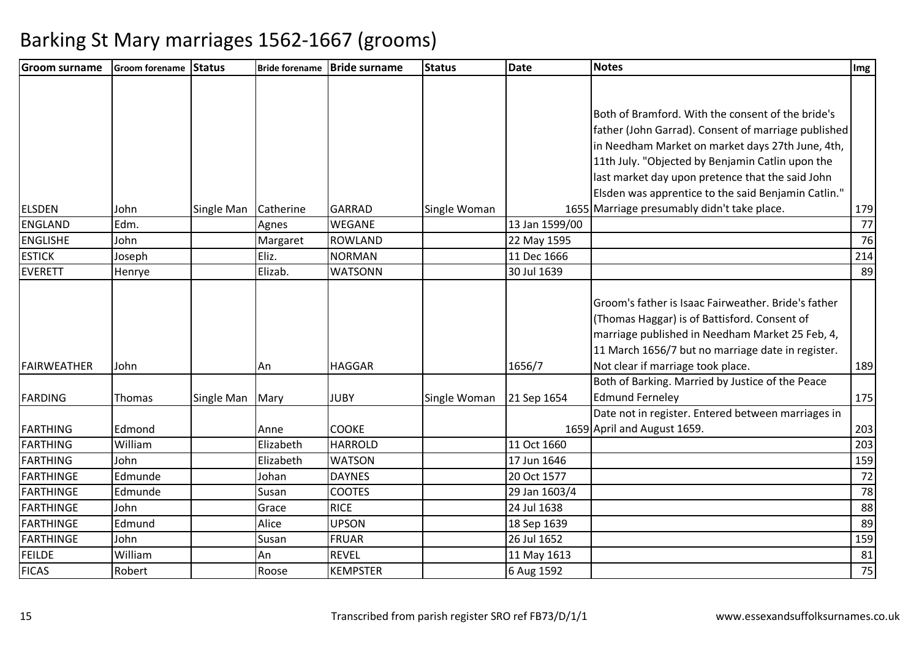| <b>Groom surname</b> | Groom forename Status |            |           | Bride forename Bride surname | <b>Status</b> | <b>Date</b>    | <b>Notes</b>                                                                                                                                                                                                                                                                                                                | Img |
|----------------------|-----------------------|------------|-----------|------------------------------|---------------|----------------|-----------------------------------------------------------------------------------------------------------------------------------------------------------------------------------------------------------------------------------------------------------------------------------------------------------------------------|-----|
|                      |                       |            |           |                              |               |                |                                                                                                                                                                                                                                                                                                                             |     |
|                      |                       |            |           |                              |               |                | Both of Bramford. With the consent of the bride's<br>father (John Garrad). Consent of marriage published<br>in Needham Market on market days 27th June, 4th,<br>11th July. "Objected by Benjamin Catlin upon the<br>last market day upon pretence that the said John<br>Elsden was apprentice to the said Benjamin Catlin." |     |
| <b>ELSDEN</b>        | John                  | Single Man | Catherine | <b>GARRAD</b>                | Single Woman  |                | 1655 Marriage presumably didn't take place.                                                                                                                                                                                                                                                                                 | 179 |
| <b>ENGLAND</b>       | Edm.                  |            | Agnes     | WEGANE                       |               | 13 Jan 1599/00 |                                                                                                                                                                                                                                                                                                                             | 77  |
| <b>ENGLISHE</b>      | John                  |            | Margaret  | <b>ROWLAND</b>               |               | 22 May 1595    |                                                                                                                                                                                                                                                                                                                             | 76  |
| <b>ESTICK</b>        | Joseph                |            | Eliz.     | <b>NORMAN</b>                |               | 11 Dec 1666    |                                                                                                                                                                                                                                                                                                                             | 214 |
| <b>EVERETT</b>       | Henrye                |            | Elizab.   | <b>WATSONN</b>               |               | 30 Jul 1639    |                                                                                                                                                                                                                                                                                                                             | 89  |
| <b>FAIRWEATHER</b>   | John                  |            | An        | <b>HAGGAR</b>                |               | 1656/7         | Groom's father is Isaac Fairweather. Bride's father<br>(Thomas Haggar) is of Battisford. Consent of<br>marriage published in Needham Market 25 Feb, 4,<br>11 March 1656/7 but no marriage date in register.<br>Not clear if marriage took place.                                                                            | 189 |
| FARDING              | Thomas                | Single Man | Mary      | <b>JUBY</b>                  | Single Woman  | 21 Sep 1654    | Both of Barking. Married by Justice of the Peace<br><b>Edmund Ferneley</b>                                                                                                                                                                                                                                                  | 175 |
| <b>FARTHING</b>      | Edmond                |            | Anne      | <b>COOKE</b>                 |               |                | Date not in register. Entered between marriages in<br>1659 April and August 1659.                                                                                                                                                                                                                                           | 203 |
| <b>FARTHING</b>      | William               |            | Elizabeth | <b>HARROLD</b>               |               | 11 Oct 1660    |                                                                                                                                                                                                                                                                                                                             | 203 |
| <b>FARTHING</b>      | John                  |            | Elizabeth | <b>WATSON</b>                |               | 17 Jun 1646    |                                                                                                                                                                                                                                                                                                                             | 159 |
| <b>FARTHINGE</b>     | Edmunde               |            | Johan     | <b>DAYNES</b>                |               | 20 Oct 1577    |                                                                                                                                                                                                                                                                                                                             | 72  |
| FARTHINGE            | Edmunde               |            | Susan     | <b>COOTES</b>                |               | 29 Jan 1603/4  |                                                                                                                                                                                                                                                                                                                             | 78  |
| FARTHINGE            | John                  |            | Grace     | <b>RICE</b>                  |               | 24 Jul 1638    |                                                                                                                                                                                                                                                                                                                             | 88  |
| FARTHINGE            | Edmund                |            | Alice     | <b>UPSON</b>                 |               | 18 Sep 1639    |                                                                                                                                                                                                                                                                                                                             | 89  |
| <b>FARTHINGE</b>     | John                  |            | Susan     | <b>FRUAR</b>                 |               | 26 Jul 1652    |                                                                                                                                                                                                                                                                                                                             | 159 |
| <b>FEILDE</b>        | William               |            | An        | <b>REVEL</b>                 |               | 11 May 1613    |                                                                                                                                                                                                                                                                                                                             | 81  |
| <b>FICAS</b>         | Robert                |            | Roose     | <b>KEMPSTER</b>              |               | 6 Aug 1592     |                                                                                                                                                                                                                                                                                                                             | 75  |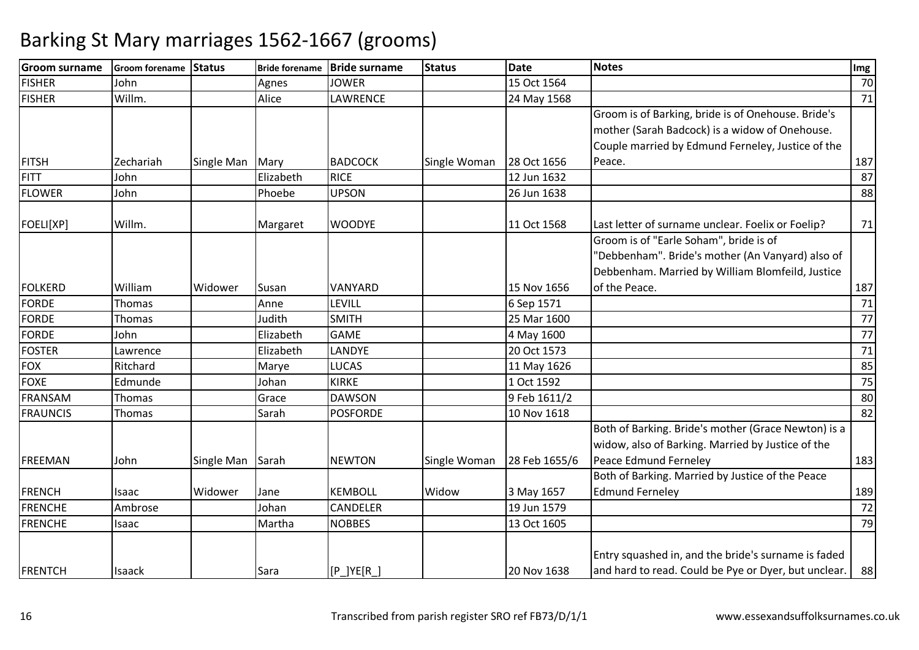| <b>Groom surname</b> | Groom forename Status |            |           | Bride forename Bride surname | <b>Status</b> | <b>Date</b>   | <b>Notes</b>                                         | Img             |
|----------------------|-----------------------|------------|-----------|------------------------------|---------------|---------------|------------------------------------------------------|-----------------|
| <b>FISHER</b>        | John                  |            | Agnes     | <b>JOWER</b>                 |               | 15 Oct 1564   |                                                      | 70              |
| <b>FISHER</b>        | Willm.                |            | Alice     | LAWRENCE                     |               | 24 May 1568   |                                                      | 71              |
|                      |                       |            |           |                              |               |               | Groom is of Barking, bride is of Onehouse. Bride's   |                 |
|                      |                       |            |           |                              |               |               | mother (Sarah Badcock) is a widow of Onehouse.       |                 |
|                      |                       |            |           |                              |               |               | Couple married by Edmund Ferneley, Justice of the    |                 |
| <b>FITSH</b>         | Zechariah             | Single Man | Mary      | <b>BADCOCK</b>               | Single Woman  | 28 Oct 1656   | Peace.                                               | 187             |
| <b>FITT</b>          | John                  |            | Elizabeth | <b>RICE</b>                  |               | 12 Jun 1632   |                                                      | 87              |
| <b>FLOWER</b>        | John                  |            | Phoebe    | <b>UPSON</b>                 |               | 26 Jun 1638   |                                                      | 88              |
| FOELI[XP]            | Willm.                |            | Margaret  | <b>WOODYE</b>                |               | 11 Oct 1568   | Last letter of surname unclear. Foelix or Foelip?    | 71              |
|                      |                       |            |           |                              |               |               | Groom is of "Earle Soham", bride is of               |                 |
|                      |                       |            |           |                              |               |               | "Debbenham". Bride's mother (An Vanyard) also of     |                 |
|                      |                       |            |           |                              |               |               | Debbenham. Married by William Blomfeild, Justice     |                 |
| FOLKERD              | William               | Widower    | Susan     | <b>VANYARD</b>               |               | 15 Nov 1656   | of the Peace.                                        | 187             |
| <b>FORDE</b>         | Thomas                |            | Anne      | LEVILL                       |               | 6 Sep 1571    |                                                      | 71              |
| <b>FORDE</b>         | Thomas                |            | Judith    | <b>SMITH</b>                 |               | 25 Mar 1600   |                                                      | $\overline{77}$ |
| <b>FORDE</b>         | John                  |            | Elizabeth | <b>GAME</b>                  |               | 4 May 1600    |                                                      | 77              |
| <b>FOSTER</b>        | Lawrence              |            | Elizabeth | LANDYE                       |               | 20 Oct 1573   |                                                      | 71              |
| <b>FOX</b>           | Ritchard              |            | Marye     | <b>LUCAS</b>                 |               | 11 May 1626   |                                                      | 85              |
| <b>FOXE</b>          | Edmunde               |            | Johan     | <b>KIRKE</b>                 |               | 1 Oct 1592    |                                                      | 75              |
| <b>FRANSAM</b>       | Thomas                |            | Grace     | <b>DAWSON</b>                |               | 9 Feb 1611/2  |                                                      | 80              |
| <b>FRAUNCIS</b>      | Thomas                |            | Sarah     | <b>POSFORDE</b>              |               | 10 Nov 1618   |                                                      | 82              |
|                      |                       |            |           |                              |               |               | Both of Barking. Bride's mother (Grace Newton) is a  |                 |
|                      |                       |            |           |                              |               |               | widow, also of Barking. Married by Justice of the    |                 |
| <b>FREEMAN</b>       | John                  | Single Man | Sarah     | <b>NEWTON</b>                | Single Woman  | 28 Feb 1655/6 | Peace Edmund Ferneley                                | 183             |
|                      |                       |            |           |                              |               |               | Both of Barking. Married by Justice of the Peace     |                 |
| FRENCH               | Isaac                 | Widower    | Jane      | <b>KEMBOLL</b>               | Widow         | 3 May 1657    | <b>Edmund Ferneley</b>                               | 189             |
| <b>FRENCHE</b>       | Ambrose               |            | Johan     | CANDELER                     |               | 19 Jun 1579   |                                                      | 72              |
| <b>FRENCHE</b>       | Isaac                 |            | Martha    | <b>NOBBES</b>                |               | 13 Oct 1605   |                                                      | 79              |
|                      |                       |            |           |                              |               |               | Entry squashed in, and the bride's surname is faded  |                 |
| <b>FRENTCH</b>       | <b>Isaack</b>         |            | Sara      | $[P_]YE[R_]$                 |               | 20 Nov 1638   | and hard to read. Could be Pye or Dyer, but unclear. | 88              |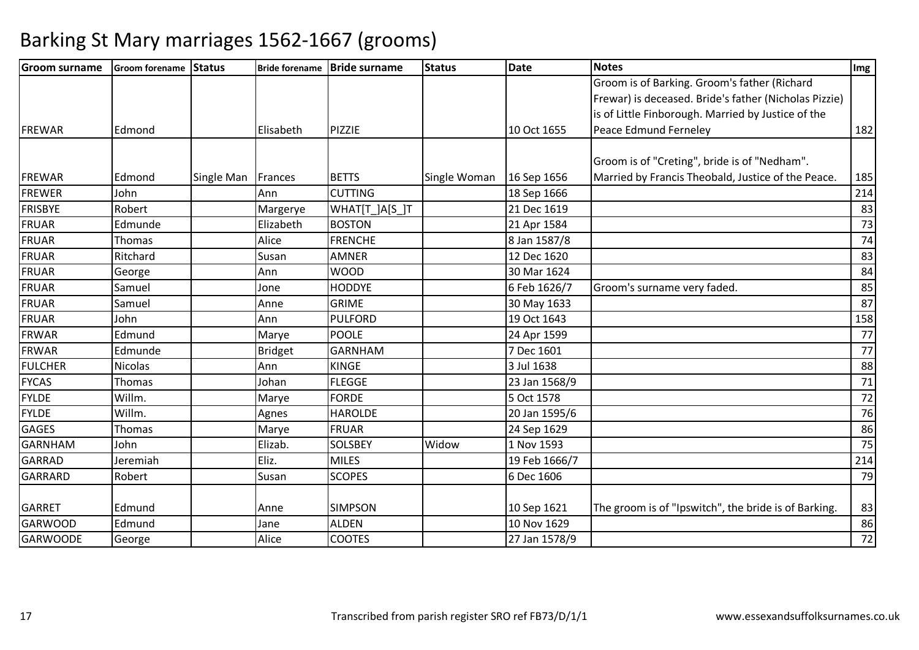| <b>Groom surname</b> | <b>Groom forename</b> | <b>Status</b> |                | Bride forename   Bride surname | <b>Status</b> | <b>Date</b>   | <b>Notes</b>                                          | Img |
|----------------------|-----------------------|---------------|----------------|--------------------------------|---------------|---------------|-------------------------------------------------------|-----|
|                      |                       |               |                |                                |               |               | Groom is of Barking. Groom's father (Richard          |     |
|                      |                       |               |                |                                |               |               | Frewar) is deceased. Bride's father (Nicholas Pizzie) |     |
|                      |                       |               |                |                                |               |               | is of Little Finborough. Married by Justice of the    |     |
| FREWAR               | Edmond                |               | Elisabeth      | PIZZIE                         |               | 10 Oct 1655   | Peace Edmund Ferneley                                 | 182 |
|                      |                       |               |                |                                |               |               |                                                       |     |
|                      |                       |               |                |                                |               |               | Groom is of "Creting", bride is of "Nedham".          |     |
| <b>FREWAR</b>        | Edmond                | Single Man    | Frances        | <b>BETTS</b>                   | Single Woman  | 16 Sep 1656   | Married by Francis Theobald, Justice of the Peace.    | 185 |
| <b>FREWER</b>        | John                  |               | Ann            | <b>CUTTING</b>                 |               | 18 Sep 1666   |                                                       | 214 |
| <b>FRISBYE</b>       | Robert                |               | Margerye       | WHAT[T_]A[S_]T                 |               | 21 Dec 1619   |                                                       | 83  |
| <b>FRUAR</b>         | Edmunde               |               | Elizabeth      | <b>BOSTON</b>                  |               | 21 Apr 1584   |                                                       | 73  |
| <b>FRUAR</b>         | Thomas                |               | Alice          | <b>FRENCHE</b>                 |               | 8 Jan 1587/8  |                                                       | 74  |
| <b>FRUAR</b>         | Ritchard              |               | Susan          | <b>AMNER</b>                   |               | 12 Dec 1620   |                                                       | 83  |
| <b>FRUAR</b>         | George                |               | Ann            | <b>WOOD</b>                    |               | 30 Mar 1624   |                                                       | 84  |
| <b>FRUAR</b>         | Samuel                |               | Jone           | <b>HODDYE</b>                  |               | 6 Feb 1626/7  | Groom's surname very faded.                           | 85  |
| <b>FRUAR</b>         | Samuel                |               | Anne           | <b>GRIME</b>                   |               | 30 May 1633   |                                                       | 87  |
| <b>FRUAR</b>         | John                  |               | Ann            | PULFORD                        |               | 19 Oct 1643   |                                                       | 158 |
| <b>FRWAR</b>         | Edmund                |               | Marye          | <b>POOLE</b>                   |               | 24 Apr 1599   |                                                       | 77  |
| <b>FRWAR</b>         | Edmunde               |               | <b>Bridget</b> | <b>GARNHAM</b>                 |               | 7 Dec 1601    |                                                       | 77  |
| <b>FULCHER</b>       | <b>Nicolas</b>        |               | Ann            | <b>KINGE</b>                   |               | 3 Jul 1638    |                                                       | 88  |
| <b>FYCAS</b>         | Thomas                |               | Johan          | <b>FLEGGE</b>                  |               | 23 Jan 1568/9 |                                                       | 71  |
| <b>FYLDE</b>         | Willm.                |               | Marye          | FORDE                          |               | 5 Oct 1578    |                                                       | 72  |
| <b>FYLDE</b>         | Willm.                |               | Agnes          | <b>HAROLDE</b>                 |               | 20 Jan 1595/6 |                                                       | 76  |
| <b>GAGES</b>         | Thomas                |               | Marye          | FRUAR                          |               | 24 Sep 1629   |                                                       | 86  |
| <b>GARNHAM</b>       | John                  |               | Elizab.        | <b>SOLSBEY</b>                 | Widow         | 1 Nov 1593    |                                                       | 75  |
| <b>GARRAD</b>        | Jeremiah              |               | Eliz.          | <b>MILES</b>                   |               | 19 Feb 1666/7 |                                                       | 214 |
| GARRARD              | Robert                |               | Susan          | <b>SCOPES</b>                  |               | 6 Dec 1606    |                                                       | 79  |
| <b>GARRET</b>        | Edmund                |               | Anne           | <b>SIMPSON</b>                 |               | 10 Sep 1621   | The groom is of "Ipswitch", the bride is of Barking.  | 83  |
| <b>GARWOOD</b>       | Edmund                |               | Jane           | <b>ALDEN</b>                   |               | 10 Nov 1629   |                                                       | 86  |
| <b>GARWOODE</b>      | George                |               | Alice          | <b>COOTES</b>                  |               | 27 Jan 1578/9 |                                                       | 72  |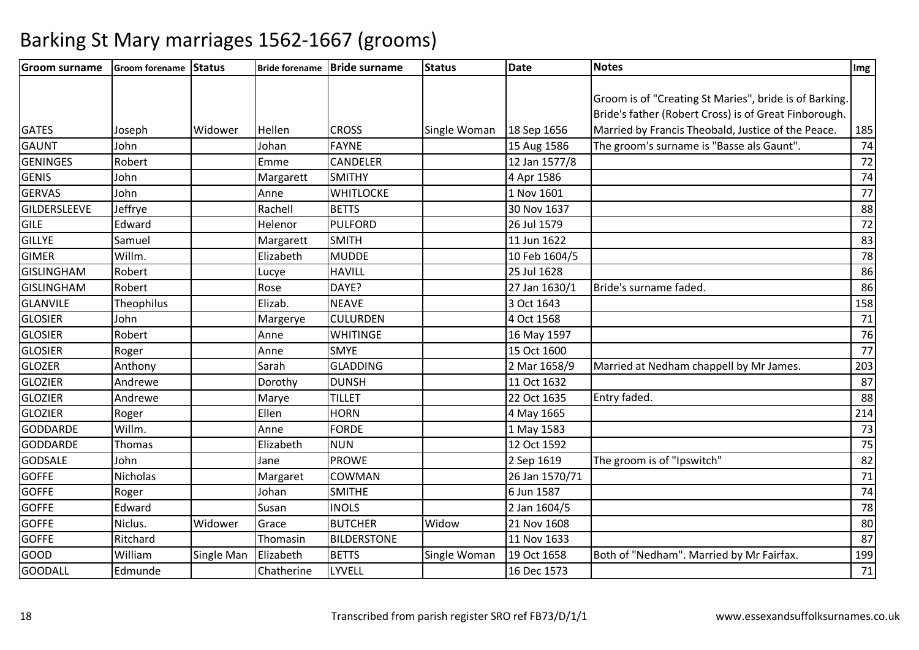| <b>Groom surname</b> | Groom forename Status |            |            | Bride forename Bride surname | <b>Status</b> | <b>Date</b>    | <b>Notes</b>                                           | Img |
|----------------------|-----------------------|------------|------------|------------------------------|---------------|----------------|--------------------------------------------------------|-----|
|                      |                       |            |            |                              |               |                |                                                        |     |
|                      |                       |            |            |                              |               |                | Groom is of "Creating St Maries", bride is of Barking. |     |
|                      |                       |            |            |                              |               |                | Bride's father (Robert Cross) is of Great Finborough.  |     |
| <b>GATES</b>         | Joseph                | Widower    | Hellen     | <b>CROSS</b>                 | Single Woman  | 18 Sep 1656    | Married by Francis Theobald, Justice of the Peace.     | 185 |
| <b>GAUNT</b>         | John                  |            | Johan      | <b>FAYNE</b>                 |               | 15 Aug 1586    | The groom's surname is "Basse als Gaunt".              | 74  |
| <b>GENINGES</b>      | Robert                |            | Emme       | CANDELER                     |               | 12 Jan 1577/8  |                                                        | 72  |
| <b>GENIS</b>         | John                  |            | Margarett  | <b>SMITHY</b>                |               | 4 Apr 1586     |                                                        | 74  |
| <b>GERVAS</b>        | John                  |            | Anne       | <b>WHITLOCKE</b>             |               | 1 Nov 1601     |                                                        | 77  |
| <b>GILDERSLEEVE</b>  | Jeffrye               |            | Rachell    | <b>BETTS</b>                 |               | 30 Nov 1637    |                                                        | 88  |
| GILE                 | Edward                |            | Helenor    | <b>PULFORD</b>               |               | 26 Jul 1579    |                                                        | 72  |
| <b>GILLYE</b>        | Samuel                |            | Margarett  | <b>SMITH</b>                 |               | 11 Jun 1622    |                                                        | 83  |
| <b>GIMER</b>         | Willm.                |            | Elizabeth  | <b>MUDDE</b>                 |               | 10 Feb 1604/5  |                                                        | 78  |
| <b>GISLINGHAM</b>    | Robert                |            | Lucye      | <b>HAVILL</b>                |               | 25 Jul 1628    |                                                        | 86  |
| <b>GISLINGHAM</b>    | Robert                |            | Rose       | DAYE?                        |               | 27 Jan 1630/1  | Bride's surname faded.                                 | 86  |
| <b>GLANVILE</b>      | Theophilus            |            | Elizab.    | <b>NEAVE</b>                 |               | 3 Oct 1643     |                                                        | 158 |
| <b>GLOSIER</b>       | John                  |            | Margerye   | <b>CULURDEN</b>              |               | 4 Oct 1568     |                                                        | 71  |
| <b>GLOSIER</b>       | Robert                |            | Anne       | <b>WHITINGE</b>              |               | 16 May 1597    |                                                        | 76  |
| <b>GLOSIER</b>       | Roger                 |            | Anne       | <b>SMYE</b>                  |               | 15 Oct 1600    |                                                        | 77  |
| <b>GLOZER</b>        | Anthony               |            | Sarah      | <b>GLADDING</b>              |               | 2 Mar 1658/9   | Married at Nedham chappell by Mr James.                | 203 |
| <b>GLOZIER</b>       | Andrewe               |            | Dorothy    | <b>DUNSH</b>                 |               | 11 Oct 1632    |                                                        | 87  |
| GLOZIER              | Andrewe               |            | Marye      | <b>TILLET</b>                |               | 22 Oct 1635    | Entry faded.                                           | 88  |
| <b>GLOZIER</b>       | Roger                 |            | Ellen      | <b>HORN</b>                  |               | 4 May 1665     |                                                        | 214 |
| <b>GODDARDE</b>      | Willm.                |            | Anne       | <b>FORDE</b>                 |               | 1 May 1583     |                                                        | 73  |
| <b>GODDARDE</b>      | Thomas                |            | Elizabeth  | <b>NUN</b>                   |               | 12 Oct 1592    |                                                        | 75  |
| <b>GODSALE</b>       | John                  |            | Jane       | <b>PROWE</b>                 |               | 2 Sep 1619     | The groom is of "Ipswitch"                             | 82  |
| <b>GOFFE</b>         | <b>Nicholas</b>       |            | Margaret   | <b>COWMAN</b>                |               | 26 Jan 1570/71 |                                                        | 71  |
| <b>GOFFE</b>         | Roger                 |            | Johan      | <b>SMITHE</b>                |               | 6 Jun 1587     |                                                        | 74  |
| <b>GOFFE</b>         | Edward                |            | Susan      | <b>INOLS</b>                 |               | 2 Jan 1604/5   |                                                        | 78  |
| <b>GOFFE</b>         | Niclus.               | Widower    | Grace      | <b>BUTCHER</b>               | Widow         | 21 Nov 1608    |                                                        | 80  |
| <b>GOFFE</b>         | Ritchard              |            | Thomasin   | <b>BILDERSTONE</b>           |               | 11 Nov 1633    |                                                        | 87  |
| GOOD                 | William               | Single Man | Elizabeth  | <b>BETTS</b>                 | Single Woman  | 19 Oct 1658    | Both of "Nedham". Married by Mr Fairfax.               | 199 |
| <b>GOODALL</b>       | Edmunde               |            | Chatherine | LYVELL                       |               | 16 Dec 1573    |                                                        | 71  |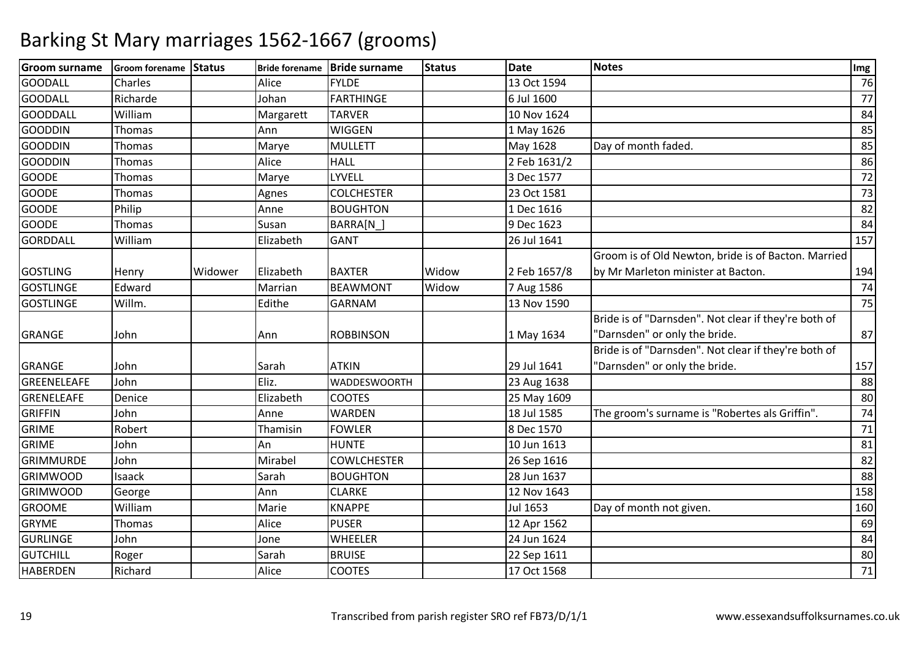| <b>Groom surname</b> | Groom forename Status |         |           | Bride forename Bride surname | <b>Status</b> | <b>Date</b>  | Notes                                                | Img |
|----------------------|-----------------------|---------|-----------|------------------------------|---------------|--------------|------------------------------------------------------|-----|
| <b>GOODALL</b>       | Charles               |         | Alice     | <b>FYLDE</b>                 |               | 13 Oct 1594  |                                                      | 76  |
| <b>GOODALL</b>       | Richarde              |         | Johan     | <b>FARTHINGE</b>             |               | 6 Jul 1600   |                                                      | 77  |
| <b>GOODDALL</b>      | William               |         | Margarett | <b>TARVER</b>                |               | 10 Nov 1624  |                                                      | 84  |
| <b>GOODDIN</b>       | Thomas                |         | Ann       | WIGGEN                       |               | 1 May 1626   |                                                      | 85  |
| <b>GOODDIN</b>       | Thomas                |         | Marye     | <b>MULLETT</b>               |               | May 1628     | Day of month faded.                                  | 85  |
| <b>GOODDIN</b>       | Thomas                |         | Alice     | <b>HALL</b>                  |               | 2 Feb 1631/2 |                                                      | 86  |
| <b>GOODE</b>         | Thomas                |         | Marye     | LYVELL                       |               | 3 Dec 1577   |                                                      | 72  |
| <b>GOODE</b>         | Thomas                |         | Agnes     | <b>COLCHESTER</b>            |               | 23 Oct 1581  |                                                      | 73  |
| <b>GOODE</b>         | Philip                |         | Anne      | <b>BOUGHTON</b>              |               | 1 Dec 1616   |                                                      | 82  |
| <b>GOODE</b>         | Thomas                |         | Susan     | BARRA[N ]                    |               | 9 Dec 1623   |                                                      | 84  |
| GORDDALL             | William               |         | Elizabeth | <b>GANT</b>                  |               | 26 Jul 1641  |                                                      | 157 |
|                      |                       |         |           |                              |               |              | Groom is of Old Newton, bride is of Bacton. Married  |     |
| <b>GOSTLING</b>      | Henry                 | Widower | Elizabeth | <b>BAXTER</b>                | Widow         | 2 Feb 1657/8 | by Mr Marleton minister at Bacton.                   | 194 |
| <b>GOSTLINGE</b>     | Edward                |         | Marrian   | <b>BEAWMONT</b>              | Widow         | 7 Aug 1586   |                                                      | 74  |
| <b>GOSTLINGE</b>     | Willm.                |         | Edithe    | <b>GARNAM</b>                |               | 13 Nov 1590  |                                                      | 75  |
|                      |                       |         |           |                              |               |              | Bride is of "Darnsden". Not clear if they're both of |     |
| <b>GRANGE</b>        | John                  |         | Ann       | <b>ROBBINSON</b>             |               | 1 May 1634   | "Darnsden" or only the bride.                        | 87  |
|                      |                       |         |           |                              |               |              | Bride is of "Darnsden". Not clear if they're both of |     |
| <b>GRANGE</b>        | John                  |         | Sarah     | <b>ATKIN</b>                 |               | 29 Jul 1641  | "Darnsden" or only the bride.                        | 157 |
| GREENELEAFE          | John                  |         | Eliz.     | <b>WADDESWOORTH</b>          |               | 23 Aug 1638  |                                                      | 88  |
| GRENELEAFE           | Denice                |         | Elizabeth | <b>COOTES</b>                |               | 25 May 1609  |                                                      | 80  |
| <b>GRIFFIN</b>       | John                  |         | Anne      | WARDEN                       |               | 18 Jul 1585  | The groom's surname is "Robertes als Griffin".       | 74  |
| <b>GRIME</b>         | Robert                |         | Thamisin  | <b>FOWLER</b>                |               | 8 Dec 1570   |                                                      | 71  |
| <b>GRIME</b>         | John                  |         | An        | <b>HUNTE</b>                 |               | 10 Jun 1613  |                                                      | 81  |
| GRIMMURDE            | John                  |         | Mirabel   | <b>COWLCHESTER</b>           |               | 26 Sep 1616  |                                                      | 82  |
| <b>GRIMWOOD</b>      | Isaack                |         | Sarah     | <b>BOUGHTON</b>              |               | 28 Jun 1637  |                                                      | 88  |
| <b>GRIMWOOD</b>      | George                |         | Ann       | <b>CLARKE</b>                |               | 12 Nov 1643  |                                                      | 158 |
| <b>GROOME</b>        | William               |         | Marie     | <b>KNAPPE</b>                |               | Jul 1653     | Day of month not given.                              | 160 |
| <b>GRYME</b>         | Thomas                |         | Alice     | <b>PUSER</b>                 |               | 12 Apr 1562  |                                                      | 69  |
| <b>GURLINGE</b>      | John                  |         | Jone      | <b>WHEELER</b>               |               | 24 Jun 1624  |                                                      | 84  |
| <b>GUTCHILL</b>      | Roger                 |         | Sarah     | <b>BRUISE</b>                |               | 22 Sep 1611  |                                                      | 80  |
| <b>HABERDEN</b>      | Richard               |         | Alice     | <b>COOTES</b>                |               | 17 Oct 1568  |                                                      | 71  |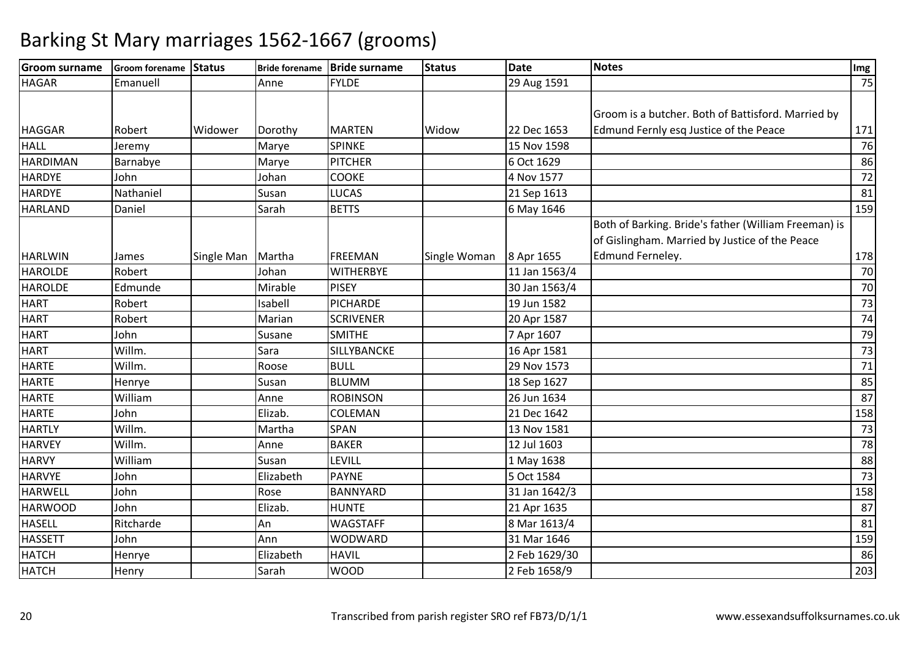| <b>Groom surname</b> | <b>Groom forename Status</b> |            |           | Bride forename   Bride surname | <b>Status</b> | <b>Date</b>   | <b>Notes</b>                                                                                                               | Img |
|----------------------|------------------------------|------------|-----------|--------------------------------|---------------|---------------|----------------------------------------------------------------------------------------------------------------------------|-----|
| <b>HAGAR</b>         | Emanuell                     |            | Anne      | <b>FYLDE</b>                   |               | 29 Aug 1591   |                                                                                                                            | 75  |
|                      |                              |            |           |                                |               |               | Groom is a butcher. Both of Battisford. Married by                                                                         |     |
| <b>HAGGAR</b>        | Robert                       | Widower    | Dorothy   | <b>MARTEN</b>                  | Widow         | 22 Dec 1653   | Edmund Fernly esq Justice of the Peace                                                                                     | 171 |
| <b>HALL</b>          | Jeremy                       |            | Marye     | <b>SPINKE</b>                  |               | 15 Nov 1598   |                                                                                                                            | 76  |
| <b>HARDIMAN</b>      | Barnabye                     |            | Marye     | PITCHER                        |               | 6 Oct 1629    |                                                                                                                            | 86  |
| <b>HARDYE</b>        | John                         |            | Johan     | <b>COOKE</b>                   |               | 4 Nov 1577    |                                                                                                                            | 72  |
| <b>HARDYE</b>        | Nathaniel                    |            | Susan     | <b>LUCAS</b>                   |               | 21 Sep 1613   |                                                                                                                            | 81  |
| <b>HARLAND</b>       | Daniel                       |            | Sarah     | <b>BETTS</b>                   |               | 6 May 1646    |                                                                                                                            | 159 |
| <b>HARLWIN</b>       | James                        | Single Man | Martha    | <b>FREEMAN</b>                 | Single Woman  | 8 Apr 1655    | Both of Barking. Bride's father (William Freeman) is<br>of Gislingham. Married by Justice of the Peace<br>Edmund Ferneley. | 178 |
| <b>HAROLDE</b>       | Robert                       |            | Johan     | <b>WITHERBYE</b>               |               | 11 Jan 1563/4 |                                                                                                                            | 70  |
| <b>HAROLDE</b>       | Edmunde                      |            | Mirable   | <b>PISEY</b>                   |               | 30 Jan 1563/4 |                                                                                                                            | 70  |
| <b>HART</b>          | Robert                       |            | Isabell   | PICHARDE                       |               | 19 Jun 1582   |                                                                                                                            | 73  |
| <b>HART</b>          | Robert                       |            | Marian    | <b>SCRIVENER</b>               |               | 20 Apr 1587   |                                                                                                                            | 74  |
| <b>HART</b>          | John                         |            | Susane    | <b>SMITHE</b>                  |               | 7 Apr 1607    |                                                                                                                            | 79  |
| <b>HART</b>          | Willm.                       |            | Sara      | SILLYBANCKE                    |               | 16 Apr 1581   |                                                                                                                            | 73  |
| <b>HARTE</b>         | Willm.                       |            | Roose     | <b>BULL</b>                    |               | 29 Nov 1573   |                                                                                                                            | 71  |
| <b>HARTE</b>         | Henrye                       |            | Susan     | <b>BLUMM</b>                   |               | 18 Sep 1627   |                                                                                                                            | 85  |
| <b>HARTE</b>         | William                      |            | Anne      | <b>ROBINSON</b>                |               | 26 Jun 1634   |                                                                                                                            | 87  |
| <b>HARTE</b>         | John                         |            | Elizab.   | COLEMAN                        |               | 21 Dec 1642   |                                                                                                                            | 158 |
| <b>HARTLY</b>        | Willm.                       |            | Martha    | <b>SPAN</b>                    |               | 13 Nov 1581   |                                                                                                                            | 73  |
| <b>HARVEY</b>        | Willm.                       |            | Anne      | <b>BAKER</b>                   |               | 12 Jul 1603   |                                                                                                                            | 78  |
| <b>HARVY</b>         | William                      |            | Susan     | LEVILL                         |               | 1 May 1638    |                                                                                                                            | 88  |
| <b>HARVYE</b>        | John                         |            | Elizabeth | <b>PAYNE</b>                   |               | 5 Oct 1584    |                                                                                                                            | 73  |
| <b>HARWELL</b>       | John                         |            | Rose      | <b>BANNYARD</b>                |               | 31 Jan 1642/3 |                                                                                                                            | 158 |
| <b>HARWOOD</b>       | John                         |            | Elizab.   | <b>HUNTE</b>                   |               | 21 Apr 1635   |                                                                                                                            | 87  |
| <b>HASELL</b>        | Ritcharde                    |            | An        | <b>WAGSTAFF</b>                |               | 8 Mar 1613/4  |                                                                                                                            | 81  |
| <b>HASSETT</b>       | John                         |            | Ann       | <b>WODWARD</b>                 |               | 31 Mar 1646   |                                                                                                                            | 159 |
| <b>HATCH</b>         | Henrye                       |            | Elizabeth | <b>HAVIL</b>                   |               | 2 Feb 1629/30 |                                                                                                                            | 86  |
| <b>HATCH</b>         | Henry                        |            | Sarah     | <b>WOOD</b>                    |               | 2 Feb 1658/9  |                                                                                                                            | 203 |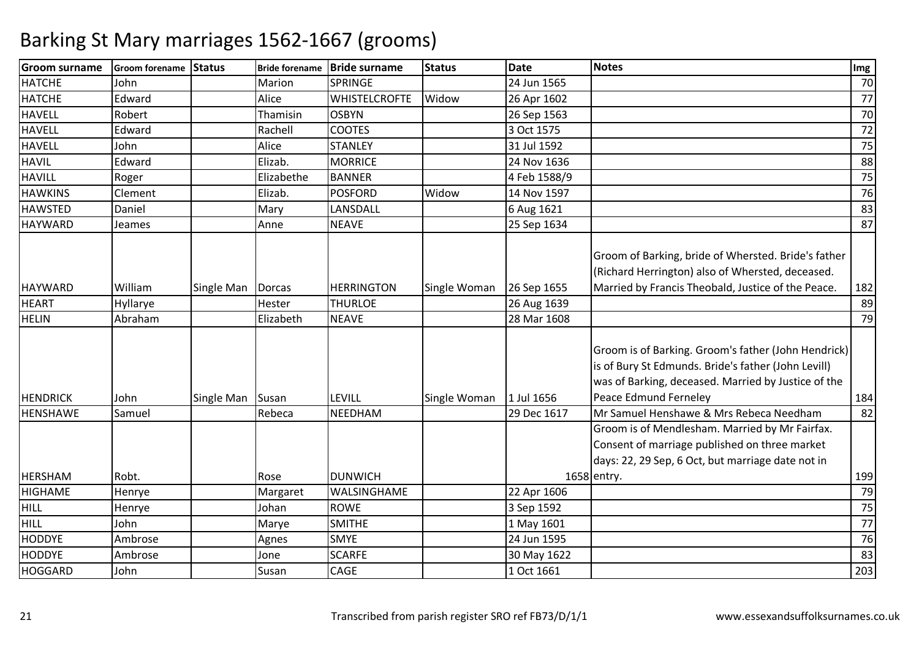| <b>Groom surname</b> | Groom forename Status |            |               | Bride forename   Bride surname | <b>Status</b> | <b>Date</b>  | <b>Notes</b>                                                                                                                                                                               | Img             |
|----------------------|-----------------------|------------|---------------|--------------------------------|---------------|--------------|--------------------------------------------------------------------------------------------------------------------------------------------------------------------------------------------|-----------------|
| <b>HATCHE</b>        | John                  |            | Marion        | <b>SPRINGE</b>                 |               | 24 Jun 1565  |                                                                                                                                                                                            | 70              |
| <b>HATCHE</b>        | Edward                |            | Alice         | <b>WHISTELCROFTE</b>           | Widow         | 26 Apr 1602  |                                                                                                                                                                                            | $\overline{77}$ |
| <b>HAVELL</b>        | Robert                |            | Thamisin      | <b>OSBYN</b>                   |               | 26 Sep 1563  |                                                                                                                                                                                            | 70              |
| <b>HAVELL</b>        | Edward                |            | Rachell       | <b>COOTES</b>                  |               | 3 Oct 1575   |                                                                                                                                                                                            | 72              |
| <b>HAVELL</b>        | John                  |            | Alice         | <b>STANLEY</b>                 |               | 31 Jul 1592  |                                                                                                                                                                                            | 75              |
| <b>HAVIL</b>         | Edward                |            | Elizab.       | <b>MORRICE</b>                 |               | 24 Nov 1636  |                                                                                                                                                                                            | 88              |
| <b>HAVILL</b>        | Roger                 |            | Elizabethe    | <b>BANNER</b>                  |               | 4 Feb 1588/9 |                                                                                                                                                                                            | 75              |
| <b>HAWKINS</b>       | Clement               |            | Elizab.       | <b>POSFORD</b>                 | Widow         | 14 Nov 1597  |                                                                                                                                                                                            | 76              |
| <b>HAWSTED</b>       | Daniel                |            | Mary          | LANSDALL                       |               | 6 Aug 1621   |                                                                                                                                                                                            | 83              |
| <b>HAYWARD</b>       | Jeames                |            | Anne          | <b>NEAVE</b>                   |               | 25 Sep 1634  |                                                                                                                                                                                            | 87              |
| <b>HAYWARD</b>       | William               | Single Man | <b>Dorcas</b> | <b>HERRINGTON</b>              | Single Woman  | 26 Sep 1655  | Groom of Barking, bride of Whersted. Bride's father<br>(Richard Herrington) also of Whersted, deceased.<br>Married by Francis Theobald, Justice of the Peace.                              | 182             |
| <b>HEART</b>         | Hyllarye              |            | Hester        | <b>THURLOE</b>                 |               | 26 Aug 1639  |                                                                                                                                                                                            | 89              |
| <b>HELIN</b>         | Abraham               |            | Elizabeth     | <b>NEAVE</b>                   |               | 28 Mar 1608  |                                                                                                                                                                                            | 79              |
| <b>HENDRICK</b>      | John                  | Single Man | Susan         | LEVILL                         | Single Woman  | 1 Jul 1656   | Groom is of Barking. Groom's father (John Hendrick)<br>is of Bury St Edmunds. Bride's father (John Levill)<br>was of Barking, deceased. Married by Justice of the<br>Peace Edmund Ferneley | 184             |
| <b>HENSHAWE</b>      | Samuel                |            | Rebeca        | <b>NEEDHAM</b>                 |               | 29 Dec 1617  | Mr Samuel Henshawe & Mrs Rebeca Needham                                                                                                                                                    | 82              |
|                      |                       |            |               |                                |               |              | Groom is of Mendlesham. Married by Mr Fairfax.<br>Consent of marriage published on three market<br>days: 22, 29 Sep, 6 Oct, but marriage date not in                                       |                 |
| <b>HERSHAM</b>       | Robt.                 |            | Rose          | <b>DUNWICH</b>                 |               |              | 1658 entry.                                                                                                                                                                                | 199             |
| <b>HIGHAME</b>       | Henrye                |            | Margaret      | WALSINGHAME                    |               | 22 Apr 1606  |                                                                                                                                                                                            | 79              |
| HILL                 | Henrye                |            | Johan         | <b>ROWE</b>                    |               | 3 Sep 1592   |                                                                                                                                                                                            | 75              |
| <b>HILL</b>          | John                  |            | Marye         | <b>SMITHE</b>                  |               | 1 May 1601   |                                                                                                                                                                                            | 77              |
| <b>HODDYE</b>        | Ambrose               |            | Agnes         | <b>SMYE</b>                    |               | 24 Jun 1595  |                                                                                                                                                                                            | 76              |
| <b>HODDYE</b>        | Ambrose               |            | Jone          | <b>SCARFE</b>                  |               | 30 May 1622  |                                                                                                                                                                                            | 83              |
| <b>HOGGARD</b>       | John                  |            | Susan         | CAGE                           |               | 1 Oct 1661   |                                                                                                                                                                                            | 203             |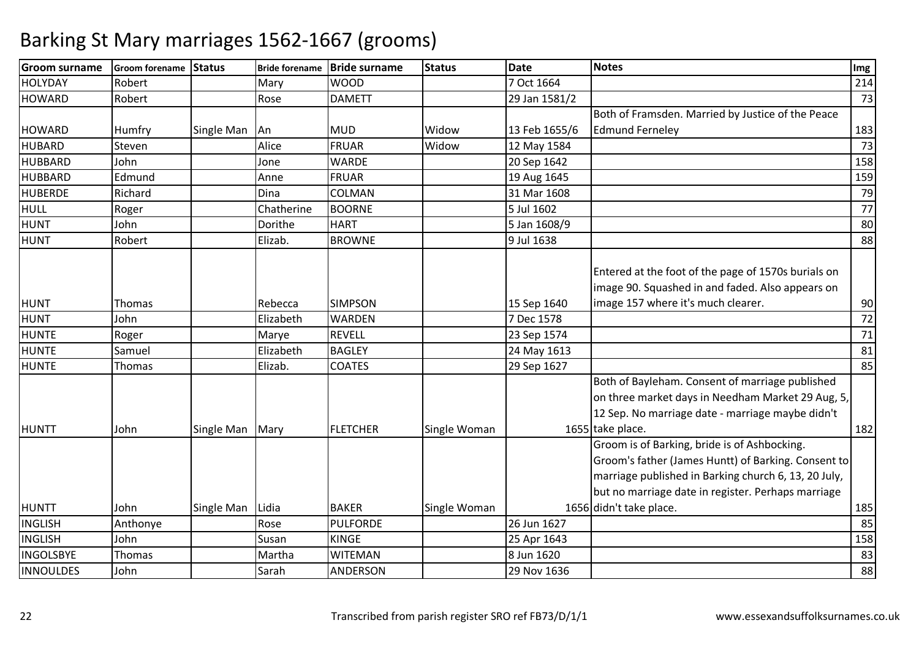| <b>Groom surname</b> | <b>Groom forename Status</b> |            |            | Bride forename Bride surname | <b>Status</b> | <b>Date</b>   | <b>Notes</b>                                                                                                                                                                                                      | Img |
|----------------------|------------------------------|------------|------------|------------------------------|---------------|---------------|-------------------------------------------------------------------------------------------------------------------------------------------------------------------------------------------------------------------|-----|
| <b>HOLYDAY</b>       | Robert                       |            | Mary       | <b>WOOD</b>                  |               | 7 Oct 1664    |                                                                                                                                                                                                                   | 214 |
| <b>HOWARD</b>        | Robert                       |            | Rose       | <b>DAMETT</b>                |               | 29 Jan 1581/2 |                                                                                                                                                                                                                   | 73  |
|                      |                              |            |            |                              |               |               | Both of Framsden. Married by Justice of the Peace                                                                                                                                                                 |     |
| <b>HOWARD</b>        | Humfry                       | Single Man | An         | <b>MUD</b>                   | Widow         | 13 Feb 1655/6 | <b>Edmund Ferneley</b>                                                                                                                                                                                            | 183 |
| <b>HUBARD</b>        | Steven                       |            | Alice      | <b>FRUAR</b>                 | Widow         | 12 May 1584   |                                                                                                                                                                                                                   | 73  |
| <b>HUBBARD</b>       | John                         |            | Jone       | <b>WARDE</b>                 |               | 20 Sep 1642   |                                                                                                                                                                                                                   | 158 |
| <b>HUBBARD</b>       | Edmund                       |            | Anne       | <b>FRUAR</b>                 |               | 19 Aug 1645   |                                                                                                                                                                                                                   | 159 |
| <b>HUBERDE</b>       | Richard                      |            | Dina       | COLMAN                       |               | 31 Mar 1608   |                                                                                                                                                                                                                   | 79  |
| <b>HULL</b>          | Roger                        |            | Chatherine | <b>BOORNE</b>                |               | 5 Jul 1602    |                                                                                                                                                                                                                   | 77  |
| <b>HUNT</b>          | John                         |            | Dorithe    | <b>HART</b>                  |               | 5 Jan 1608/9  |                                                                                                                                                                                                                   | 80  |
| <b>HUNT</b>          | Robert                       |            | Elizab.    | <b>BROWNE</b>                |               | 9 Jul 1638    |                                                                                                                                                                                                                   | 88  |
| <b>HUNT</b>          | <b>Thomas</b>                |            | Rebecca    | <b>SIMPSON</b>               |               | 15 Sep 1640   | Entered at the foot of the page of 1570s burials on<br>image 90. Squashed in and faded. Also appears on<br>image 157 where it's much clearer.                                                                     | 90  |
| <b>HUNT</b>          | John                         |            | Elizabeth  | WARDEN                       |               | 7 Dec 1578    |                                                                                                                                                                                                                   | 72  |
| <b>HUNTE</b>         | Roger                        |            | Marye      | <b>REVELL</b>                |               | 23 Sep 1574   |                                                                                                                                                                                                                   | 71  |
| <b>HUNTE</b>         | Samuel                       |            | Elizabeth  | <b>BAGLEY</b>                |               | 24 May 1613   |                                                                                                                                                                                                                   | 81  |
| <b>HUNTE</b>         | Thomas                       |            | Elizab.    | <b>COATES</b>                |               | 29 Sep 1627   |                                                                                                                                                                                                                   | 85  |
| <b>HUNTT</b>         | John                         | Single Man | Mary       | <b>FLETCHER</b>              | Single Woman  |               | Both of Bayleham. Consent of marriage published<br>on three market days in Needham Market 29 Aug, 5,<br>12 Sep. No marriage date - marriage maybe didn't<br>1655 take place.                                      | 182 |
|                      |                              |            |            |                              |               |               | Groom is of Barking, bride is of Ashbocking.<br>Groom's father (James Huntt) of Barking. Consent to<br>marriage published in Barking church 6, 13, 20 July,<br>but no marriage date in register. Perhaps marriage |     |
| <b>HUNTT</b>         | John                         | Single Man | Lidia      | <b>BAKER</b>                 | Single Woman  |               | 1656 didn't take place.                                                                                                                                                                                           | 185 |
| <b>INGLISH</b>       | Anthonye                     |            | Rose       | <b>PULFORDE</b>              |               | 26 Jun 1627   |                                                                                                                                                                                                                   | 85  |
| <b>INGLISH</b>       | John                         |            | Susan      | <b>KINGE</b>                 |               | 25 Apr 1643   |                                                                                                                                                                                                                   | 158 |
| <b>INGOLSBYE</b>     | Thomas                       |            | Martha     | <b>WITEMAN</b>               |               | 8 Jun 1620    |                                                                                                                                                                                                                   | 83  |
| <b>INNOULDES</b>     | John                         |            | Sarah      | ANDERSON                     |               | 29 Nov 1636   |                                                                                                                                                                                                                   | 88  |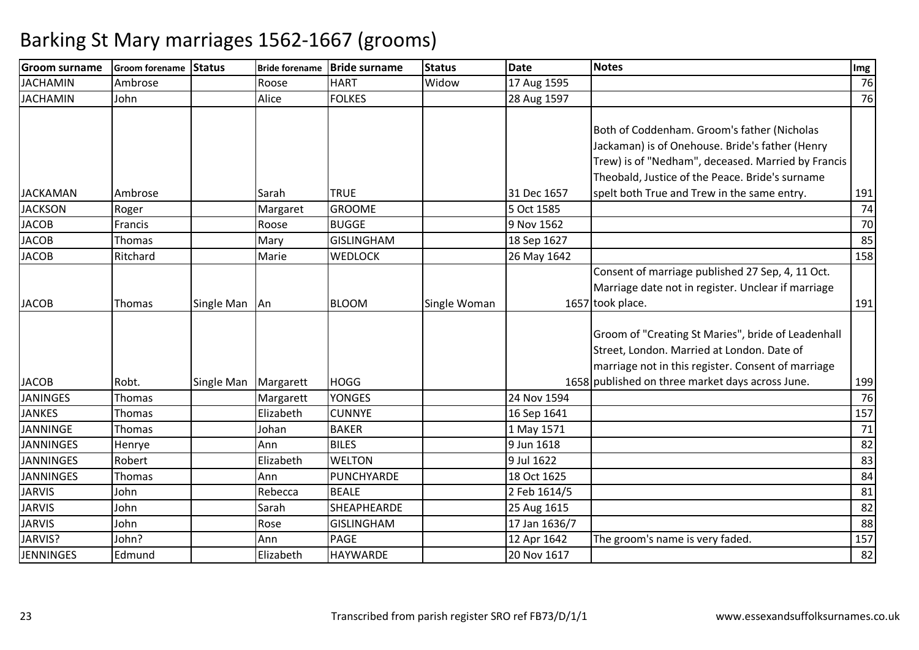| lGroom surname   | Groom forename Status |            | <b>Bride forename</b> | <b>Bride surname</b> | <b>Status</b> | <b>Date</b>   | <b>Notes</b>                                       | Img |
|------------------|-----------------------|------------|-----------------------|----------------------|---------------|---------------|----------------------------------------------------|-----|
| <b>JACHAMIN</b>  | Ambrose               |            | Roose                 | <b>HART</b>          | Widow         | 17 Aug 1595   |                                                    | 76  |
| <b>JACHAMIN</b>  | John                  |            | Alice                 | <b>FOLKES</b>        |               | 28 Aug 1597   |                                                    | 76  |
|                  |                       |            |                       |                      |               |               |                                                    |     |
|                  |                       |            |                       |                      |               |               | Both of Coddenham. Groom's father (Nicholas        |     |
|                  |                       |            |                       |                      |               |               | Jackaman) is of Onehouse. Bride's father (Henry    |     |
|                  |                       |            |                       |                      |               |               | Trew) is of "Nedham", deceased. Married by Francis |     |
|                  |                       |            |                       |                      |               |               | Theobald, Justice of the Peace. Bride's surname    |     |
| <b>JACKAMAN</b>  | Ambrose               |            | Sarah                 | <b>TRUE</b>          |               | 31 Dec 1657   | spelt both True and Trew in the same entry.        | 191 |
| <b>JACKSON</b>   | Roger                 |            | Margaret              | <b>GROOME</b>        |               | 5 Oct 1585    |                                                    | 74  |
| <b>JACOB</b>     | Francis               |            | Roose                 | <b>BUGGE</b>         |               | 9 Nov 1562    |                                                    | 70  |
| <b>JACOB</b>     | <b>Thomas</b>         |            | Mary                  | <b>GISLINGHAM</b>    |               | 18 Sep 1627   |                                                    | 85  |
| <b>JACOB</b>     | Ritchard              |            | Marie                 | <b>WEDLOCK</b>       |               | 26 May 1642   |                                                    | 158 |
|                  |                       |            |                       |                      |               |               | Consent of marriage published 27 Sep, 4, 11 Oct.   |     |
|                  |                       |            |                       |                      |               |               | Marriage date not in register. Unclear if marriage |     |
| <b>JACOB</b>     | Thomas                | Single Man | An                    | <b>BLOOM</b>         | Single Woman  |               | 1657 took place.                                   | 191 |
|                  |                       |            |                       |                      |               |               |                                                    |     |
|                  |                       |            |                       |                      |               |               | Groom of "Creating St Maries", bride of Leadenhall |     |
|                  |                       |            |                       |                      |               |               | Street, London. Married at London. Date of         |     |
|                  |                       |            |                       |                      |               |               | marriage not in this register. Consent of marriage |     |
| <b>JACOB</b>     | Robt.                 | Single Man | Margarett             | <b>HOGG</b>          |               |               | 1658 published on three market days across June.   | 199 |
| <b>JANINGES</b>  | <b>Thomas</b>         |            | Margarett             | <b>YONGES</b>        |               | 24 Nov 1594   |                                                    | 76  |
| <b>JANKES</b>    | Thomas                |            | Elizabeth             | <b>CUNNYE</b>        |               | 16 Sep 1641   |                                                    | 157 |
| JANNINGE         | Thomas                |            | Johan                 | <b>BAKER</b>         |               | 1 May 1571    |                                                    | 71  |
| <b>JANNINGES</b> | Henrye                |            | Ann                   | <b>BILES</b>         |               | 9 Jun 1618    |                                                    | 82  |
| <b>JANNINGES</b> | Robert                |            | Elizabeth             | <b>WELTON</b>        |               | 9 Jul 1622    |                                                    | 83  |
| <b>JANNINGES</b> | Thomas                |            | Ann                   | PUNCHYARDE           |               | 18 Oct 1625   |                                                    | 84  |
| <b>JARVIS</b>    | John                  |            | Rebecca               | <b>BEALE</b>         |               | 2 Feb 1614/5  |                                                    | 81  |
| <b>JARVIS</b>    | John                  |            | Sarah                 | SHEAPHEARDE          |               | 25 Aug 1615   |                                                    | 82  |
| <b>JARVIS</b>    | John                  |            | Rose                  | <b>GISLINGHAM</b>    |               | 17 Jan 1636/7 |                                                    | 88  |
| JARVIS?          | John?                 |            | Ann                   | PAGE                 |               | 12 Apr 1642   | The groom's name is very faded.                    | 157 |
| <b>JENNINGES</b> | Edmund                |            | Elizabeth             | <b>HAYWARDE</b>      |               | 20 Nov 1617   |                                                    | 82  |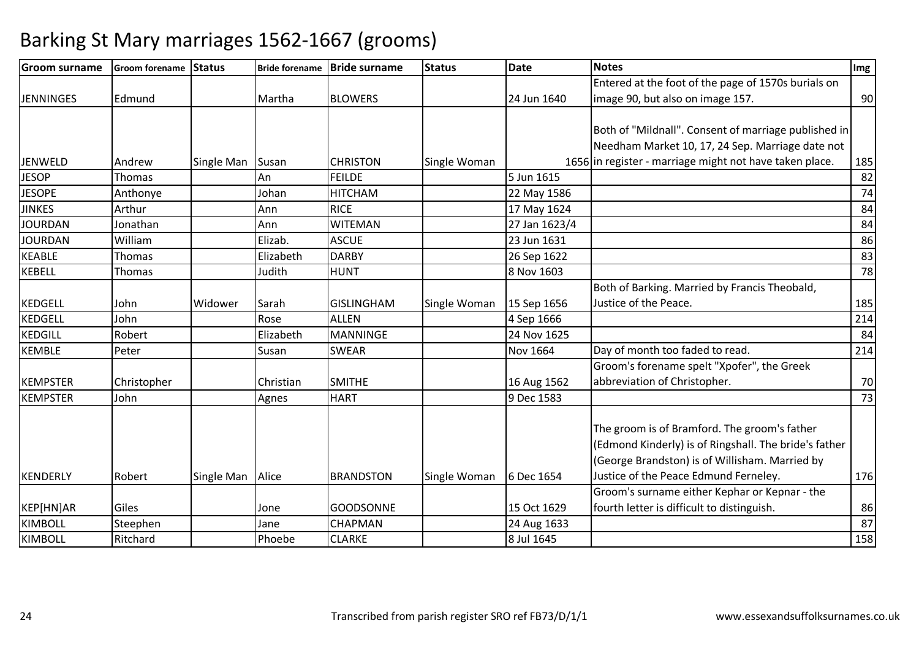| <b>Groom surname</b> | <b>Groom forename</b> | <b>Status</b> | <b>Bride forename</b> | <b>Bride surname</b> | <b>Status</b> | <b>Date</b>     | <b>Notes</b>                                            | Img |
|----------------------|-----------------------|---------------|-----------------------|----------------------|---------------|-----------------|---------------------------------------------------------|-----|
|                      |                       |               |                       |                      |               |                 | Entered at the foot of the page of 1570s burials on     |     |
| <b>JENNINGES</b>     | Edmund                |               | Martha                | <b>BLOWERS</b>       |               | 24 Jun 1640     | image 90, but also on image 157.                        | 90  |
|                      |                       |               |                       |                      |               |                 |                                                         |     |
|                      |                       |               |                       |                      |               |                 | Both of "Mildnall". Consent of marriage published in    |     |
|                      |                       |               |                       |                      |               |                 | Needham Market 10, 17, 24 Sep. Marriage date not        |     |
| JENWELD              | Andrew                | Single Man    | Susan                 | <b>CHRISTON</b>      | Single Woman  |                 | 1656 in register - marriage might not have taken place. | 185 |
| <b>JESOP</b>         | Thomas                |               | An                    | <b>FEILDE</b>        |               | 5 Jun 1615      |                                                         | 82  |
| <b>JESOPE</b>        | Anthonye              |               | Johan                 | <b>HITCHAM</b>       |               | 22 May 1586     |                                                         | 74  |
| <b>JINKES</b>        | Arthur                |               | Ann                   | <b>RICE</b>          |               | 17 May 1624     |                                                         | 84  |
| <b>JOURDAN</b>       | Ionathan              |               | Ann                   | <b>WITEMAN</b>       |               | 27 Jan 1623/4   |                                                         | 84  |
| <b>JOURDAN</b>       | William               |               | Elizab.               | <b>ASCUE</b>         |               | 23 Jun 1631     |                                                         | 86  |
| <b>KEABLE</b>        | Thomas                |               | Elizabeth             | <b>DARBY</b>         |               | 26 Sep 1622     |                                                         | 83  |
| <b>KEBELL</b>        | Thomas                |               | Judith                | <b>HUNT</b>          |               | 8 Nov 1603      |                                                         | 78  |
|                      |                       |               |                       |                      |               |                 | Both of Barking. Married by Francis Theobald,           |     |
| <b>KEDGELL</b>       | John                  | Widower       | Sarah                 | <b>GISLINGHAM</b>    | Single Woman  | 15 Sep 1656     | Justice of the Peace.                                   | 185 |
| <b>KEDGELL</b>       | John                  |               | Rose                  | <b>ALLEN</b>         |               | 4 Sep 1666      |                                                         | 214 |
| <b>KEDGILL</b>       | Robert                |               | Elizabeth             | <b>MANNINGE</b>      |               | 24 Nov 1625     |                                                         | 84  |
| <b>KEMBLE</b>        | Peter                 |               | Susan                 | <b>SWEAR</b>         |               | <b>Nov 1664</b> | Day of month too faded to read.                         | 214 |
|                      |                       |               |                       |                      |               |                 | Groom's forename spelt "Xpofer", the Greek              |     |
| <b>KEMPSTER</b>      | Christopher           |               | Christian             | <b>SMITHE</b>        |               | 16 Aug 1562     | abbreviation of Christopher.                            | 70  |
| <b>KEMPSTER</b>      | John                  |               | Agnes                 | <b>HART</b>          |               | 9 Dec 1583      |                                                         | 73  |
|                      |                       |               |                       |                      |               |                 |                                                         |     |
|                      |                       |               |                       |                      |               |                 | The groom is of Bramford. The groom's father            |     |
|                      |                       |               |                       |                      |               |                 | (Edmond Kinderly) is of Ringshall. The bride's father   |     |
|                      |                       |               |                       |                      |               |                 | (George Brandston) is of Willisham. Married by          |     |
| KENDERLY             | Robert                | Single Man    | Alice                 | <b>BRANDSTON</b>     | Single Woman  | 6 Dec 1654      | Justice of the Peace Edmund Ferneley.                   | 176 |
|                      |                       |               |                       |                      |               |                 | Groom's surname either Kephar or Kepnar - the           |     |
| KEP[HN]AR            | Giles                 |               | Jone                  | <b>GOODSONNE</b>     |               | 15 Oct 1629     | fourth letter is difficult to distinguish.              | 86  |
| <b>KIMBOLL</b>       | Steephen              |               | Jane                  | <b>CHAPMAN</b>       |               | 24 Aug 1633     |                                                         | 87  |
| <b>KIMBOLL</b>       | Ritchard              |               | Phoebe                | <b>CLARKE</b>        |               | 8 Jul 1645      |                                                         | 158 |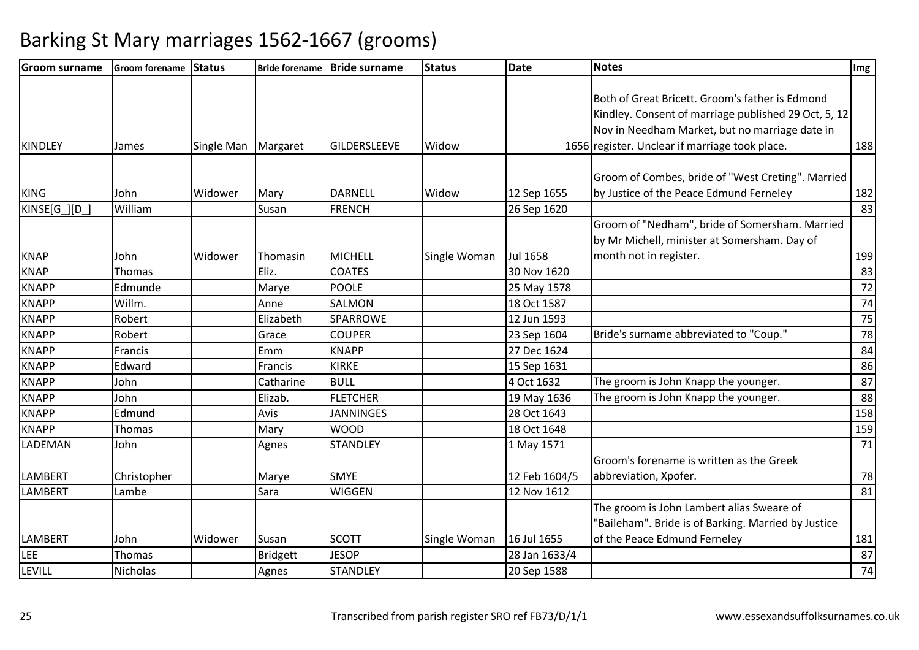| <b>Groom surname</b> | Groom forename Status |            |                 | Bride forename   Bride surname | <b>Status</b> | <b>Date</b>   | <b>Notes</b>                                         | Img |
|----------------------|-----------------------|------------|-----------------|--------------------------------|---------------|---------------|------------------------------------------------------|-----|
|                      |                       |            |                 |                                |               |               |                                                      |     |
|                      |                       |            |                 |                                |               |               | Both of Great Bricett. Groom's father is Edmond      |     |
|                      |                       |            |                 |                                |               |               | Kindley. Consent of marriage published 29 Oct, 5, 12 |     |
|                      |                       |            |                 |                                |               |               | Nov in Needham Market, but no marriage date in       |     |
| <b>KINDLEY</b>       | James                 | Single Man | Margaret        | GILDERSLEEVE                   | Widow         |               | 1656 register. Unclear if marriage took place.       | 188 |
|                      |                       |            |                 |                                |               |               | Groom of Combes, bride of "West Creting". Married    |     |
| <b>KING</b>          | John                  | Widower    | Mary            | <b>DARNELL</b>                 | Widow         | 12 Sep 1655   | by Justice of the Peace Edmund Ferneley              | 182 |
| KINSE[G][D]          | William               |            | Susan           | <b>FRENCH</b>                  |               | 26 Sep 1620   |                                                      | 83  |
|                      |                       |            |                 |                                |               |               | Groom of "Nedham", bride of Somersham. Married       |     |
|                      |                       |            |                 |                                |               |               | by Mr Michell, minister at Somersham. Day of         |     |
| <b>KNAP</b>          | John                  | Widower    | Thomasin        | <b>MICHELL</b>                 | Single Woman  | Jul 1658      | month not in register.                               | 199 |
| <b>KNAP</b>          | <b>Thomas</b>         |            | Eliz.           | <b>COATES</b>                  |               | 30 Nov 1620   |                                                      | 83  |
| <b>KNAPP</b>         | Edmunde               |            | Marye           | <b>POOLE</b>                   |               | 25 May 1578   |                                                      | 72  |
| <b>KNAPP</b>         | Willm.                |            | Anne            | SALMON                         |               | 18 Oct 1587   |                                                      | 74  |
| <b>KNAPP</b>         | Robert                |            | Elizabeth       | SPARROWE                       |               | 12 Jun 1593   |                                                      | 75  |
| <b>KNAPP</b>         | Robert                |            | Grace           | <b>COUPER</b>                  |               | 23 Sep 1604   | Bride's surname abbreviated to "Coup."               | 78  |
| <b>KNAPP</b>         | Francis               |            | Emm             | <b>KNAPP</b>                   |               | 27 Dec 1624   |                                                      | 84  |
| <b>KNAPP</b>         | Edward                |            | Francis         | <b>KIRKE</b>                   |               | 15 Sep 1631   |                                                      | 86  |
| <b>KNAPP</b>         | John                  |            | Catharine       | <b>BULL</b>                    |               | 4 Oct 1632    | The groom is John Knapp the younger.                 | 87  |
| <b>KNAPP</b>         | John                  |            | Elizab.         | <b>FLETCHER</b>                |               | 19 May 1636   | The groom is John Knapp the younger.                 | 88  |
| <b>KNAPP</b>         | Edmund                |            | Avis            | <b>JANNINGES</b>               |               | 28 Oct 1643   |                                                      | 158 |
| <b>KNAPP</b>         | Thomas                |            | Mary            | <b>WOOD</b>                    |               | 18 Oct 1648   |                                                      | 159 |
| LADEMAN              | John                  |            | Agnes           | <b>STANDLEY</b>                |               | 1 May 1571    |                                                      | 71  |
|                      |                       |            |                 |                                |               |               | Groom's forename is written as the Greek             |     |
| <b>LAMBERT</b>       | Christopher           |            | Marye           | <b>SMYE</b>                    |               | 12 Feb 1604/5 | abbreviation, Xpofer.                                | 78  |
| <b>LAMBERT</b>       | Lambe                 |            | Sara            | <b>WIGGEN</b>                  |               | 12 Nov 1612   |                                                      | 81  |
|                      |                       |            |                 |                                |               |               | The groom is John Lambert alias Sweare of            |     |
|                      |                       |            |                 |                                |               |               | 'Baileham". Bride is of Barking. Married by Justice  |     |
| <b>LAMBERT</b>       | John                  | Widower    | Susan           | <b>SCOTT</b>                   | Single Woman  | 16 Jul 1655   | of the Peace Edmund Ferneley                         | 181 |
| LEE                  | Thomas                |            | <b>Bridgett</b> | <b>JESOP</b>                   |               | 28 Jan 1633/4 |                                                      | 87  |
| <b>LEVILL</b>        | <b>Nicholas</b>       |            | Agnes           | <b>STANDLEY</b>                |               | 20 Sep 1588   |                                                      | 74  |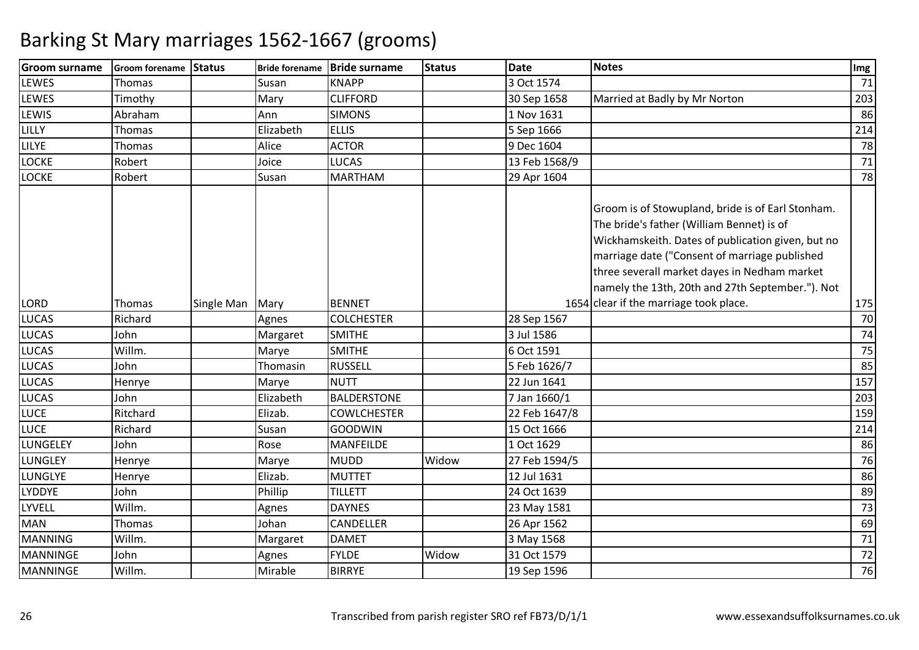| <b>Groom surname</b> | Groom forename Status |            |           | Bride forename Bride surname | <b>Status</b> | <b>Date</b>   | <b>Notes</b>                                                                                                                                                                                                                                                                                             | Img |
|----------------------|-----------------------|------------|-----------|------------------------------|---------------|---------------|----------------------------------------------------------------------------------------------------------------------------------------------------------------------------------------------------------------------------------------------------------------------------------------------------------|-----|
| <b>LEWES</b>         | Thomas                |            | Susan     | <b>KNAPP</b>                 |               | 3 Oct 1574    |                                                                                                                                                                                                                                                                                                          | 71  |
| <b>LEWES</b>         | Timothy               |            | Mary      | <b>CLIFFORD</b>              |               | 30 Sep 1658   | Married at Badly by Mr Norton                                                                                                                                                                                                                                                                            | 203 |
| LEWIS                | Abraham               |            | Ann       | <b>SIMONS</b>                |               | 1 Nov 1631    |                                                                                                                                                                                                                                                                                                          | 86  |
| LILLY                | Thomas                |            | Elizabeth | <b>ELLIS</b>                 |               | 5 Sep 1666    |                                                                                                                                                                                                                                                                                                          | 214 |
| LILYE                | Thomas                |            | Alice     | <b>ACTOR</b>                 |               | 9 Dec 1604    |                                                                                                                                                                                                                                                                                                          | 78  |
| <b>LOCKE</b>         | Robert                |            | Joice     | <b>LUCAS</b>                 |               | 13 Feb 1568/9 |                                                                                                                                                                                                                                                                                                          | 71  |
| <b>LOCKE</b>         | Robert                |            | Susan     | <b>MARTHAM</b>               |               | 29 Apr 1604   |                                                                                                                                                                                                                                                                                                          | 78  |
|                      |                       |            |           |                              |               |               | Groom is of Stowupland, bride is of Earl Stonham.<br>The bride's father (William Bennet) is of<br>Wickhamskeith. Dates of publication given, but no<br>marriage date ("Consent of marriage published<br>three severall market dayes in Nedham market<br>namely the 13th, 20th and 27th September."). Not |     |
| <b>LORD</b>          | Thomas                | Single Man | Mary      | <b>BENNET</b>                |               |               | 1654 clear if the marriage took place.                                                                                                                                                                                                                                                                   | 175 |
| <b>LUCAS</b>         | Richard               |            | Agnes     | <b>COLCHESTER</b>            |               | 28 Sep 1567   |                                                                                                                                                                                                                                                                                                          | 70  |
| <b>LUCAS</b>         | John                  |            | Margaret  | <b>SMITHE</b>                |               | 3 Jul 1586    |                                                                                                                                                                                                                                                                                                          | 74  |
| <b>LUCAS</b>         | Willm.                |            | Marye     | <b>SMITHE</b>                |               | 6 Oct 1591    |                                                                                                                                                                                                                                                                                                          | 75  |
| <b>LUCAS</b>         | John                  |            | Thomasin  | <b>RUSSELL</b>               |               | 5 Feb 1626/7  |                                                                                                                                                                                                                                                                                                          | 85  |
| <b>LUCAS</b>         | Henrye                |            | Marye     | <b>NUTT</b>                  |               | 22 Jun 1641   |                                                                                                                                                                                                                                                                                                          | 157 |
| <b>LUCAS</b>         | John                  |            | Elizabeth | <b>BALDERSTONE</b>           |               | 7 Jan 1660/1  |                                                                                                                                                                                                                                                                                                          | 203 |
| <b>LUCE</b>          | Ritchard              |            | Elizab.   | <b>COWLCHESTER</b>           |               | 22 Feb 1647/8 |                                                                                                                                                                                                                                                                                                          | 159 |
| <b>LUCE</b>          | Richard               |            | Susan     | <b>GOODWIN</b>               |               | 15 Oct 1666   |                                                                                                                                                                                                                                                                                                          | 214 |
| LUNGELEY             | John                  |            | Rose      | <b>MANFEILDE</b>             |               | 1 Oct 1629    |                                                                                                                                                                                                                                                                                                          | 86  |
| LUNGLEY              | Henrye                |            | Marye     | <b>MUDD</b>                  | Widow         | 27 Feb 1594/5 |                                                                                                                                                                                                                                                                                                          | 76  |
| LUNGLYE              | Henrye                |            | Elizab.   | <b>MUTTET</b>                |               | 12 Jul 1631   |                                                                                                                                                                                                                                                                                                          | 86  |
| <b>LYDDYE</b>        | John                  |            | Phillip   | <b>TILLETT</b>               |               | 24 Oct 1639   |                                                                                                                                                                                                                                                                                                          | 89  |
| <b>LYVELL</b>        | Willm.                |            | Agnes     | <b>DAYNES</b>                |               | 23 May 1581   |                                                                                                                                                                                                                                                                                                          | 73  |
| <b>MAN</b>           | Thomas                |            | Johan     | <b>CANDELLER</b>             |               | 26 Apr 1562   |                                                                                                                                                                                                                                                                                                          | 69  |
| <b>MANNING</b>       | Willm.                |            | Margaret  | <b>DAMET</b>                 |               | 3 May 1568    |                                                                                                                                                                                                                                                                                                          | 71  |
| <b>MANNINGE</b>      | John                  |            | Agnes     | <b>FYLDE</b>                 | Widow         | 31 Oct 1579   |                                                                                                                                                                                                                                                                                                          | 72  |
| MANNINGE             | Willm.                |            | Mirable   | <b>BIRRYE</b>                |               | 19 Sep 1596   |                                                                                                                                                                                                                                                                                                          | 76  |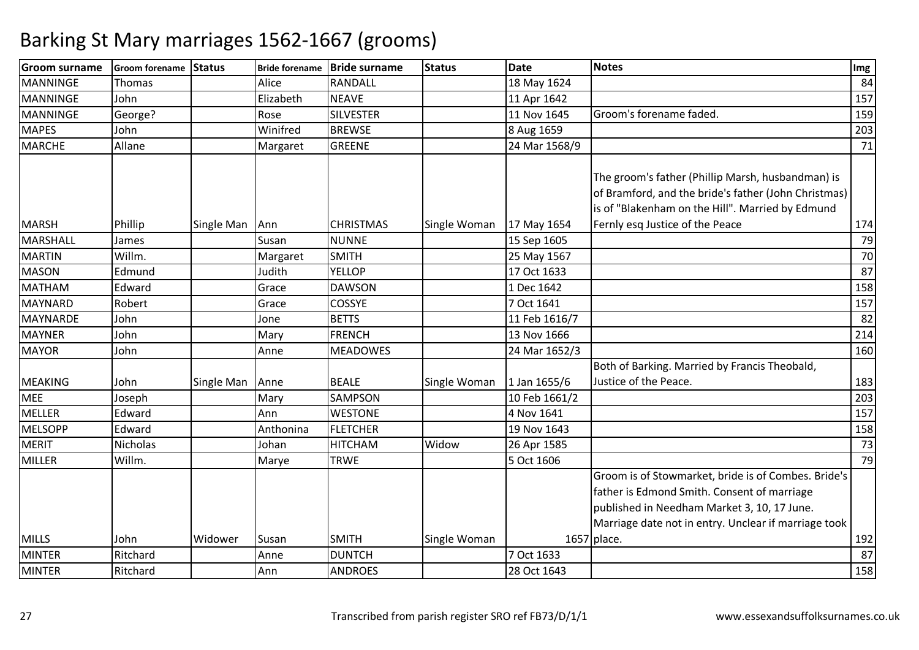| <b>Groom surname</b> | Groom forename Status |            |           | Bride forename Bride surname | <b>Status</b> | <b>Date</b>   | <b>Notes</b>                                         | Img |
|----------------------|-----------------------|------------|-----------|------------------------------|---------------|---------------|------------------------------------------------------|-----|
| <b>MANNINGE</b>      | <b>Thomas</b>         |            | Alice     | <b>RANDALL</b>               |               | 18 May 1624   |                                                      | 84  |
| <b>MANNINGE</b>      | John                  |            | Elizabeth | <b>NEAVE</b>                 |               | 11 Apr 1642   |                                                      | 157 |
| <b>MANNINGE</b>      | George?               |            | Rose      | <b>SILVESTER</b>             |               | 11 Nov 1645   | Groom's forename faded.                              | 159 |
| <b>MAPES</b>         | John                  |            | Winifred  | <b>BREWSE</b>                |               | 8 Aug 1659    |                                                      | 203 |
| <b>MARCHE</b>        | Allane                |            | Margaret  | <b>GREENE</b>                |               | 24 Mar 1568/9 |                                                      | 71  |
|                      |                       |            |           |                              |               |               |                                                      |     |
|                      |                       |            |           |                              |               |               | The groom's father (Phillip Marsh, husbandman) is    |     |
|                      |                       |            |           |                              |               |               | of Bramford, and the bride's father (John Christmas) |     |
|                      |                       |            |           |                              |               |               | is of "Blakenham on the Hill". Married by Edmund     |     |
| <b>MARSH</b>         | Phillip               | Single Man | Ann       | <b>CHRISTMAS</b>             | Single Woman  | 17 May 1654   | Fernly esq Justice of the Peace                      | 174 |
| MARSHALL             | James                 |            | Susan     | <b>NUNNE</b>                 |               | 15 Sep 1605   |                                                      | 79  |
| <b>MARTIN</b>        | Willm.                |            | Margaret  | <b>SMITH</b>                 |               | 25 May 1567   |                                                      | 70  |
| <b>MASON</b>         | Edmund                |            | Judith    | <b>YELLOP</b>                |               | 17 Oct 1633   |                                                      | 87  |
| <b>MATHAM</b>        | Edward                |            | Grace     | <b>DAWSON</b>                |               | 1 Dec 1642    |                                                      | 158 |
| <b>MAYNARD</b>       | Robert                |            | Grace     | <b>COSSYE</b>                |               | 7 Oct 1641    |                                                      | 157 |
| <b>MAYNARDE</b>      | John                  |            | Jone      | <b>BETTS</b>                 |               | 11 Feb 1616/7 |                                                      | 82  |
| <b>MAYNER</b>        | John                  |            | Mary      | <b>FRENCH</b>                |               | 13 Nov 1666   |                                                      | 214 |
| <b>MAYOR</b>         | John                  |            | Anne      | <b>MEADOWES</b>              |               | 24 Mar 1652/3 |                                                      | 160 |
|                      |                       |            |           |                              |               |               | Both of Barking. Married by Francis Theobald,        |     |
| <b>MEAKING</b>       | John                  | Single Man | Anne      | <b>BEALE</b>                 | Single Woman  | 1 Jan 1655/6  | Justice of the Peace.                                | 183 |
| <b>MEE</b>           | Joseph                |            | Mary      | <b>SAMPSON</b>               |               | 10 Feb 1661/2 |                                                      | 203 |
| <b>MELLER</b>        | Edward                |            | Ann       | <b>WESTONE</b>               |               | 4 Nov 1641    |                                                      | 157 |
| <b>MELSOPP</b>       | Edward                |            | Anthonina | <b>FLETCHER</b>              |               | 19 Nov 1643   |                                                      | 158 |
| <b>MERIT</b>         | Nicholas              |            | Johan     | <b>HITCHAM</b>               | Widow         | 26 Apr 1585   |                                                      | 73  |
| <b>MILLER</b>        | Willm.                |            | Marye     | <b>TRWE</b>                  |               | 5 Oct 1606    |                                                      | 79  |
|                      |                       |            |           |                              |               |               | Groom is of Stowmarket, bride is of Combes. Bride's  |     |
|                      |                       |            |           |                              |               |               | father is Edmond Smith. Consent of marriage          |     |
|                      |                       |            |           |                              |               |               | published in Needham Market 3, 10, 17 June.          |     |
|                      |                       |            |           |                              |               |               | Marriage date not in entry. Unclear if marriage took |     |
| <b>MILLS</b>         | John                  | Widower    | Susan     | <b>SMITH</b>                 | Single Woman  |               | 1657 place.                                          | 192 |
| <b>MINTER</b>        | Ritchard              |            | Anne      | <b>DUNTCH</b>                |               | 7 Oct 1633    |                                                      | 87  |
| <b>MINTER</b>        | Ritchard              |            | Ann       | <b>ANDROES</b>               |               | 28 Oct 1643   |                                                      | 158 |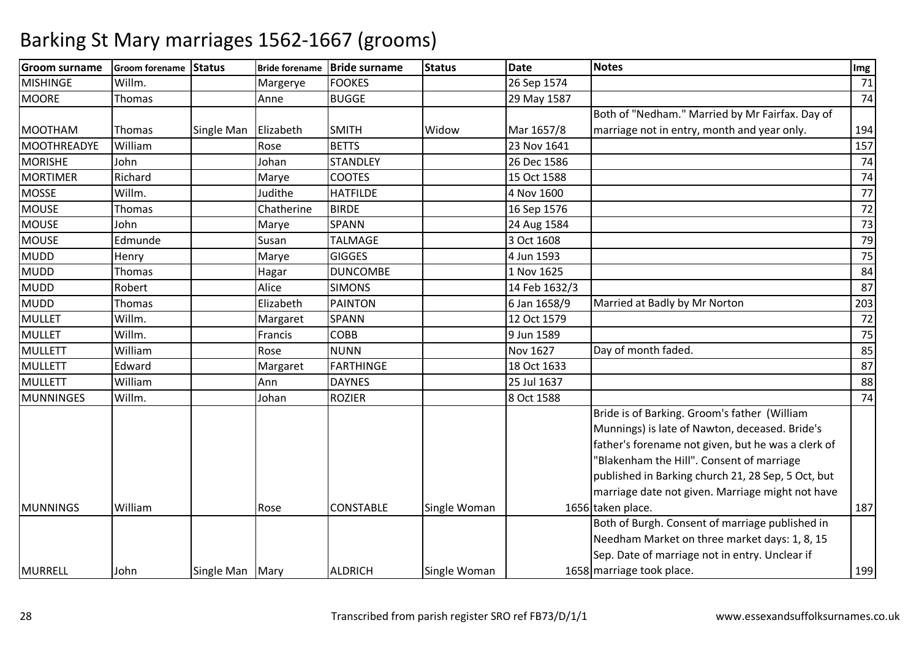| <b>Groom surname</b> | <b>Groom forename</b> | Status          |            | Bride forename   Bride surname | <b>Status</b> | <b>Date</b>     | <b>Notes</b>                                       | Img |
|----------------------|-----------------------|-----------------|------------|--------------------------------|---------------|-----------------|----------------------------------------------------|-----|
| <b>MISHINGE</b>      | Willm.                |                 | Margerye   | <b>FOOKES</b>                  |               | 26 Sep 1574     |                                                    | 71  |
| <b>MOORE</b>         | Thomas                |                 | Anne       | <b>BUGGE</b>                   |               | 29 May 1587     |                                                    | 74  |
|                      |                       |                 |            |                                |               |                 | Both of "Nedham." Married by Mr Fairfax. Day of    |     |
| <b>MOOTHAM</b>       | Thomas                | Single Man      | Elizabeth  | <b>SMITH</b>                   | Widow         | Mar 1657/8      | marriage not in entry, month and year only.        | 194 |
| MOOTHREADYE          | William               |                 | Rose       | <b>BETTS</b>                   |               | 23 Nov 1641     |                                                    | 157 |
| <b>MORISHE</b>       | John                  |                 | Johan      | <b>STANDLEY</b>                |               | 26 Dec 1586     |                                                    | 74  |
| <b>MORTIMER</b>      | Richard               |                 | Marye      | <b>COOTES</b>                  |               | 15 Oct 1588     |                                                    | 74  |
| <b>MOSSE</b>         | Willm.                |                 | Judithe    | <b>HATFILDE</b>                |               | 4 Nov 1600      |                                                    | 77  |
| <b>MOUSE</b>         | Thomas                |                 | Chatherine | <b>BIRDE</b>                   |               | 16 Sep 1576     |                                                    | 72  |
| <b>MOUSE</b>         | John                  |                 | Marye      | <b>SPANN</b>                   |               | 24 Aug 1584     |                                                    | 73  |
| <b>MOUSE</b>         | Edmunde               |                 | Susan      | <b>TALMAGE</b>                 |               | 3 Oct 1608      |                                                    | 79  |
| <b>MUDD</b>          | Henry                 |                 | Marye      | <b>GIGGES</b>                  |               | 4 Jun 1593      |                                                    | 75  |
| <b>MUDD</b>          | Thomas                |                 | Hagar      | <b>DUNCOMBE</b>                |               | 1 Nov 1625      |                                                    | 84  |
| <b>MUDD</b>          | Robert                |                 | Alice      | <b>SIMONS</b>                  |               | 14 Feb 1632/3   |                                                    | 87  |
| <b>MUDD</b>          | Thomas                |                 | Elizabeth  | <b>PAINTON</b>                 |               | 6 Jan 1658/9    | Married at Badly by Mr Norton                      | 203 |
| <b>MULLET</b>        | Willm.                |                 | Margaret   | SPANN                          |               | 12 Oct 1579     |                                                    | 72  |
| <b>MULLET</b>        | Willm.                |                 | Francis    | COBB                           |               | 9 Jun 1589      |                                                    | 75  |
| <b>MULLETT</b>       | William               |                 | Rose       | <b>NUNN</b>                    |               | <b>Nov 1627</b> | Day of month faded.                                | 85  |
| <b>MULLETT</b>       | Edward                |                 | Margaret   | <b>FARTHINGE</b>               |               | 18 Oct 1633     |                                                    | 87  |
| <b>MULLETT</b>       | William               |                 | Ann        | <b>DAYNES</b>                  |               | 25 Jul 1637     |                                                    | 88  |
| MUNNINGES            | Willm.                |                 | Johan      | <b>ROZIER</b>                  |               | 8 Oct 1588      |                                                    | 74  |
|                      |                       |                 |            |                                |               |                 | Bride is of Barking. Groom's father (William       |     |
|                      |                       |                 |            |                                |               |                 | Munnings) is late of Nawton, deceased. Bride's     |     |
|                      |                       |                 |            |                                |               |                 | father's forename not given, but he was a clerk of |     |
|                      |                       |                 |            |                                |               |                 | "Blakenham the Hill". Consent of marriage          |     |
|                      |                       |                 |            |                                |               |                 | published in Barking church 21, 28 Sep, 5 Oct, but |     |
|                      |                       |                 |            |                                |               |                 | marriage date not given. Marriage might not have   |     |
| <b>MUNNINGS</b>      | William               |                 | Rose       | <b>CONSTABLE</b>               | Single Woman  |                 | 1656 taken place.                                  | 187 |
|                      |                       |                 |            |                                |               |                 | Both of Burgh. Consent of marriage published in    |     |
|                      |                       |                 |            |                                |               |                 | Needham Market on three market days: 1, 8, 15      |     |
|                      |                       |                 |            |                                |               |                 | Sep. Date of marriage not in entry. Unclear if     |     |
| <b>MURRELL</b>       | John                  | Single Man Mary |            | <b>ALDRICH</b>                 | Single Woman  |                 | 1658 marriage took place.                          | 199 |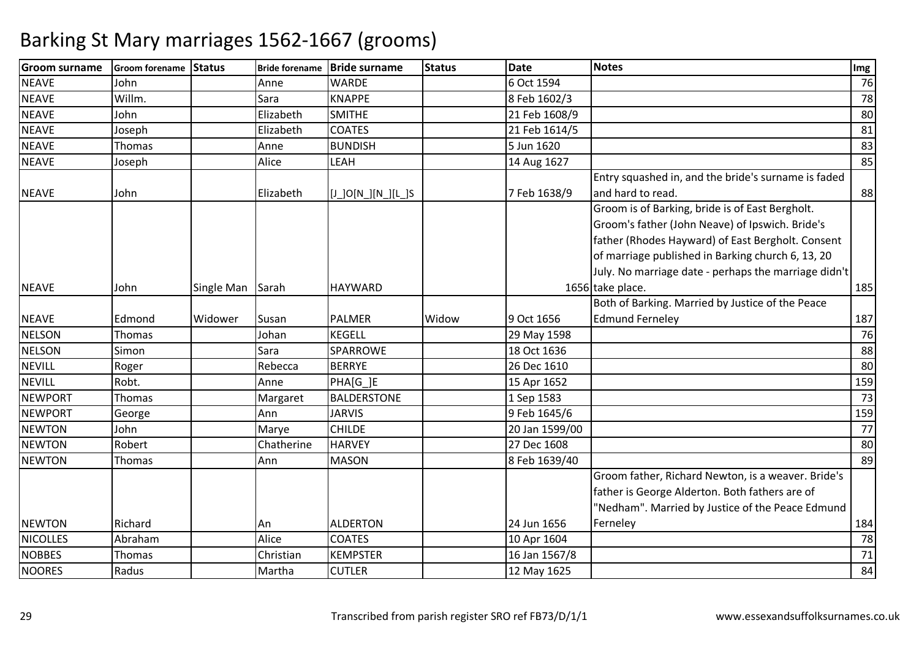| <b>Groom surname</b>   | Groom forename Status |            |            | Bride forename Bride surname | <b>Status</b> | <b>Date</b>    | <b>Notes</b>                                         | Img     |
|------------------------|-----------------------|------------|------------|------------------------------|---------------|----------------|------------------------------------------------------|---------|
| <b>NEAVE</b>           | John                  |            | Anne       | <b>WARDE</b>                 |               | 6 Oct 1594     |                                                      | 76      |
| <b>NEAVE</b>           | Willm.                |            | Sara       | <b>KNAPPE</b>                |               | 8 Feb 1602/3   |                                                      | 78      |
| <b>NEAVE</b>           | John                  |            | Elizabeth  | <b>SMITHE</b>                |               | 21 Feb 1608/9  |                                                      | 80      |
| <b>NEAVE</b>           | Joseph                |            | Elizabeth  | <b>COATES</b>                |               | 21 Feb 1614/5  |                                                      | 81      |
| <b>NEAVE</b>           | Thomas                |            | Anne       | <b>BUNDISH</b>               |               | 5 Jun 1620     |                                                      | 83      |
| <b>NEAVE</b>           | Joseph                |            | Alice      | LEAH                         |               | 14 Aug 1627    |                                                      | 85      |
|                        |                       |            |            |                              |               |                | Entry squashed in, and the bride's surname is faded  |         |
| <b>NEAVE</b>           | John                  |            | Elizabeth  | $[J\_]O[N\_][N\_][L\_]S$     |               | 7 Feb 1638/9   | and hard to read.                                    | 88      |
|                        |                       |            |            |                              |               |                | Groom is of Barking, bride is of East Bergholt.      |         |
|                        |                       |            |            |                              |               |                | Groom's father (John Neave) of Ipswich. Bride's      |         |
|                        |                       |            |            |                              |               |                | father (Rhodes Hayward) of East Bergholt. Consent    |         |
|                        |                       |            |            |                              |               |                | of marriage published in Barking church 6, 13, 20    |         |
|                        |                       |            |            |                              |               |                | July. No marriage date - perhaps the marriage didn't |         |
| <b>NEAVE</b>           | John                  | Single Man | Sarah      | <b>HAYWARD</b>               |               |                | 1656 take place.                                     | 185     |
|                        |                       |            |            |                              |               |                | Both of Barking. Married by Justice of the Peace     |         |
| <b>NEAVE</b>           | Edmond                | Widower    | Susan      | <b>PALMER</b>                | Widow         | 9 Oct 1656     | <b>Edmund Ferneley</b>                               | 187     |
| <b>NELSON</b>          | Thomas                |            | Johan      | <b>KEGELL</b>                |               | 29 May 1598    |                                                      | 76      |
| <b>NELSON</b>          | Simon                 |            | Sara       | SPARROWE                     |               | 18 Oct 1636    |                                                      | 88      |
| <b>NEVILL</b>          | Roger                 |            | Rebecca    | <b>BERRYE</b>                |               | 26 Dec 1610    |                                                      | 80      |
| <b>NEVILL</b>          | Robt.                 |            | Anne       | PHA[G]E                      |               | 15 Apr 1652    |                                                      | 159     |
| <b>NEWPORT</b>         | Thomas                |            | Margaret   | <b>BALDERSTONE</b>           |               | 1 Sep 1583     |                                                      | 73      |
| <b>NEWPORT</b>         | George                |            | Ann        | <b>JARVIS</b>                |               | 9 Feb 1645/6   |                                                      | 159     |
| <b>NEWTON</b>          | John                  |            | Marye      | <b>CHILDE</b>                |               | 20 Jan 1599/00 |                                                      | $77 \,$ |
| <b>NEWTON</b>          | Robert                |            | Chatherine | <b>HARVEY</b>                |               | 27 Dec 1608    |                                                      | 80      |
| <b>NEWTON</b>          | Thomas                |            | Ann        | <b>MASON</b>                 |               | 8 Feb 1639/40  |                                                      | 89      |
|                        |                       |            |            |                              |               |                | Groom father, Richard Newton, is a weaver. Bride's   |         |
|                        |                       |            |            |                              |               |                | father is George Alderton. Both fathers are of       |         |
|                        |                       |            |            |                              |               |                | "Nedham". Married by Justice of the Peace Edmund     |         |
| <b>NEWTON</b>          | Richard               |            | An         | <b>ALDERTON</b>              |               | 24 Jun 1656    | Ferneley                                             | 184     |
| <b>NICOLLES</b>        | Abraham               |            | Alice      | <b>COATES</b>                |               | 10 Apr 1604    |                                                      | 78      |
| <b>NOBBES</b>          | <b>Thomas</b>         |            | Christian  | <b>KEMPSTER</b>              |               | 16 Jan 1567/8  |                                                      | 71      |
| <b>NOORES</b><br>Radus |                       |            |            |                              |               |                |                                                      | 84      |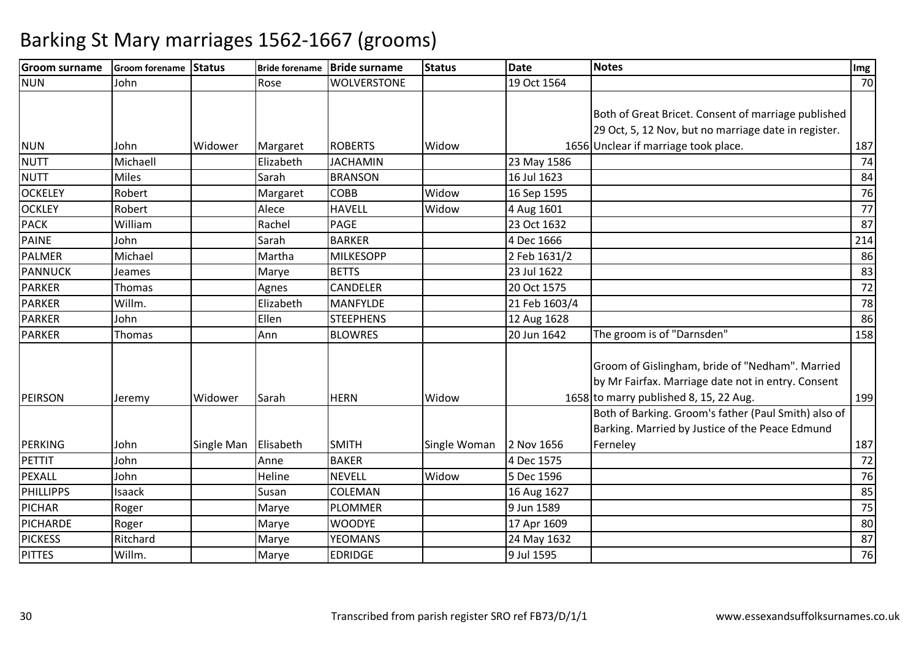| <b>Groom surname</b> | Groom forename Status |            |           | Bride forename Bride surname | <b>Status</b> | <b>Date</b>   | <b>Notes</b>                                                                                                                                    | Img |
|----------------------|-----------------------|------------|-----------|------------------------------|---------------|---------------|-------------------------------------------------------------------------------------------------------------------------------------------------|-----|
| <b>NUN</b>           | John                  |            | Rose      | <b>WOLVERSTONE</b>           |               | 19 Oct 1564   |                                                                                                                                                 | 70  |
|                      |                       |            |           |                              |               |               | Both of Great Bricet. Consent of marriage published<br>29 Oct, 5, 12 Nov, but no marriage date in register.                                     |     |
| <b>NUN</b>           | John                  | Widower    | Margaret  | <b>ROBERTS</b>               | Widow         |               | 1656 Unclear if marriage took place.                                                                                                            | 187 |
| <b>NUTT</b>          | Michaell              |            | Elizabeth | <b>JACHAMIN</b>              |               | 23 May 1586   |                                                                                                                                                 | 74  |
| <b>NUTT</b>          | <b>Miles</b>          |            | Sarah     | <b>BRANSON</b>               |               | 16 Jul 1623   |                                                                                                                                                 | 84  |
| <b>OCKELEY</b>       | Robert                |            | Margaret  | COBB                         | Widow         | 16 Sep 1595   |                                                                                                                                                 | 76  |
| <b>OCKLEY</b>        | Robert                |            | Alece     | <b>HAVELL</b>                | Widow         | 4 Aug 1601    |                                                                                                                                                 | 77  |
| <b>PACK</b>          | William               |            | Rachel    | PAGE                         |               | 23 Oct 1632   |                                                                                                                                                 | 87  |
| <b>PAINE</b>         | John                  |            | Sarah     | <b>BARKER</b>                |               | 4 Dec 1666    |                                                                                                                                                 | 214 |
| <b>PALMER</b>        | Michael               |            | Martha    | <b>MILKESOPP</b>             |               | 2 Feb 1631/2  |                                                                                                                                                 | 86  |
| <b>PANNUCK</b>       | Jeames                |            | Marye     | <b>BETTS</b>                 |               | 23 Jul 1622   |                                                                                                                                                 | 83  |
| <b>PARKER</b>        | Thomas                |            | Agnes     | CANDELER                     |               | 20 Oct 1575   |                                                                                                                                                 | 72  |
| <b>PARKER</b>        | Willm.                |            | Elizabeth | <b>MANFYLDE</b>              |               | 21 Feb 1603/4 |                                                                                                                                                 | 78  |
| <b>PARKER</b>        | John                  |            | Ellen     | <b>STEEPHENS</b>             |               | 12 Aug 1628   |                                                                                                                                                 | 86  |
| <b>PARKER</b>        | Thomas                |            | Ann       | <b>BLOWRES</b>               |               | 20 Jun 1642   | The groom is of "Darnsden"                                                                                                                      | 158 |
| PEIRSON              | Jeremy                | Widower    | Sarah     | <b>HERN</b>                  | Widow         |               | Groom of Gislingham, bride of "Nedham". Married<br>by Mr Fairfax. Marriage date not in entry. Consent<br>1658 to marry published 8, 15, 22 Aug. | 199 |
|                      |                       |            |           |                              |               |               | Both of Barking. Groom's father (Paul Smith) also of                                                                                            |     |
|                      |                       |            |           |                              |               |               | Barking. Married by Justice of the Peace Edmund                                                                                                 |     |
| PERKING              | John                  | Single Man | Elisabeth | <b>SMITH</b>                 | Single Woman  | 2 Nov 1656    | Ferneley                                                                                                                                        | 187 |
| PETTIT               | John                  |            | Anne      | <b>BAKER</b>                 |               | 4 Dec 1575    |                                                                                                                                                 | 72  |
| <b>PEXALL</b>        | John                  |            | Heline    | <b>NEVELL</b>                | Widow         | 5 Dec 1596    |                                                                                                                                                 | 76  |
| <b>PHILLIPPS</b>     | Isaack                |            | Susan     | COLEMAN                      |               | 16 Aug 1627   |                                                                                                                                                 | 85  |
| <b>PICHAR</b>        | Roger                 |            | Marye     | <b>PLOMMER</b>               |               | 9 Jun 1589    |                                                                                                                                                 | 75  |
| <b>PICHARDE</b>      | Roger                 |            | Marye     | <b>WOODYE</b>                |               | 17 Apr 1609   |                                                                                                                                                 | 80  |
| <b>PICKESS</b>       | Ritchard              |            | Marye     | <b>YEOMANS</b>               |               | 24 May 1632   |                                                                                                                                                 | 87  |
| <b>PITTES</b>        | Willm.                |            | Marye     | <b>EDRIDGE</b>               |               | 9 Jul 1595    |                                                                                                                                                 | 76  |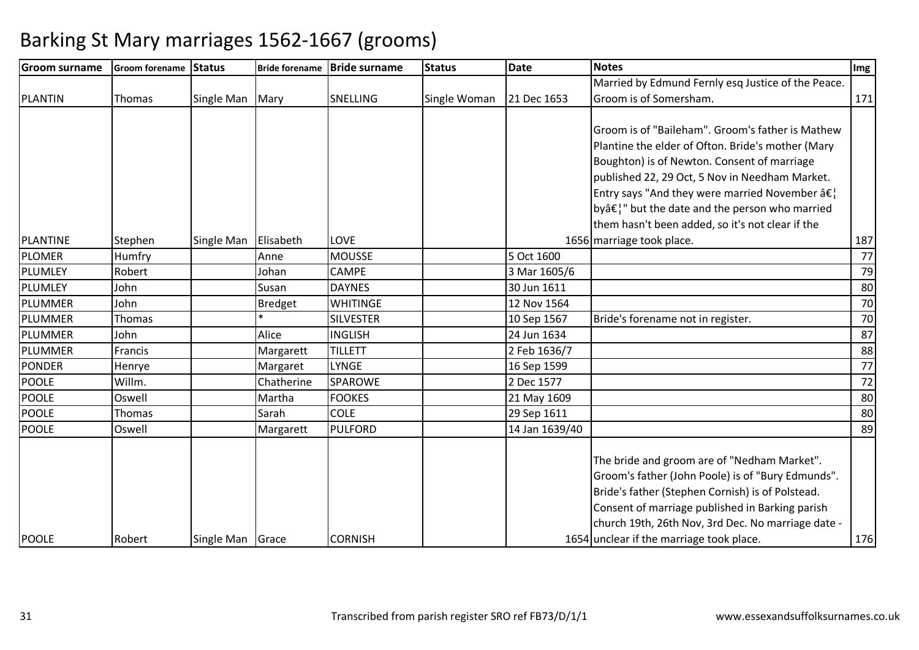#### **Groom surname Groom forename Status Bride forename Bride surname Status Date Notes Img** PLANTIN Thomas Single Man Mary SNELLING Single Woman 21 Dec 1653 Married by Edmund Fernly esq Justice of the Peace. Groom is of Somersham. 171PLANTINE Stephen Single Man Elisabeth LOVE | 1656 Groom is of "Baileham". Groom's father is Mathew Plantine the elder of Ofton. Bride's mother (Mary Boughton) is of Newton. Consent of marriage published 22, 29 Oct, 5 Nov in Needham Market. Entry says "And they were married November  $\hat{a} \in L$  $\vert$ byâ $\varepsilon$ !" but the date and the person who married them hasn't been added, so it's not clear if the 1656 marriage took place. . **187** 77 PLOMERR Humfry Anne MOUSSE 5 Oct 1600 PLUMLEYY Robert Johan n CAMPE 3 Mar 1605/6 79 PLUMLEY Johnn Susan 30 Jun 1611 80 PLUMMERR John Bredget WHITINGE 12 Nov 1564 70 PLUMMERThomas 10 Thomas 10 SILVESTER 10 Sep 1567 Bride's forename not in register.<br>10 Sep 1567 Bride's forename not in register.<br>124 Jun 1634 PLUMMERR John Alice <mark>INGLISH</mark> H 24 Jun 1634 | 37 PLUMMERR Francis Margarett TILLETT 2 Feb 1636/7 2011 2 Feb 1636/7 2 Feb 1636/7 2 Feb 1636/7 2 Feb 1636/7 2 Feb 1636/7 PONDERR Henrye Margaret LYNGE 16 Apr 1599 1599 16 November 177 POOLEWillm. **I** Chatherine SPAROWE 2 Dec 1577 <sup>72</sup> POOLEE COSwell Martha FOOKES 21 May 1609 <sup>80</sup> POOLEThomas I Sarah h | COLE | 29 Sep 1611 | 2000 | 2000 | 2000 | 2000 | 2000 | 2000 | 2000 | 2000 | 2000 | 2000 | 2000 | 2000 | 2 POOLEE Coswell Margarett PULFORD 14 Jan 1639/40 0 89 POOLE | Robert | Single Man | Grace | CORNISH H 1654 The bride and groom are of "Nedham Market". Groom's father (John Poole) is of "Bury Edmunds". Bride's father (Stephen Cornish) is of Polstead. Consent of marriage published in Barking parish church 19th, 26th Nov, 3rd Dec. No marriage date - 1654 unclear if the marriage took place. 176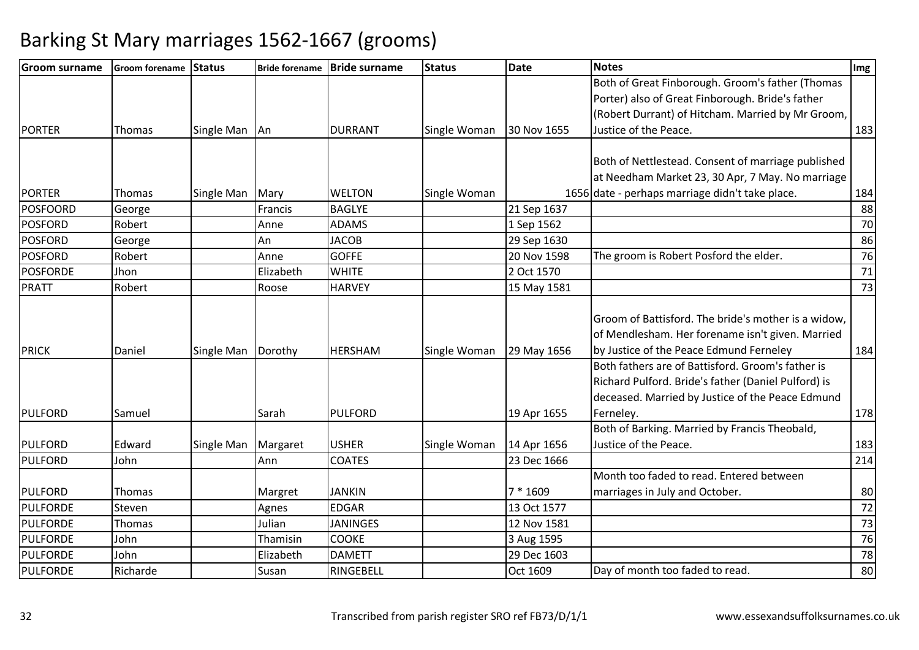| Groom surname   | <b>Groom forename Status</b> |                   |           | Bride forename Bride surname | <b>Status</b> | <b>Date</b> | <b>Notes</b>                                        | Img             |
|-----------------|------------------------------|-------------------|-----------|------------------------------|---------------|-------------|-----------------------------------------------------|-----------------|
|                 |                              |                   |           |                              |               |             | Both of Great Finborough. Groom's father (Thomas    |                 |
|                 |                              |                   |           |                              |               |             | Porter) also of Great Finborough. Bride's father    |                 |
|                 |                              |                   |           |                              |               |             | (Robert Durrant) of Hitcham. Married by Mr Groom,   |                 |
| <b>PORTER</b>   | Thomas                       | <b>Single Man</b> | An        | <b>DURRANT</b>               | Single Woman  | 30 Nov 1655 | Justice of the Peace.                               | 183             |
|                 |                              |                   |           |                              |               |             |                                                     |                 |
|                 |                              |                   |           |                              |               |             | Both of Nettlestead. Consent of marriage published  |                 |
|                 |                              |                   |           |                              |               |             | at Needham Market 23, 30 Apr, 7 May. No marriage    |                 |
| <b>PORTER</b>   | Thomas                       | Single Man        | Mary      | <b>WELTON</b>                | Single Woman  |             | 1656 date - perhaps marriage didn't take place.     | 184             |
| <b>POSFOORD</b> | George                       |                   | Francis   | <b>BAGLYE</b>                |               | 21 Sep 1637 |                                                     | 88              |
| <b>POSFORD</b>  | Robert                       |                   | Anne      | <b>ADAMS</b>                 |               | 1 Sep 1562  |                                                     | 70              |
| <b>POSFORD</b>  | George                       |                   | An        | <b>JACOB</b>                 |               | 29 Sep 1630 |                                                     | 86              |
| <b>POSFORD</b>  | Robert                       |                   | Anne      | <b>GOFFE</b>                 |               | 20 Nov 1598 | The groom is Robert Posford the elder.              | 76              |
| <b>POSFORDE</b> | Jhon                         |                   | Elizabeth | <b>WHITE</b>                 |               | 2 Oct 1570  |                                                     | 71              |
| <b>PRATT</b>    | Robert                       |                   | Roose     | <b>HARVEY</b>                |               | 15 May 1581 |                                                     | 73              |
|                 |                              |                   |           |                              |               |             |                                                     |                 |
|                 |                              |                   |           |                              |               |             | Groom of Battisford. The bride's mother is a widow, |                 |
|                 |                              |                   |           |                              |               |             | of Mendlesham. Her forename isn't given. Married    |                 |
| <b>PRICK</b>    | Daniel                       | <b>Single Man</b> | Dorothy   | <b>HERSHAM</b>               | Single Woman  | 29 May 1656 | by Justice of the Peace Edmund Ferneley             | 184             |
|                 |                              |                   |           |                              |               |             | Both fathers are of Battisford. Groom's father is   |                 |
|                 |                              |                   |           |                              |               |             | Richard Pulford. Bride's father (Daniel Pulford) is |                 |
|                 |                              |                   |           |                              |               |             | deceased. Married by Justice of the Peace Edmund    |                 |
| PULFORD         | Samuel                       |                   | Sarah     | <b>PULFORD</b>               |               | 19 Apr 1655 | Ferneley.                                           | 178             |
|                 |                              |                   |           |                              |               |             | Both of Barking. Married by Francis Theobald,       |                 |
| <b>PULFORD</b>  | Edward                       | Single Man        | Margaret  | <b>USHER</b>                 | Single Woman  | 14 Apr 1656 | Justice of the Peace.                               | 183             |
| <b>PULFORD</b>  | John                         |                   | Ann       | <b>COATES</b>                |               | 23 Dec 1666 |                                                     | 214             |
|                 |                              |                   |           |                              |               |             | Month too faded to read. Entered between            |                 |
| <b>PULFORD</b>  | Thomas                       |                   | Margret   | <b>JANKIN</b>                |               | 7 * 1609    | marriages in July and October.                      | 80              |
| <b>PULFORDE</b> | Steven                       |                   | Agnes     | <b>EDGAR</b>                 |               | 13 Oct 1577 |                                                     | 72              |
| <b>PULFORDE</b> | Thomas                       |                   | Julian    | <b>JANINGES</b>              |               | 12 Nov 1581 |                                                     | $\overline{73}$ |
| <b>PULFORDE</b> | John                         |                   | Thamisin  | <b>COOKE</b>                 |               | 3 Aug 1595  |                                                     | 76              |
| <b>PULFORDE</b> | John                         |                   | Elizabeth | <b>DAMETT</b>                |               | 29 Dec 1603 |                                                     | 78              |
| <b>PULFORDE</b> | Richarde                     |                   | Susan     | RINGEBELL                    |               | Oct 1609    | Day of month too faded to read.                     | 80              |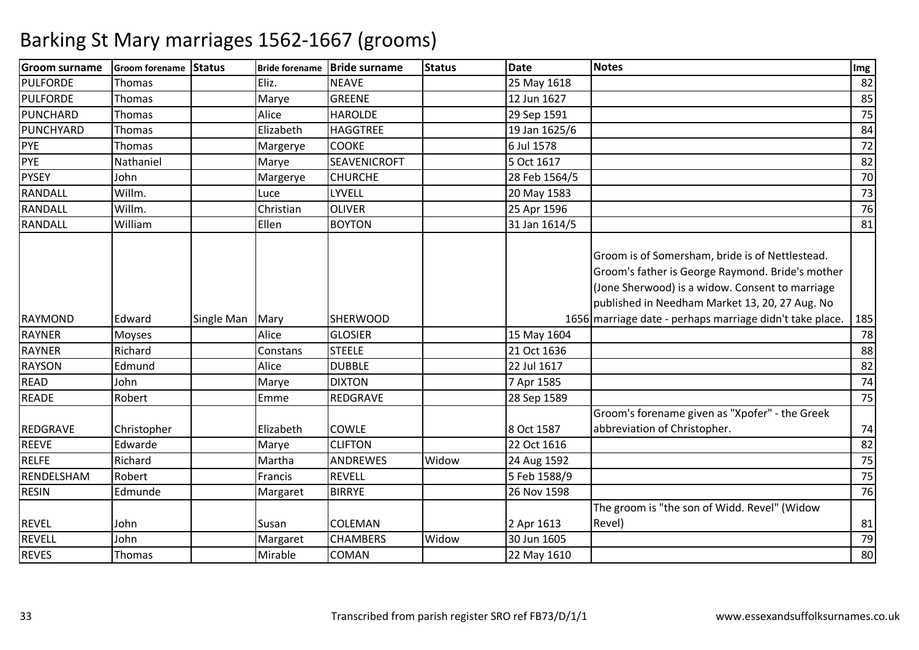| <b>Groom surname</b> | Groom forename Status |            |           | Bride forename Bride surname | <b>Status</b> | <b>Date</b>   | <b>Notes</b>                                                                                                                                                                                             | Img |
|----------------------|-----------------------|------------|-----------|------------------------------|---------------|---------------|----------------------------------------------------------------------------------------------------------------------------------------------------------------------------------------------------------|-----|
| <b>PULFORDE</b>      | Thomas                |            | Eliz.     | <b>NEAVE</b>                 |               | 25 May 1618   |                                                                                                                                                                                                          | 82  |
| PULFORDE             | Thomas                |            | Marye     | <b>GREENE</b>                |               | 12 Jun 1627   |                                                                                                                                                                                                          | 85  |
| PUNCHARD             | Thomas                |            | Alice     | <b>HAROLDE</b>               |               | 29 Sep 1591   |                                                                                                                                                                                                          | 75  |
| PUNCHYARD            | Thomas                |            | Elizabeth | <b>HAGGTREE</b>              |               | 19 Jan 1625/6 |                                                                                                                                                                                                          | 84  |
| PYE                  | Thomas                |            | Margerye  | <b>COOKE</b>                 |               | 6 Jul 1578    |                                                                                                                                                                                                          | 72  |
| <b>PYE</b>           | Nathaniel             |            | Marye     | <b>SEAVENICROFT</b>          |               | 5 Oct 1617    |                                                                                                                                                                                                          | 82  |
| <b>PYSEY</b>         | John                  |            | Margerye  | <b>CHURCHE</b>               |               | 28 Feb 1564/5 |                                                                                                                                                                                                          | 70  |
| <b>RANDALL</b>       | Willm.                |            | Luce      | LYVELL                       |               | 20 May 1583   |                                                                                                                                                                                                          | 73  |
| <b>RANDALL</b>       | Willm.                |            | Christian | <b>OLIVER</b>                |               | 25 Apr 1596   |                                                                                                                                                                                                          | 76  |
| <b>RANDALL</b>       | William               |            | Ellen     | <b>BOYTON</b>                |               | 31 Jan 1614/5 |                                                                                                                                                                                                          | 81  |
|                      |                       |            |           |                              |               |               | Groom is of Somersham, bride is of Nettlestead.<br>Groom's father is George Raymond. Bride's mother<br>(Jone Sherwood) is a widow. Consent to marriage<br>published in Needham Market 13, 20, 27 Aug. No |     |
| <b>RAYMOND</b>       | Edward                | Single Man | Mary      | <b>SHERWOOD</b>              |               |               | 1656 marriage date - perhaps marriage didn't take place.                                                                                                                                                 | 185 |
| <b>RAYNER</b>        | Moyses                |            | Alice     | <b>GLOSIER</b>               |               | 15 May 1604   |                                                                                                                                                                                                          | 78  |
| <b>RAYNER</b>        | Richard               |            | Constans  | <b>STEELE</b>                |               | 21 Oct 1636   |                                                                                                                                                                                                          | 88  |
| <b>RAYSON</b>        | Edmund                |            | Alice     | <b>DUBBLE</b>                |               | 22 Jul 1617   |                                                                                                                                                                                                          | 82  |
| <b>READ</b>          | John                  |            | Marye     | <b>DIXTON</b>                |               | 7 Apr 1585    |                                                                                                                                                                                                          | 74  |
| <b>READE</b>         | Robert                |            | Emme      | REDGRAVE                     |               | 28 Sep 1589   |                                                                                                                                                                                                          | 75  |
|                      |                       |            |           |                              |               |               | Groom's forename given as "Xpofer" - the Greek                                                                                                                                                           |     |
| REDGRAVE             | Christopher           |            | Elizabeth | <b>COWLE</b>                 |               | 8 Oct 1587    | abbreviation of Christopher.                                                                                                                                                                             | 74  |
| <b>REEVE</b>         | Edwarde               |            | Marye     | <b>CLIFTON</b>               |               | 22 Oct 1616   |                                                                                                                                                                                                          | 82  |
| <b>RELFE</b>         | Richard               |            | Martha    | <b>ANDREWES</b>              | Widow         | 24 Aug 1592   |                                                                                                                                                                                                          | 75  |
| RENDELSHAM           | Robert                |            | Francis   | <b>REVELL</b>                |               | 5 Feb 1588/9  |                                                                                                                                                                                                          | 75  |
| <b>RESIN</b>         | Edmunde               |            | Margaret  | <b>BIRRYE</b>                |               | 26 Nov 1598   |                                                                                                                                                                                                          | 76  |
| <b>REVEL</b>         | John                  |            | Susan     | COLEMAN                      |               | 2 Apr 1613    | The groom is "the son of Widd. Revel" (Widow<br>Revel)                                                                                                                                                   | 81  |
| <b>REVELL</b>        | John                  |            | Margaret  | <b>CHAMBERS</b>              | Widow         | 30 Jun 1605   |                                                                                                                                                                                                          | 79  |
| <b>REVES</b>         | Thomas                |            | Mirable   | COMAN                        |               | 22 May 1610   |                                                                                                                                                                                                          | 80  |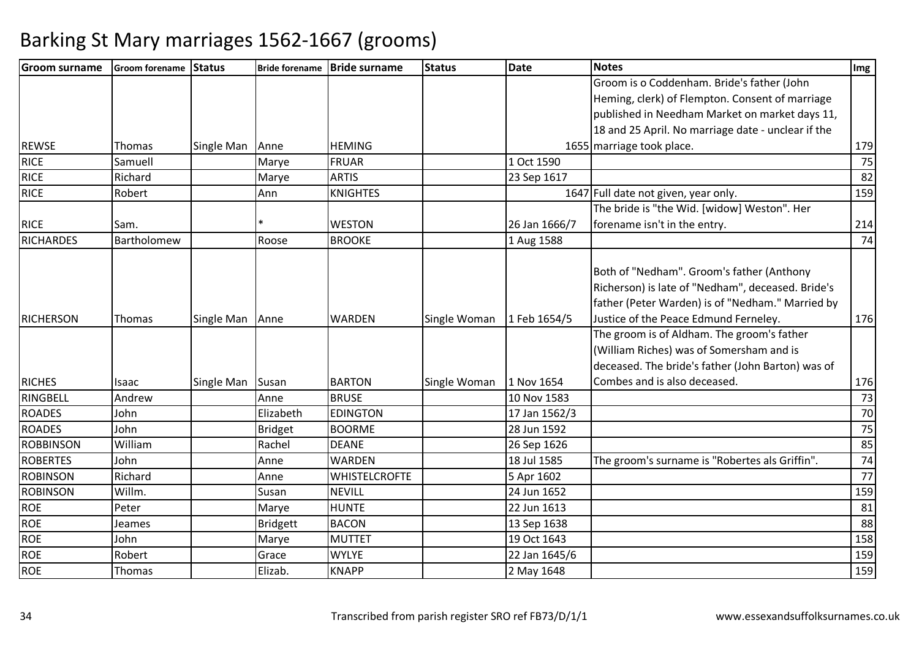| <b>Groom surname</b>      | Groom forename Status |            |                          | Bride forename Bride surname  | <b>Status</b> | <b>Date</b>                  | <b>Notes</b>                                                                                                                                                                                | Img      |
|---------------------------|-----------------------|------------|--------------------------|-------------------------------|---------------|------------------------------|---------------------------------------------------------------------------------------------------------------------------------------------------------------------------------------------|----------|
|                           |                       |            |                          |                               |               |                              | Groom is o Coddenham. Bride's father (John                                                                                                                                                  |          |
|                           |                       |            |                          |                               |               |                              | Heming, clerk) of Flempton. Consent of marriage                                                                                                                                             |          |
|                           |                       |            |                          |                               |               |                              | published in Needham Market on market days 11,                                                                                                                                              |          |
|                           |                       |            |                          |                               |               |                              | 18 and 25 April. No marriage date - unclear if the                                                                                                                                          |          |
| <b>REWSE</b>              | Thomas                | Single Man | Anne                     | <b>HEMING</b>                 |               |                              | 1655 marriage took place.                                                                                                                                                                   | 179      |
| <b>RICE</b>               | Samuell               |            | Marye                    | <b>FRUAR</b>                  |               | 1 Oct 1590                   |                                                                                                                                                                                             | 75       |
| <b>RICE</b>               | Richard               |            | Marye                    | <b>ARTIS</b>                  |               | 23 Sep 1617                  |                                                                                                                                                                                             | 82       |
| <b>RICE</b>               | Robert                |            | Ann                      | <b>KNIGHTES</b>               |               |                              | 1647 Full date not given, year only.                                                                                                                                                        | 159      |
|                           |                       |            |                          |                               |               |                              | The bride is "the Wid. [widow] Weston". Her                                                                                                                                                 |          |
| <b>RICE</b>               | Sam.                  |            |                          | <b>WESTON</b>                 |               | 26 Jan 1666/7                | forename isn't in the entry.                                                                                                                                                                | 214      |
| <b>RICHARDES</b>          | Bartholomew           |            | Roose                    | <b>BROOKE</b>                 |               | 1 Aug 1588                   |                                                                                                                                                                                             | 74       |
| <b>RICHERSON</b>          | Thomas                | Single Man | Anne                     | <b>WARDEN</b>                 | Single Woman  | 1 Feb 1654/5                 | Both of "Nedham". Groom's father (Anthony<br>Richerson) is late of "Nedham", deceased. Bride's<br>father (Peter Warden) is of "Nedham." Married by<br>Justice of the Peace Edmund Ferneley. | 176      |
|                           |                       |            |                          |                               |               |                              | The groom is of Aldham. The groom's father<br>(William Riches) was of Somersham and is<br>deceased. The bride's father (John Barton) was of<br>Combes and is also deceased.                 |          |
| <b>RICHES</b><br>RINGBELL | Isaac<br>Andrew       | Single Man | Susan                    | <b>BARTON</b><br><b>BRUSE</b> | Single Woman  | 1 Nov 1654                   |                                                                                                                                                                                             | 176      |
| <b>ROADES</b>             | John                  |            | Anne<br>Elizabeth        | <b>EDINGTON</b>               |               | 10 Nov 1583<br>17 Jan 1562/3 |                                                                                                                                                                                             | 73<br>70 |
| <b>ROADES</b>             | John                  |            |                          | <b>BOORME</b>                 |               | 28 Jun 1592                  |                                                                                                                                                                                             | 75       |
| <b>ROBBINSON</b>          | William               |            | <b>Bridget</b><br>Rachel | <b>DEANE</b>                  |               | 26 Sep 1626                  |                                                                                                                                                                                             | 85       |
| <b>ROBERTES</b>           | John                  |            | Anne                     | WARDEN                        |               | 18 Jul 1585                  | The groom's surname is "Robertes als Griffin".                                                                                                                                              | 74       |
| <b>ROBINSON</b>           | Richard               |            | Anne                     | <b>WHISTELCROFTE</b>          |               | 5 Apr 1602                   |                                                                                                                                                                                             | 77       |
| <b>ROBINSON</b>           | Willm.                |            | Susan                    | <b>NEVILL</b>                 |               | 24 Jun 1652                  |                                                                                                                                                                                             | 159      |
| <b>ROE</b>                | Peter                 |            | Marye                    | <b>HUNTE</b>                  |               | 22 Jun 1613                  |                                                                                                                                                                                             | 81       |
| <b>ROE</b>                | Jeames                |            | <b>Bridgett</b>          | <b>BACON</b>                  |               | 13 Sep 1638                  |                                                                                                                                                                                             | 88       |
| <b>ROE</b>                | John                  |            | Marye                    | <b>MUTTET</b>                 |               | 19 Oct 1643                  |                                                                                                                                                                                             | 158      |
| <b>ROE</b>                | Robert                |            | Grace                    | <b>WYLYE</b>                  |               | 22 Jan 1645/6                |                                                                                                                                                                                             | 159      |
| <b>ROE</b>                | Thomas                |            | Elizab.                  | <b>KNAPP</b>                  |               | 2 May 1648                   |                                                                                                                                                                                             | 159      |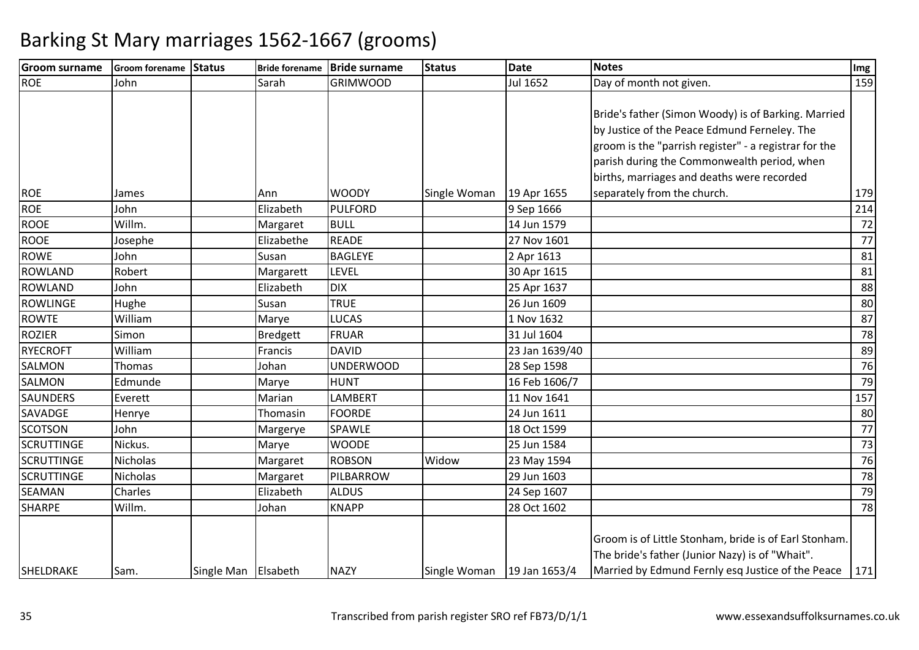| <b>Groom surname</b> | Groom forename Status |                     |                 | Bride forename   Bride surname | <b>Status</b>                | <b>Date</b>    | <b>Notes</b>                                                                                                                                                                                                                                              | Img |
|----------------------|-----------------------|---------------------|-----------------|--------------------------------|------------------------------|----------------|-----------------------------------------------------------------------------------------------------------------------------------------------------------------------------------------------------------------------------------------------------------|-----|
| <b>ROE</b>           | John                  |                     | Sarah           | <b>GRIMWOOD</b>                |                              | Jul 1652       | Day of month not given.                                                                                                                                                                                                                                   | 159 |
|                      |                       |                     |                 |                                |                              |                | Bride's father (Simon Woody) is of Barking. Married<br>by Justice of the Peace Edmund Ferneley. The<br>groom is the "parrish register" - a registrar for the<br>parish during the Commonwealth period, when<br>births, marriages and deaths were recorded |     |
| <b>ROE</b>           | James                 |                     | Ann             | <b>WOODY</b>                   | Single Woman                 | 19 Apr 1655    | separately from the church.                                                                                                                                                                                                                               | 179 |
| <b>ROE</b>           | John                  |                     | Elizabeth       | <b>PULFORD</b>                 |                              | 9 Sep 1666     |                                                                                                                                                                                                                                                           | 214 |
| ROOE                 | Willm.                |                     | Margaret        | <b>BULL</b>                    |                              | 14 Jun 1579    |                                                                                                                                                                                                                                                           | 72  |
| ROOE                 | Josephe               |                     | Elizabethe      | <b>READE</b>                   |                              | 27 Nov 1601    |                                                                                                                                                                                                                                                           | 77  |
| <b>ROWE</b>          | John                  |                     | Susan           | <b>BAGLEYE</b>                 |                              | 2 Apr 1613     |                                                                                                                                                                                                                                                           | 81  |
| <b>ROWLAND</b>       | Robert                |                     | Margarett       | <b>LEVEL</b>                   |                              | 30 Apr 1615    |                                                                                                                                                                                                                                                           | 81  |
| <b>ROWLAND</b>       | John                  |                     | Elizabeth       | <b>DIX</b>                     |                              | 25 Apr 1637    |                                                                                                                                                                                                                                                           | 88  |
| <b>ROWLINGE</b>      | Hughe                 |                     | Susan           | <b>TRUE</b>                    |                              | 26 Jun 1609    |                                                                                                                                                                                                                                                           | 80  |
| <b>ROWTE</b>         | William               |                     | Marye           | <b>LUCAS</b>                   |                              | 1 Nov 1632     |                                                                                                                                                                                                                                                           | 87  |
| <b>ROZIER</b>        | Simon                 |                     | <b>Bredgett</b> | <b>FRUAR</b>                   |                              | 31 Jul 1604    |                                                                                                                                                                                                                                                           | 78  |
| <b>RYECROFT</b>      | William               |                     | Francis         | <b>DAVID</b>                   |                              | 23 Jan 1639/40 |                                                                                                                                                                                                                                                           | 89  |
| <b>SALMON</b>        | Thomas                |                     | Johan           | <b>UNDERWOOD</b>               |                              | 28 Sep 1598    |                                                                                                                                                                                                                                                           | 76  |
| <b>SALMON</b>        | Edmunde               |                     | Marye           | <b>HUNT</b>                    |                              | 16 Feb 1606/7  |                                                                                                                                                                                                                                                           | 79  |
| <b>SAUNDERS</b>      | Everett               |                     | Marian          | <b>LAMBERT</b>                 |                              | 11 Nov 1641    |                                                                                                                                                                                                                                                           | 157 |
| SAVADGE              | Henrye                |                     | Thomasin        | <b>FOORDE</b>                  |                              | 24 Jun 1611    |                                                                                                                                                                                                                                                           | 80  |
| <b>SCOTSON</b>       | John                  |                     | Margerye        | SPAWLE                         |                              | 18 Oct 1599    |                                                                                                                                                                                                                                                           | 77  |
| <b>SCRUTTINGE</b>    | Nickus.               |                     | Marye           | <b>WOODE</b>                   |                              | 25 Jun 1584    |                                                                                                                                                                                                                                                           | 73  |
| <b>SCRUTTINGE</b>    | Nicholas              |                     | Margaret        | <b>ROBSON</b>                  | Widow                        | 23 May 1594    |                                                                                                                                                                                                                                                           | 76  |
| <b>SCRUTTINGE</b>    | Nicholas              |                     | Margaret        | PILBARROW                      |                              | 29 Jun 1603    |                                                                                                                                                                                                                                                           | 78  |
| <b>SEAMAN</b>        | Charles               |                     | Elizabeth       | <b>ALDUS</b>                   |                              | 24 Sep 1607    |                                                                                                                                                                                                                                                           | 79  |
| <b>SHARPE</b>        | Willm.                |                     | Johan           | <b>KNAPP</b>                   |                              | 28 Oct 1602    |                                                                                                                                                                                                                                                           | 78  |
| SHELDRAKE            | Sam.                  | Single Man Elsabeth |                 | <b>NAZY</b>                    | Single Woman   19 Jan 1653/4 |                | Groom is of Little Stonham, bride is of Earl Stonham.<br>The bride's father (Junior Nazy) is of "Whait".<br>Married by Edmund Fernly esq Justice of the Peace                                                                                             | 171 |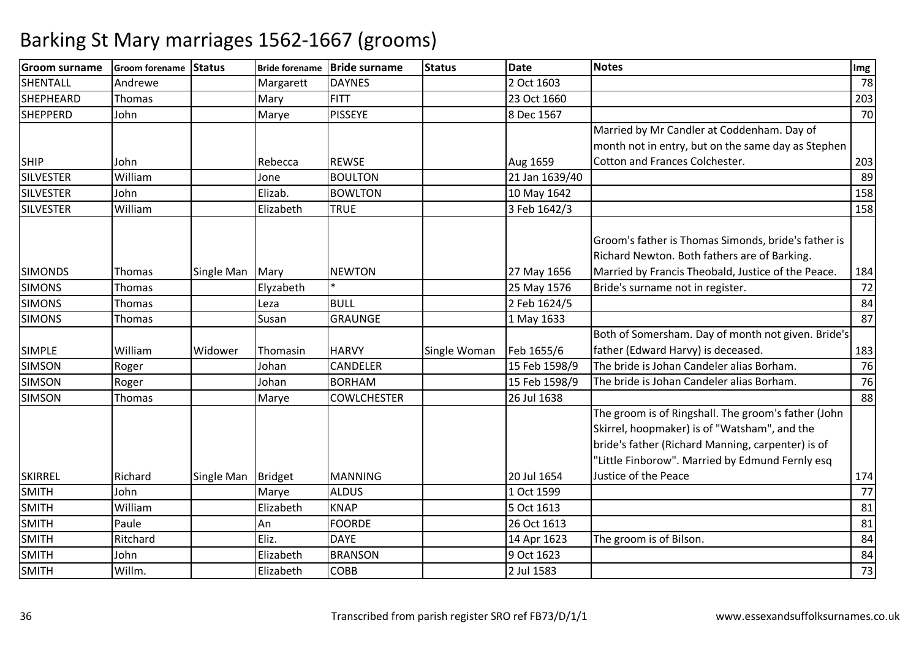| <b>Groom surname</b> | <b>Groom forename</b> | <b>Status</b> | <b>Bride forename</b> | <b>Bride surname</b> | <b>Status</b> | <b>Date</b>    | <b>Notes</b>                                                                                                                                                                                                | Img |
|----------------------|-----------------------|---------------|-----------------------|----------------------|---------------|----------------|-------------------------------------------------------------------------------------------------------------------------------------------------------------------------------------------------------------|-----|
| SHENTALL             | Andrewe               |               | Margarett             | <b>DAYNES</b>        |               | 2 Oct 1603     |                                                                                                                                                                                                             | 78  |
| <b>SHEPHEARD</b>     | Thomas                |               | Mary                  | <b>FITT</b>          |               | 23 Oct 1660    |                                                                                                                                                                                                             | 203 |
| <b>SHEPPERD</b>      | John                  |               | Marye                 | <b>PISSEYE</b>       |               | 8 Dec 1567     |                                                                                                                                                                                                             | 70  |
|                      |                       |               |                       |                      |               |                | Married by Mr Candler at Coddenham. Day of                                                                                                                                                                  |     |
|                      |                       |               |                       |                      |               |                | month not in entry, but on the same day as Stephen                                                                                                                                                          |     |
| <b>SHIP</b>          | John                  |               | Rebecca               | <b>REWSE</b>         |               | Aug 1659       | Cotton and Frances Colchester.                                                                                                                                                                              | 203 |
| <b>SILVESTER</b>     | William               |               | Jone                  | <b>BOULTON</b>       |               | 21 Jan 1639/40 |                                                                                                                                                                                                             | 89  |
| <b>SILVESTER</b>     | John                  |               | Elizab.               | <b>BOWLTON</b>       |               | 10 May 1642    |                                                                                                                                                                                                             | 158 |
| <b>SILVESTER</b>     | William               |               | Elizabeth             | <b>TRUE</b>          |               | 3 Feb 1642/3   |                                                                                                                                                                                                             | 158 |
| <b>SIMONDS</b>       | Thomas                | Single Man    | Mary                  | <b>NEWTON</b>        |               | 27 May 1656    | Groom's father is Thomas Simonds, bride's father is<br>Richard Newton. Both fathers are of Barking.<br>Married by Francis Theobald, Justice of the Peace.                                                   | 184 |
| <b>SIMONS</b>        | Thomas                |               | Elyzabeth             | $\ast$               |               | 25 May 1576    | Bride's surname not in register.                                                                                                                                                                            | 72  |
| <b>SIMONS</b>        | Thomas                |               | Leza                  | <b>BULL</b>          |               | 2 Feb 1624/5   |                                                                                                                                                                                                             | 84  |
| <b>SIMONS</b>        | Thomas                |               | Susan                 | <b>GRAUNGE</b>       |               | 1 May 1633     |                                                                                                                                                                                                             | 87  |
|                      |                       |               |                       |                      |               |                | Both of Somersham. Day of month not given. Bride's                                                                                                                                                          |     |
| <b>SIMPLE</b>        | William               | Widower       | Thomasin              | <b>HARVY</b>         | Single Woman  | Feb 1655/6     | father (Edward Harvy) is deceased.                                                                                                                                                                          | 183 |
| <b>SIMSON</b>        | Roger                 |               | Johan                 | CANDELER             |               | 15 Feb 1598/9  | The bride is Johan Candeler alias Borham.                                                                                                                                                                   | 76  |
| <b>SIMSON</b>        | Roger                 |               | Johan                 | <b>BORHAM</b>        |               | 15 Feb 1598/9  | The bride is Johan Candeler alias Borham.                                                                                                                                                                   | 76  |
| <b>SIMSON</b>        | Thomas                |               | Marye                 | <b>COWLCHESTER</b>   |               | 26 Jul 1638    |                                                                                                                                                                                                             | 88  |
|                      |                       |               |                       |                      |               |                | The groom is of Ringshall. The groom's father (John<br>Skirrel, hoopmaker) is of "Watsham", and the<br>bride's father (Richard Manning, carpenter) is of<br>"Little Finborow". Married by Edmund Fernly esq |     |
| <b>SKIRREL</b>       | Richard               | Single Man    | <b>Bridget</b>        | <b>MANNING</b>       |               | 20 Jul 1654    | Justice of the Peace                                                                                                                                                                                        | 174 |
| <b>SMITH</b>         | John                  |               | Marye                 | <b>ALDUS</b>         |               | 1 Oct 1599     |                                                                                                                                                                                                             | 77  |
| <b>SMITH</b>         | William               |               | Elizabeth             | <b>KNAP</b>          |               | 5 Oct 1613     |                                                                                                                                                                                                             | 81  |
| <b>SMITH</b>         | Paule                 |               | An                    | <b>FOORDE</b>        |               | 26 Oct 1613    |                                                                                                                                                                                                             | 81  |
| <b>SMITH</b>         | Ritchard              |               | Eliz.                 | <b>DAYE</b>          |               | 14 Apr 1623    | The groom is of Bilson.                                                                                                                                                                                     | 84  |
| <b>SMITH</b>         | John                  |               | Elizabeth             | <b>BRANSON</b>       |               | 9 Oct 1623     |                                                                                                                                                                                                             | 84  |
| <b>SMITH</b>         | Willm.                |               | Elizabeth             | COBB                 |               | 2 Jul 1583     |                                                                                                                                                                                                             | 73  |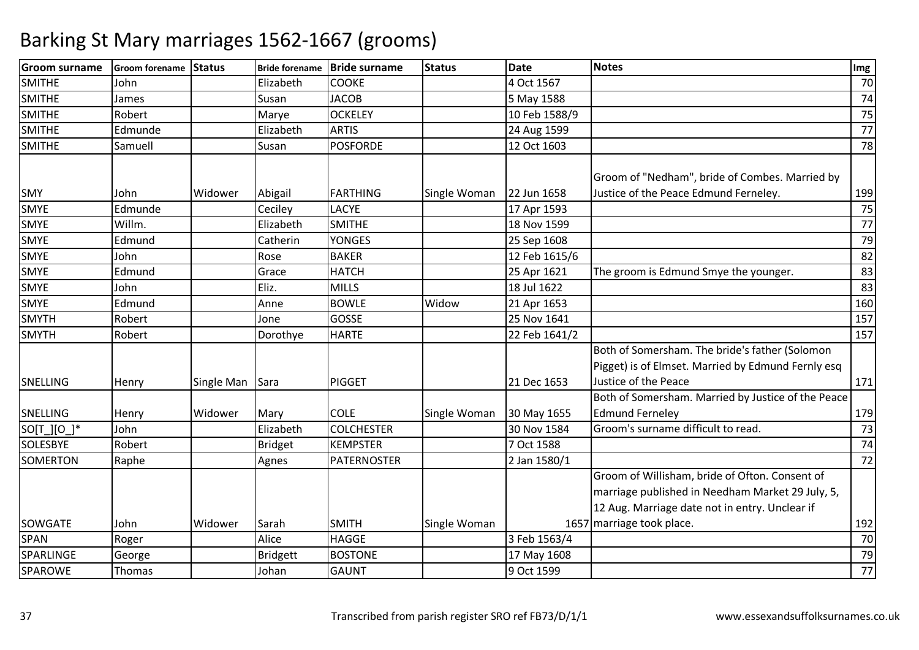| <b>Groom surname</b> | Groom forename Status |            |                 | Bride forename   Bride surname | <b>Status</b> | <b>Date</b>   | <b>Notes</b>                                                                                                                                         | Img      |
|----------------------|-----------------------|------------|-----------------|--------------------------------|---------------|---------------|------------------------------------------------------------------------------------------------------------------------------------------------------|----------|
| <b>SMITHE</b>        | John                  |            | Elizabeth       | <b>COOKE</b>                   |               | 4 Oct 1567    |                                                                                                                                                      | 70       |
| <b>SMITHE</b>        | James                 |            | Susan           | <b>JACOB</b>                   |               | 5 May 1588    |                                                                                                                                                      | 74       |
| <b>SMITHE</b>        | Robert                |            | Marye           | <b>OCKELEY</b>                 |               | 10 Feb 1588/9 |                                                                                                                                                      | 75       |
| <b>SMITHE</b>        | Edmunde               |            | Elizabeth       | <b>ARTIS</b>                   |               | 24 Aug 1599   |                                                                                                                                                      | 77       |
| <b>SMITHE</b>        | Samuell               |            | Susan           | <b>POSFORDE</b>                |               | 12 Oct 1603   |                                                                                                                                                      | 78       |
| <b>SMY</b>           | John                  | Widower    |                 | <b>FARTHING</b>                |               | 22 Jun 1658   | Groom of "Nedham", bride of Combes. Married by<br>Justice of the Peace Edmund Ferneley.                                                              |          |
| <b>SMYE</b>          | Edmunde               |            | Abigail         | <b>LACYE</b>                   | Single Woman  |               |                                                                                                                                                      | 199      |
| <b>SMYE</b>          | Willm.                |            | Ceciley         |                                |               | 17 Apr 1593   |                                                                                                                                                      | 75<br>77 |
|                      |                       |            | Elizabeth       | <b>SMITHE</b>                  |               | 18 Nov 1599   |                                                                                                                                                      |          |
| <b>SMYE</b>          | Edmund                |            | Catherin        | <b>YONGES</b>                  |               | 25 Sep 1608   |                                                                                                                                                      | 79       |
| <b>SMYE</b>          | John                  |            | Rose            | <b>BAKER</b>                   |               | 12 Feb 1615/6 |                                                                                                                                                      | 82       |
| <b>SMYE</b>          | Edmund                |            | Grace           | <b>HATCH</b>                   |               | 25 Apr 1621   | The groom is Edmund Smye the younger.                                                                                                                | 83       |
| <b>SMYE</b>          | John                  |            | Eliz.           | <b>MILLS</b>                   |               | 18 Jul 1622   |                                                                                                                                                      | 83       |
| <b>SMYE</b>          | Edmund                |            | Anne            | <b>BOWLE</b>                   | Widow         | 21 Apr 1653   |                                                                                                                                                      | 160      |
| <b>SMYTH</b>         | Robert                |            | Jone            | GOSSE                          |               | 25 Nov 1641   |                                                                                                                                                      | 157      |
| <b>SMYTH</b>         | Robert                |            | Dorothye        | <b>HARTE</b>                   |               | 22 Feb 1641/2 |                                                                                                                                                      | 157      |
| SNELLING             | Henry                 | Single Man | Sara            | <b>PIGGET</b>                  |               | 21 Dec 1653   | Both of Somersham. The bride's father (Solomon<br>Pigget) is of Elmset. Married by Edmund Fernly esq<br>Justice of the Peace                         | 171      |
|                      |                       |            |                 |                                |               |               | Both of Somersham. Married by Justice of the Peace                                                                                                   |          |
| <b>SNELLING</b>      | Henry                 | Widower    | Mary            | <b>COLE</b>                    | Single Woman  | 30 May 1655   | <b>Edmund Ferneley</b>                                                                                                                               | 179      |
| $SO[T_0]$ [O]*       | John                  |            | Elizabeth       | <b>COLCHESTER</b>              |               | 30 Nov 1584   | Groom's surname difficult to read.                                                                                                                   | 73       |
| <b>SOLESBYE</b>      | Robert                |            | <b>Bridget</b>  | <b>KEMPSTER</b>                |               | 7 Oct 1588    |                                                                                                                                                      | 74       |
| SOMERTON             | Raphe                 |            | Agnes           | <b>PATERNOSTER</b>             |               | 2 Jan 1580/1  |                                                                                                                                                      | 72       |
|                      |                       |            |                 |                                |               |               | Groom of Willisham, bride of Ofton. Consent of<br>marriage published in Needham Market 29 July, 5,<br>12 Aug. Marriage date not in entry. Unclear if |          |
| SOWGATE              | John                  | Widower    | Sarah           | <b>SMITH</b>                   | Single Woman  |               | 1657 marriage took place.                                                                                                                            | 192      |
| <b>SPAN</b>          | Roger                 |            | Alice           | <b>HAGGE</b>                   |               | 3 Feb 1563/4  |                                                                                                                                                      | 70       |
| SPARLINGE            | George                |            | <b>Bridgett</b> | <b>BOSTONE</b>                 |               | 17 May 1608   |                                                                                                                                                      | 79       |
| SPAROWE              | Thomas                |            | Johan           | <b>GAUNT</b>                   |               | 9 Oct 1599    |                                                                                                                                                      | 77       |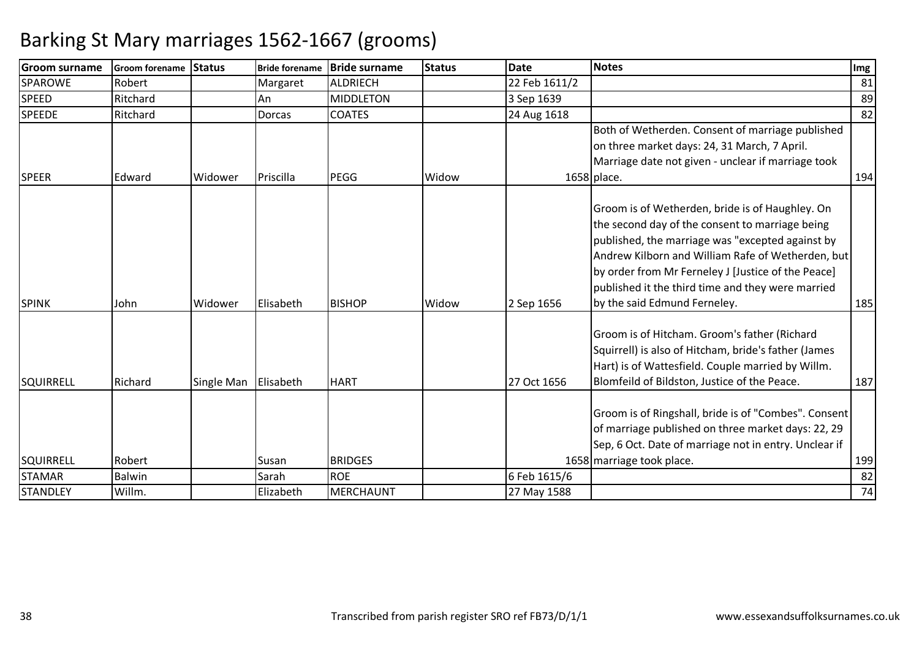#### **Groom surname Groom forename Status Bride forename Bride surname Status Date Notes Img SPAROWE** E Robert | Margaret ALDRIECH H 22 Feb 1611/2 81 SPEED Ritchard Ritchard | An MIDDLETON<br>Ritchard Dorcas COATES N 3 Sep 1639 89 SPEEDEE Ritchard Dorcas COATES 24 Aug 1618 <sup>82</sup> SPEER Edward Widower Priscilla PEGG Widow <sup>1658</sup>Both of Wetherden. Consent of marriage published on three market days: 24, 31 March, 7 April. Marriage date not given - unclear if marriage took 1658 place. 194SPINK John Widower Elisabeth BISHOP Widow 2 Sep 1656Groom is of Wetherden, bride is of Haughley. On the second day of the consent to marriage being published, the marriage was "excepted against by Andrew Kilborn and William Rafe of Wetherden, but by order from Mr Ferneley J [Justice of the Peace] published it the third time and they were married by the said Edmund Ferneley. 185SQUIRRELL Richard Single Man Elisabeth HART 1999 127 Oct 1656 Groom is of Hitcham. Groom's father (Richard Squirrell) is also of Hitcham, bride's father (James Hart) is of Wattesfield. Couple married by Willm. Blomfeild of Bildston, Justice of the Peace. 187SQUIRRELL Robert Susan BRIDGES | 1658 Groom is of Ringshall, bride is of "Combes". Consent of marriage published on three market days: 22, 29 Sep, 6 Oct. Date of marriage not in entry. Unclear if 1658 marriage took place. . 199 82 STAMARR Balwin Sarah ROE 6 Feb 1615/6 82 **STANDLEY** Willm. **Elizabeth** MERCHAUNT 27 May 1588 <sup>74</sup>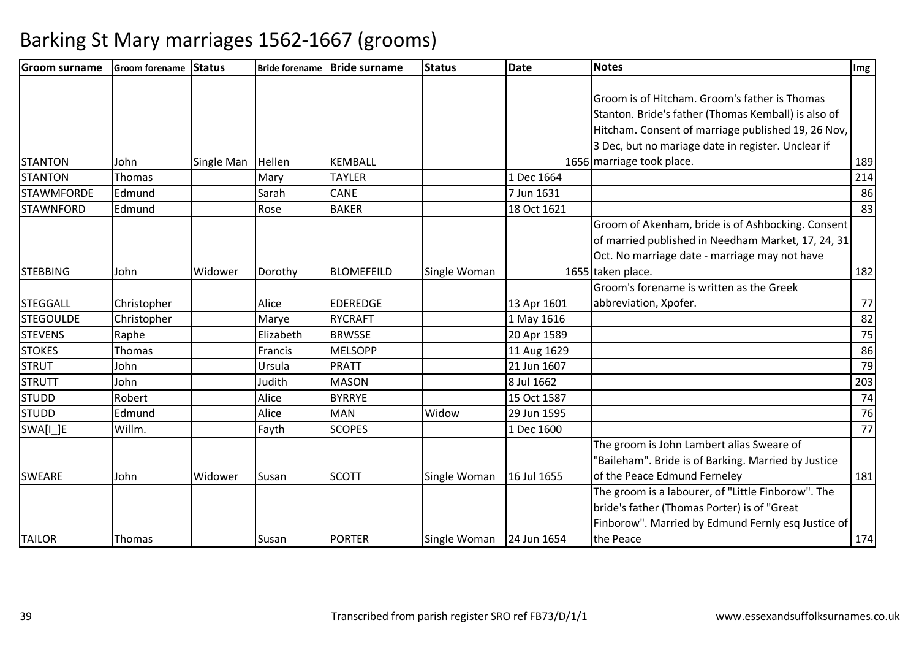| <b>Groom surname</b> | <b>Groom forename</b> | <b>Status</b> |           | Bride forename Bride surname | <b>Status</b>            | <b>Date</b> | <b>Notes</b>                                        | Img |
|----------------------|-----------------------|---------------|-----------|------------------------------|--------------------------|-------------|-----------------------------------------------------|-----|
|                      |                       |               |           |                              |                          |             |                                                     |     |
|                      |                       |               |           |                              |                          |             | Groom is of Hitcham. Groom's father is Thomas       |     |
|                      |                       |               |           |                              |                          |             | Stanton. Bride's father (Thomas Kemball) is also of |     |
|                      |                       |               |           |                              |                          |             | Hitcham. Consent of marriage published 19, 26 Nov,  |     |
|                      |                       |               |           |                              |                          |             | 3 Dec, but no mariage date in register. Unclear if  |     |
| <b>STANTON</b>       | John                  | Single Man    | Hellen    | KEMBALL                      |                          |             | 1656 marriage took place.                           | 189 |
| <b>STANTON</b>       | Thomas                |               | Mary      | <b>TAYLER</b>                |                          | 1 Dec 1664  |                                                     | 214 |
| <b>STAWMFORDE</b>    | Edmund                |               | Sarah     | <b>CANE</b>                  |                          | 7 Jun 1631  |                                                     | 86  |
| <b>STAWNFORD</b>     | Edmund                |               | Rose      | <b>BAKER</b>                 |                          | 18 Oct 1621 |                                                     | 83  |
|                      |                       |               |           |                              |                          |             | Groom of Akenham, bride is of Ashbocking. Consent   |     |
|                      |                       |               |           |                              |                          |             | of married published in Needham Market, 17, 24, 31  |     |
|                      |                       |               |           |                              |                          |             | Oct. No marriage date - marriage may not have       |     |
| <b>STEBBING</b>      | John                  | Widower       | Dorothy   | <b>BLOMEFEILD</b>            | Single Woman             |             | 1655 taken place.                                   | 182 |
|                      |                       |               |           |                              |                          |             | Groom's forename is written as the Greek            |     |
| <b>STEGGALL</b>      | Christopher           |               | Alice     | <b>EDEREDGE</b>              |                          | 13 Apr 1601 | abbreviation, Xpofer.                               | 77  |
| <b>STEGOULDE</b>     | Christopher           |               | Marye     | <b>RYCRAFT</b>               |                          | 1 May 1616  |                                                     | 82  |
| <b>STEVENS</b>       | Raphe                 |               | Elizabeth | <b>BRWSSE</b>                |                          | 20 Apr 1589 |                                                     | 75  |
| <b>STOKES</b>        | Thomas                |               | Francis   | <b>MELSOPP</b>               |                          | 11 Aug 1629 |                                                     | 86  |
| <b>STRUT</b>         | John                  |               | Ursula    | PRATT                        |                          | 21 Jun 1607 |                                                     | 79  |
| <b>STRUTT</b>        | John                  |               | Judith    | <b>MASON</b>                 |                          | 8 Jul 1662  |                                                     | 203 |
| <b>STUDD</b>         | Robert                |               | Alice     | <b>BYRRYE</b>                |                          | 15 Oct 1587 |                                                     | 74  |
| <b>STUDD</b>         | Edmund                |               | Alice     | <b>MAN</b>                   | Widow                    | 29 Jun 1595 |                                                     | 76  |
| SWA[I_]E             | Willm.                |               | Fayth     | <b>SCOPES</b>                |                          | 1 Dec 1600  |                                                     | 77  |
|                      |                       |               |           |                              |                          |             | The groom is John Lambert alias Sweare of           |     |
|                      |                       |               |           |                              |                          |             | "Baileham". Bride is of Barking. Married by Justice |     |
| <b>SWEARE</b>        | John                  | Widower       | Susan     | <b>SCOTT</b>                 | Single Woman             | 16 Jul 1655 | of the Peace Edmund Ferneley                        | 181 |
|                      |                       |               |           |                              |                          |             | The groom is a labourer, of "Little Finborow". The  |     |
|                      |                       |               |           |                              |                          |             | bride's father (Thomas Porter) is of "Great         |     |
|                      |                       |               |           |                              |                          |             | Finborow". Married by Edmund Fernly esq Justice of  |     |
| <b>TAILOR</b>        | Thomas                |               | Susan     | <b>PORTER</b>                | Single Woman 24 Jun 1654 |             | the Peace                                           | 174 |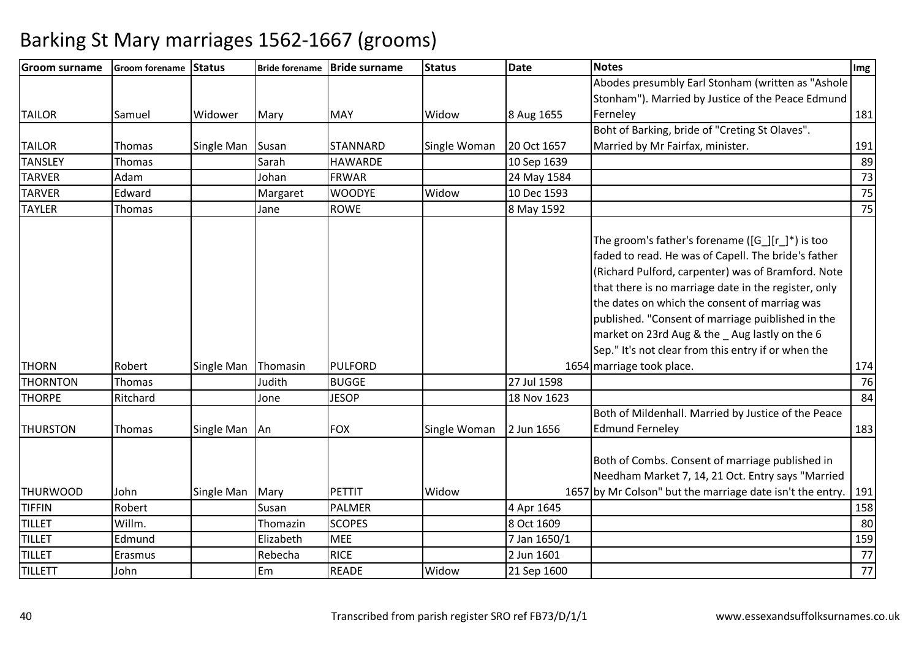| <b>Groom surname</b>             | <b>Groom forename Status</b> |            | <b>Bride forename</b> | <b>Bride surname</b>           | <b>Status</b> | <b>Date</b>               | <b>Notes</b>                                                                                                                                                                                                                                                                                                                                                                                                                                                      | Img       |
|----------------------------------|------------------------------|------------|-----------------------|--------------------------------|---------------|---------------------------|-------------------------------------------------------------------------------------------------------------------------------------------------------------------------------------------------------------------------------------------------------------------------------------------------------------------------------------------------------------------------------------------------------------------------------------------------------------------|-----------|
|                                  |                              |            |                       |                                |               |                           | Abodes presumbly Earl Stonham (written as "Ashole                                                                                                                                                                                                                                                                                                                                                                                                                 |           |
|                                  |                              |            |                       |                                |               |                           | Stonham"). Married by Justice of the Peace Edmund                                                                                                                                                                                                                                                                                                                                                                                                                 |           |
| <b>TAILOR</b>                    | Samuel                       | Widower    | Mary                  | <b>MAY</b>                     | Widow         | 8 Aug 1655                | Ferneley                                                                                                                                                                                                                                                                                                                                                                                                                                                          | 181       |
|                                  |                              |            |                       |                                |               |                           | Boht of Barking, bride of "Creting St Olaves".                                                                                                                                                                                                                                                                                                                                                                                                                    |           |
| <b>TAILOR</b>                    | Thomas                       | Single Man | Susan                 | <b>STANNARD</b>                | Single Woman  | 20 Oct 1657               | Married by Mr Fairfax, minister.                                                                                                                                                                                                                                                                                                                                                                                                                                  | 191       |
| <b>TANSLEY</b>                   | Thomas                       |            | Sarah                 | <b>HAWARDE</b>                 |               | 10 Sep 1639               |                                                                                                                                                                                                                                                                                                                                                                                                                                                                   | 89        |
| <b>TARVER</b>                    | Adam                         |            | Johan                 | <b>FRWAR</b>                   |               | 24 May 1584               |                                                                                                                                                                                                                                                                                                                                                                                                                                                                   | 73        |
| <b>TARVER</b>                    | Edward                       |            | Margaret              | <b>WOODYE</b>                  | Widow         | 10 Dec 1593               |                                                                                                                                                                                                                                                                                                                                                                                                                                                                   | 75        |
| <b>TAYLER</b>                    | <b>Thomas</b>                |            | Jane                  | <b>ROWE</b>                    |               | 8 May 1592                |                                                                                                                                                                                                                                                                                                                                                                                                                                                                   | 75        |
| <b>THORN</b><br><b>THORNTON</b>  | Robert                       | Single Man | Thomasin<br>Judith    | <b>PULFORD</b><br><b>BUGGE</b> |               | 27 Jul 1598               | The groom's father's forename ([G_][r_]*) is too<br>faded to read. He was of Capell. The bride's father<br>(Richard Pulford, carpenter) was of Bramford. Note<br>that there is no marriage date in the register, only<br>the dates on which the consent of marriag was<br>published. "Consent of marriage puiblished in the<br>market on 23rd Aug & the _ Aug lastly on the 6<br>Sep." It's not clear from this entry if or when the<br>1654 marriage took place. | 174       |
|                                  | Thomas                       |            |                       |                                |               |                           |                                                                                                                                                                                                                                                                                                                                                                                                                                                                   | 76        |
| <b>THORPE</b><br><b>THURSTON</b> | Ritchard<br>Thomas           | Single Man | Jone<br>An            | <b>JESOP</b><br><b>FOX</b>     | Single Woman  | 18 Nov 1623<br>2 Jun 1656 | Both of Mildenhall. Married by Justice of the Peace<br><b>Edmund Ferneley</b>                                                                                                                                                                                                                                                                                                                                                                                     | 84<br>183 |
| <b>THURWOOD</b>                  | John                         | Single Man | Mary                  | PETTIT                         | Widow         |                           | Both of Combs. Consent of marriage published in<br>Needham Market 7, 14, 21 Oct. Entry says "Married<br>1657 by Mr Colson" but the marriage date isn't the entry.                                                                                                                                                                                                                                                                                                 | 191       |
| <b>TIFFIN</b>                    | Robert                       |            | Susan                 | <b>PALMER</b>                  |               | 4 Apr 1645                |                                                                                                                                                                                                                                                                                                                                                                                                                                                                   | 158       |
| <b>TILLET</b>                    | Willm.                       |            | Thomazin              | <b>SCOPES</b>                  |               | 8 Oct 1609                |                                                                                                                                                                                                                                                                                                                                                                                                                                                                   | 80        |
| <b>TILLET</b>                    | Edmund                       |            | Elizabeth             | <b>MEE</b>                     |               | 7 Jan 1650/1              |                                                                                                                                                                                                                                                                                                                                                                                                                                                                   | 159       |
| <b>TILLET</b>                    | Erasmus                      |            | Rebecha               | <b>RICE</b>                    |               | 2 Jun 1601                |                                                                                                                                                                                                                                                                                                                                                                                                                                                                   | 77        |
| <b>TILLETT</b>                   | John                         |            | Em                    | <b>READE</b>                   | Widow         | 21 Sep 1600               |                                                                                                                                                                                                                                                                                                                                                                                                                                                                   | 77        |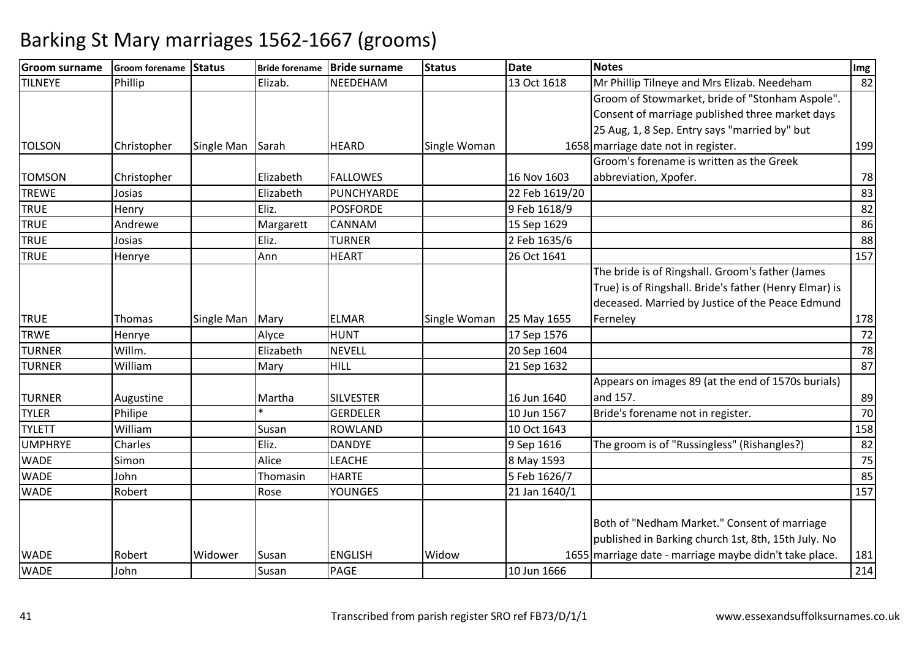| <b>Groom surname</b> | Groom forename Status |            |           | Bride forename   Bride surname | <b>Status</b> | <b>Date</b>    | <b>Notes</b>                                           | Img |
|----------------------|-----------------------|------------|-----------|--------------------------------|---------------|----------------|--------------------------------------------------------|-----|
| <b>TILNEYE</b>       | Phillip               |            | Elizab.   | NEEDEHAM                       |               | 13 Oct 1618    | Mr Phillip Tilneye and Mrs Elizab. Needeham            | 82  |
|                      |                       |            |           |                                |               |                | Groom of Stowmarket, bride of "Stonham Aspole".        |     |
|                      |                       |            |           |                                |               |                | Consent of marriage published three market days        |     |
|                      |                       |            |           |                                |               |                | 25 Aug, 1, 8 Sep. Entry says "married by" but          |     |
| <b>TOLSON</b>        | Christopher           | Single Man | Sarah     | <b>HEARD</b>                   | Single Woman  |                | 1658 marriage date not in register.                    | 199 |
|                      |                       |            |           |                                |               |                | Groom's forename is written as the Greek               |     |
| <b>TOMSON</b>        | Christopher           |            | Elizabeth | <b>FALLOWES</b>                |               | 16 Nov 1603    | abbreviation, Xpofer.                                  | 78  |
| <b>TREWE</b>         | Josias                |            | Elizabeth | PUNCHYARDE                     |               | 22 Feb 1619/20 |                                                        | 83  |
| <b>TRUE</b>          | Henry                 |            | Eliz.     | <b>POSFORDE</b>                |               | 9 Feb 1618/9   |                                                        | 82  |
| <b>TRUE</b>          | Andrewe               |            | Margarett | <b>CANNAM</b>                  |               | 15 Sep 1629    |                                                        | 86  |
| <b>TRUE</b>          | Josias                |            | Eliz.     | <b>TURNER</b>                  |               | 2 Feb 1635/6   |                                                        | 88  |
| <b>TRUE</b>          | Henrye                |            | Ann       | <b>HEART</b>                   |               | 26 Oct 1641    |                                                        | 157 |
|                      |                       |            |           |                                |               |                | The bride is of Ringshall. Groom's father (James       |     |
|                      |                       |            |           |                                |               |                | True) is of Ringshall. Bride's father (Henry Elmar) is |     |
|                      |                       |            |           |                                |               |                | deceased. Married by Justice of the Peace Edmund       |     |
| <b>TRUE</b>          | Thomas                | Single Man | Mary      | <b>ELMAR</b>                   | Single Woman  | 25 May 1655    | Ferneley                                               | 178 |
| <b>TRWE</b>          | Henrye                |            | Alyce     | <b>HUNT</b>                    |               | 17 Sep 1576    |                                                        | 72  |
| <b>TURNER</b>        | Willm.                |            | Elizabeth | <b>NEVELL</b>                  |               | 20 Sep 1604    |                                                        | 78  |
| <b>TURNER</b>        | William               |            | Mary      | <b>HILL</b>                    |               | 21 Sep 1632    |                                                        | 87  |
|                      |                       |            |           |                                |               |                | Appears on images 89 (at the end of 1570s burials)     |     |
| <b>TURNER</b>        | Augustine             |            | Martha    | <b>SILVESTER</b>               |               | 16 Jun 1640    | and 157.                                               | 89  |
| <b>TYLER</b>         | Philipe               |            |           | <b>GERDELER</b>                |               | 10 Jun 1567    | Bride's forename not in register.                      | 70  |
| <b>TYLETT</b>        | William               |            | Susan     | <b>ROWLAND</b>                 |               | 10 Oct 1643    |                                                        | 158 |
| <b>UMPHRYE</b>       | Charles               |            | Eliz.     | <b>DANDYE</b>                  |               | 9 Sep 1616     | The groom is of "Russingless" (Rishangles?)            | 82  |
| <b>WADE</b>          | Simon                 |            | Alice     | <b>LEACHE</b>                  |               | 8 May 1593     |                                                        | 75  |
| <b>WADE</b>          | John                  |            | Thomasin  | <b>HARTE</b>                   |               | 5 Feb 1626/7   |                                                        | 85  |
| <b>WADE</b>          | Robert                |            | Rose      | <b>YOUNGES</b>                 |               | 21 Jan 1640/1  |                                                        | 157 |
|                      |                       |            |           |                                |               |                |                                                        |     |
|                      |                       |            |           |                                |               |                | Both of "Nedham Market." Consent of marriage           |     |
|                      |                       |            |           |                                |               |                | published in Barking church 1st, 8th, 15th July. No    |     |
| <b>WADE</b>          | Robert                | Widower    | Susan     | <b>ENGLISH</b>                 | Widow         |                | 1655 marriage date - marriage maybe didn't take place. | 181 |
| <b>WADE</b>          | John                  |            | Susan     | <b>PAGE</b>                    |               | 10 Jun 1666    |                                                        | 214 |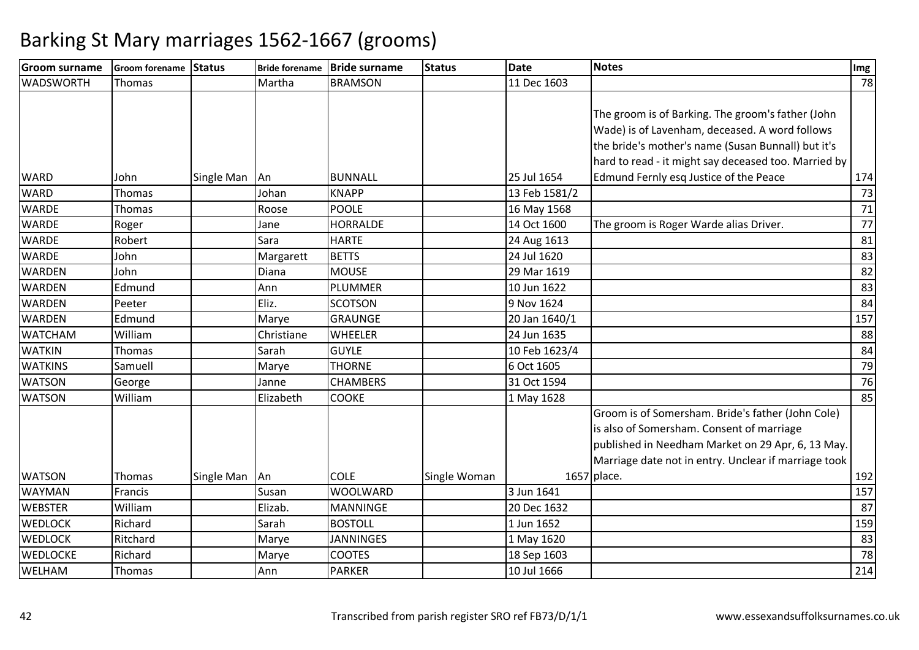| <b>Groom surname</b> | Groom forename Status |            |            | Bride forename   Bride surname | <b>Status</b> | <b>Date</b>   | <b>Notes</b>                                                                                                                                                                                                | Img |
|----------------------|-----------------------|------------|------------|--------------------------------|---------------|---------------|-------------------------------------------------------------------------------------------------------------------------------------------------------------------------------------------------------------|-----|
| <b>WADSWORTH</b>     | <b>Thomas</b>         |            | Martha     | <b>BRAMSON</b>                 |               | 11 Dec 1603   |                                                                                                                                                                                                             | 78  |
|                      |                       |            |            |                                |               |               | The groom is of Barking. The groom's father (John<br>Wade) is of Lavenham, deceased. A word follows<br>the bride's mother's name (Susan Bunnall) but it's                                                   |     |
|                      |                       |            |            |                                |               |               | hard to read - it might say deceased too. Married by                                                                                                                                                        |     |
| <b>WARD</b>          | John                  | Single Man | An         | <b>BUNNALL</b>                 |               | 25 Jul 1654   | Edmund Fernly esq Justice of the Peace                                                                                                                                                                      | 174 |
| <b>WARD</b>          | Thomas                |            | Johan      | <b>KNAPP</b>                   |               | 13 Feb 1581/2 |                                                                                                                                                                                                             | 73  |
| <b>WARDE</b>         | Thomas                |            | Roose      | <b>POOLE</b>                   |               | 16 May 1568   |                                                                                                                                                                                                             | 71  |
| <b>WARDE</b>         | Roger                 |            | Jane       | <b>HORRALDE</b>                |               | 14 Oct 1600   | The groom is Roger Warde alias Driver.                                                                                                                                                                      | 77  |
| <b>WARDE</b>         | Robert                |            | Sara       | <b>HARTE</b>                   |               | 24 Aug 1613   |                                                                                                                                                                                                             | 81  |
| <b>WARDE</b>         | John                  |            | Margarett  | <b>BETTS</b>                   |               | 24 Jul 1620   |                                                                                                                                                                                                             | 83  |
| <b>WARDEN</b>        | John                  |            | Diana      | <b>MOUSE</b>                   |               | 29 Mar 1619   |                                                                                                                                                                                                             | 82  |
| <b>WARDEN</b>        | Edmund                |            | Ann        | <b>PLUMMER</b>                 |               | 10 Jun 1622   |                                                                                                                                                                                                             | 83  |
| <b>WARDEN</b>        | Peeter                |            | Eliz.      | <b>SCOTSON</b>                 |               | 9 Nov 1624    |                                                                                                                                                                                                             | 84  |
| <b>WARDEN</b>        | Edmund                |            | Marye      | <b>GRAUNGE</b>                 |               | 20 Jan 1640/1 |                                                                                                                                                                                                             | 157 |
| <b>WATCHAM</b>       | William               |            | Christiane | WHEELER                        |               | 24 Jun 1635   |                                                                                                                                                                                                             | 88  |
| <b>WATKIN</b>        | Thomas                |            | Sarah      | <b>GUYLE</b>                   |               | 10 Feb 1623/4 |                                                                                                                                                                                                             | 84  |
| <b>WATKINS</b>       | Samuell               |            | Marye      | <b>THORNE</b>                  |               | 6 Oct 1605    |                                                                                                                                                                                                             | 79  |
| <b>WATSON</b>        | George                |            | Janne      | <b>CHAMBERS</b>                |               | 31 Oct 1594   |                                                                                                                                                                                                             | 76  |
| <b>WATSON</b>        | William               |            | Elizabeth  | COOKE                          |               | 1 May 1628    |                                                                                                                                                                                                             | 85  |
|                      |                       |            |            |                                |               |               | Groom is of Somersham. Bride's father (John Cole)<br>is also of Somersham. Consent of marriage<br>published in Needham Market on 29 Apr, 6, 13 May.<br>Marriage date not in entry. Unclear if marriage took |     |
| <b>WATSON</b>        | Thomas                | Single Man | <b>An</b>  | <b>COLE</b>                    | Single Woman  |               | 1657 place.                                                                                                                                                                                                 | 192 |
| <b>WAYMAN</b>        | Francis               |            | Susan      | <b>WOOLWARD</b>                |               | 3 Jun 1641    |                                                                                                                                                                                                             | 157 |
| <b>WEBSTER</b>       | William               |            | Elizab.    | <b>MANNINGE</b>                |               | 20 Dec 1632   |                                                                                                                                                                                                             | 87  |
| <b>WEDLOCK</b>       | Richard               |            | Sarah      | <b>BOSTOLL</b>                 |               | 1 Jun 1652    |                                                                                                                                                                                                             | 159 |
| <b>WEDLOCK</b>       | Ritchard              |            | Marye      | <b>JANNINGES</b>               |               | 1 May 1620    |                                                                                                                                                                                                             | 83  |
| WEDLOCKE             | Richard               |            | Marye      | <b>COOTES</b>                  |               | 18 Sep 1603   |                                                                                                                                                                                                             | 78  |
| <b>WELHAM</b>        | Thomas                |            | Ann        | <b>PARKER</b>                  |               | 10 Jul 1666   |                                                                                                                                                                                                             | 214 |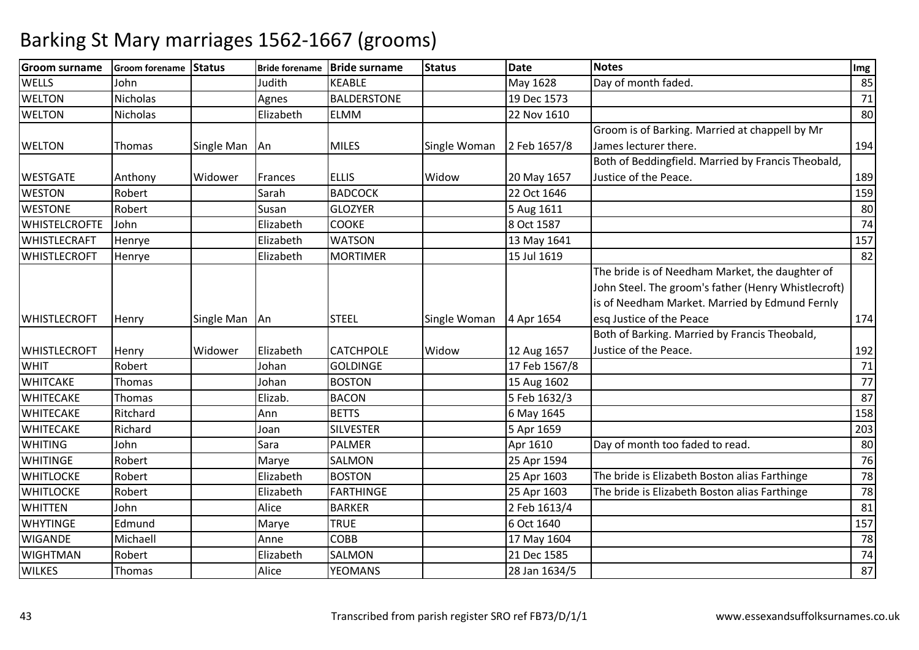| <b>Groom surname</b> | Groom forename Status |               | <b>Bride forename</b> | <b>Bride surname</b> | <b>Status</b> | <b>Date</b>   | <b>Notes</b>                                        | Im g   |
|----------------------|-----------------------|---------------|-----------------------|----------------------|---------------|---------------|-----------------------------------------------------|--------|
| <b>WELLS</b>         | John                  |               | Judith                | <b>KEABLE</b>        |               | May 1628      | Day of month faded.                                 | 85     |
| <b>WELTON</b>        | <b>Nicholas</b>       |               | Agnes                 | <b>BALDERSTONE</b>   |               | 19 Dec 1573   |                                                     | $71\,$ |
| <b>WELTON</b>        | <b>Nicholas</b>       |               | Elizabeth             | <b>ELMM</b>          |               | 22 Nov 1610   |                                                     | 80     |
|                      |                       |               |                       |                      |               |               | Groom is of Barking. Married at chappell by Mr      |        |
| <b>WELTON</b>        | Thomas                | Single Man An |                       | <b>MILES</b>         | Single Woman  | 2 Feb 1657/8  | James lecturer there.                               | 194    |
|                      |                       |               |                       |                      |               |               | Both of Beddingfield. Married by Francis Theobald,  |        |
| <b>WESTGATE</b>      | Anthony               | Widower       | Frances               | <b>ELLIS</b>         | Widow         | 20 May 1657   | Justice of the Peace.                               | 189    |
| <b>WESTON</b>        | Robert                |               | Sarah                 | <b>BADCOCK</b>       |               | 22 Oct 1646   |                                                     | 159    |
| <b>WESTONE</b>       | Robert                |               | Susan                 | <b>GLOZYER</b>       |               | 5 Aug 1611    |                                                     | 80     |
| <b>WHISTELCROFTE</b> | John                  |               | Elizabeth             | <b>COOKE</b>         |               | 8 Oct 1587    |                                                     | 74     |
| <b>WHISTLECRAFT</b>  | Henrye                |               | Elizabeth             | <b>WATSON</b>        |               | 13 May 1641   |                                                     | 157    |
| <b>WHISTLECROFT</b>  | Henrye                |               | Elizabeth             | <b>MORTIMER</b>      |               | 15 Jul 1619   |                                                     | 82     |
|                      |                       |               |                       |                      |               |               | The bride is of Needham Market, the daughter of     |        |
|                      |                       |               |                       |                      |               |               | John Steel. The groom's father (Henry Whistlecroft) |        |
|                      |                       |               |                       |                      |               |               | is of Needham Market. Married by Edmund Fernly      |        |
| <b>WHISTLECROFT</b>  | Henry                 | Single Man An |                       | <b>STEEL</b>         | Single Woman  | 4 Apr 1654    | esq Justice of the Peace                            | 174    |
|                      |                       |               |                       |                      |               |               | Both of Barking. Married by Francis Theobald,       |        |
| <b>WHISTLECROFT</b>  | Henry                 | Widower       | Elizabeth             | <b>CATCHPOLE</b>     | Widow         | 12 Aug 1657   | Justice of the Peace.                               | 192    |
| <b>WHIT</b>          | Robert                |               | Johan                 | <b>GOLDINGE</b>      |               | 17 Feb 1567/8 |                                                     | 71     |
| <b>WHITCAKE</b>      | Thomas                |               | Johan                 | <b>BOSTON</b>        |               | 15 Aug 1602   |                                                     | 77     |
| <b>WHITECAKE</b>     | Thomas                |               | Elizab.               | <b>BACON</b>         |               | 5 Feb 1632/3  |                                                     | 87     |
| <b>WHITECAKE</b>     | Ritchard              |               | Ann                   | <b>BETTS</b>         |               | 6 May 1645    |                                                     | 158    |
| <b>WHITECAKE</b>     | Richard               |               | Joan                  | <b>SILVESTER</b>     |               | 5 Apr 1659    |                                                     | 203    |
| <b>WHITING</b>       | John                  |               | Sara                  | <b>PALMER</b>        |               | Apr 1610      | Day of month too faded to read.                     | 80     |
| <b>WHITINGE</b>      | Robert                |               | Marye                 | <b>SALMON</b>        |               | 25 Apr 1594   |                                                     | 76     |
| <b>WHITLOCKE</b>     | Robert                |               | Elizabeth             | <b>BOSTON</b>        |               | 25 Apr 1603   | The bride is Elizabeth Boston alias Farthinge       | 78     |
| <b>WHITLOCKE</b>     | Robert                |               | Elizabeth             | <b>FARTHINGE</b>     |               | 25 Apr 1603   | The bride is Elizabeth Boston alias Farthinge       | 78     |
| <b>WHITTEN</b>       | John                  |               | Alice                 | <b>BARKER</b>        |               | 2 Feb 1613/4  |                                                     | 81     |
| <b>WHYTINGE</b>      | Edmund                |               | Marye                 | <b>TRUE</b>          |               | 6 Oct 1640    |                                                     | 157    |
| <b>WIGANDE</b>       | Michaell              |               | Anne                  | COBB                 |               | 17 May 1604   |                                                     | 78     |
| <b>WIGHTMAN</b>      | Robert                |               | Elizabeth             | SALMON               |               | 21 Dec 1585   |                                                     | 74     |
| <b>WILKES</b>        | Thomas                |               | Alice                 | <b>YEOMANS</b>       |               | 28 Jan 1634/5 |                                                     | 87     |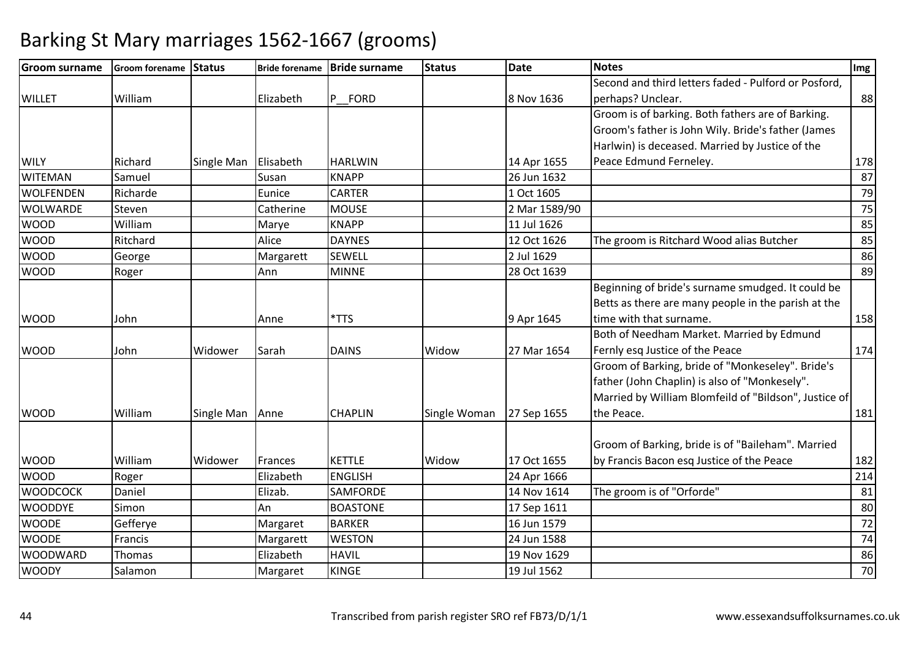| <b>Groom surname</b> | <b>Groom forename Status</b> |            |           | Bride forename Bride surname | <b>Status</b> | <b>Date</b>   | <b>Notes</b>                                          | Img             |
|----------------------|------------------------------|------------|-----------|------------------------------|---------------|---------------|-------------------------------------------------------|-----------------|
|                      |                              |            |           |                              |               |               | Second and third letters faded - Pulford or Posford,  |                 |
| <b>WILLET</b>        | William                      |            | Elizabeth | P FORD                       |               | 8 Nov 1636    | perhaps? Unclear.                                     | 88              |
|                      |                              |            |           |                              |               |               | Groom is of barking. Both fathers are of Barking.     |                 |
|                      |                              |            |           |                              |               |               | Groom's father is John Wily. Bride's father (James    |                 |
|                      |                              |            |           |                              |               |               | Harlwin) is deceased. Married by Justice of the       |                 |
| <b>WILY</b>          | Richard                      | Single Man | Elisabeth | <b>HARLWIN</b>               |               | 14 Apr 1655   | Peace Edmund Ferneley.                                | 178             |
| <b>WITEMAN</b>       | Samuel                       |            | Susan     | <b>KNAPP</b>                 |               | 26 Jun 1632   |                                                       | 87              |
| <b>WOLFENDEN</b>     | Richarde                     |            | Eunice    | <b>CARTER</b>                |               | 1 Oct 1605    |                                                       | 79              |
| <b>WOLWARDE</b>      | Steven                       |            | Catherine | <b>MOUSE</b>                 |               | 2 Mar 1589/90 |                                                       | 75              |
| <b>WOOD</b>          | William                      |            | Marye     | <b>KNAPP</b>                 |               | 11 Jul 1626   |                                                       | 85              |
| <b>WOOD</b>          | Ritchard                     |            | Alice     | <b>DAYNES</b>                |               | 12 Oct 1626   | The groom is Ritchard Wood alias Butcher              | 85              |
| <b>WOOD</b>          | George                       |            | Margarett | <b>SEWELL</b>                |               | 2 Jul 1629    |                                                       | 86              |
| <b>WOOD</b>          | Roger                        |            | Ann       | <b>MINNE</b>                 |               | 28 Oct 1639   |                                                       | 89              |
|                      |                              |            |           |                              |               |               | Beginning of bride's surname smudged. It could be     |                 |
|                      |                              |            |           |                              |               |               | Betts as there are many people in the parish at the   |                 |
| <b>WOOD</b>          | John                         |            | Anne      | *TTS                         |               | 9 Apr 1645    | time with that surname.                               | 158             |
|                      |                              |            |           |                              |               |               | Both of Needham Market. Married by Edmund             |                 |
| <b>WOOD</b>          | John                         | Widower    | Sarah     | <b>DAINS</b>                 | Widow         | 27 Mar 1654   | Fernly esq Justice of the Peace                       | 174             |
|                      |                              |            |           |                              |               |               | Groom of Barking, bride of "Monkeseley". Bride's      |                 |
|                      |                              |            |           |                              |               |               | father (John Chaplin) is also of "Monkesely".         |                 |
|                      |                              |            |           |                              |               |               | Married by William Blomfeild of "Bildson", Justice of |                 |
| <b>WOOD</b>          | William                      | Single Man | Anne      | <b>CHAPLIN</b>               | Single Woman  | 27 Sep 1655   | the Peace.                                            | 181             |
|                      |                              |            |           |                              |               |               |                                                       |                 |
|                      |                              |            |           |                              |               |               | Groom of Barking, bride is of "Baileham". Married     |                 |
| <b>WOOD</b>          | William                      | Widower    | Frances   | <b>KETTLE</b>                | Widow         | 17 Oct 1655   | by Francis Bacon esg Justice of the Peace             | 182             |
| <b>WOOD</b>          | Roger                        |            | Elizabeth | <b>ENGLISH</b>               |               | 24 Apr 1666   |                                                       | 214             |
| <b>WOODCOCK</b>      | Daniel                       |            | Elizab.   | SAMFORDE                     |               | 14 Nov 1614   | The groom is of "Orforde"                             | 81              |
| <b>WOODDYE</b>       | Simon                        |            | An        | <b>BOASTONE</b>              |               | 17 Sep 1611   |                                                       | 80              |
| <b>WOODE</b>         | Gefferye                     |            | Margaret  | <b>BARKER</b>                |               | 16 Jun 1579   |                                                       | $\overline{72}$ |
| <b>WOODE</b>         | Francis                      |            | Margarett | <b>WESTON</b>                |               | 24 Jun 1588   |                                                       | 74              |
| <b>WOODWARD</b>      | Thomas                       |            | Elizabeth | <b>HAVIL</b>                 |               | 19 Nov 1629   |                                                       | 86              |
| <b>WOODY</b>         | Salamon                      |            | Margaret  | KINGE                        |               | 19 Jul 1562   |                                                       | 70              |